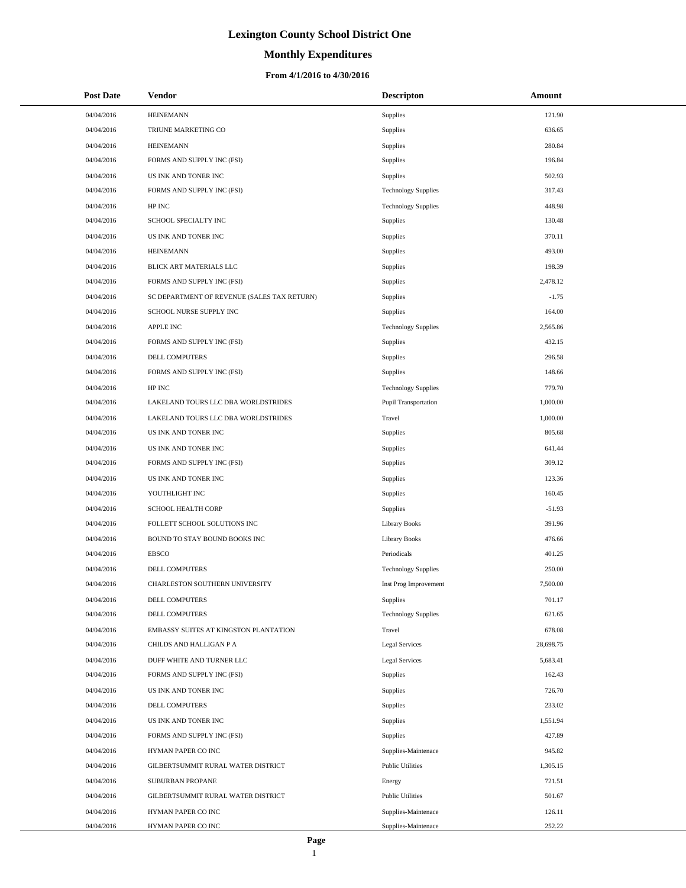# **Monthly Expenditures**

### **From 4/1/2016 to 4/30/2016**

| <b>Post Date</b> | Vendor                                      | <b>Descripton</b>           | Amount    |
|------------------|---------------------------------------------|-----------------------------|-----------|
| 04/04/2016       | <b>HEINEMANN</b>                            | Supplies                    | 121.90    |
| 04/04/2016       | TRIUNE MARKETING CO                         | Supplies                    | 636.65    |
| 04/04/2016       | <b>HEINEMANN</b>                            | Supplies                    | 280.84    |
| 04/04/2016       | FORMS AND SUPPLY INC (FSI)                  | Supplies                    | 196.84    |
| 04/04/2016       | US INK AND TONER INC                        | Supplies                    | 502.93    |
| 04/04/2016       | FORMS AND SUPPLY INC (FSI)                  | <b>Technology Supplies</b>  | 317.43    |
| 04/04/2016       | HP INC                                      | <b>Technology Supplies</b>  | 448.98    |
| 04/04/2016       | SCHOOL SPECIALTY INC                        | Supplies                    | 130.48    |
| 04/04/2016       | US INK AND TONER INC                        | Supplies                    | 370.11    |
| 04/04/2016       | <b>HEINEMANN</b>                            | Supplies                    | 493.00    |
| 04/04/2016       | BLICK ART MATERIALS LLC                     | Supplies                    | 198.39    |
| 04/04/2016       | FORMS AND SUPPLY INC (FSI)                  | Supplies                    | 2,478.12  |
| 04/04/2016       | SC DEPARTMENT OF REVENUE (SALES TAX RETURN) | Supplies                    | $-1.75$   |
| 04/04/2016       | SCHOOL NURSE SUPPLY INC                     | Supplies                    | 164.00    |
| 04/04/2016       | <b>APPLE INC</b>                            | <b>Technology Supplies</b>  | 2,565.86  |
| 04/04/2016       | FORMS AND SUPPLY INC (FSI)                  | Supplies                    | 432.15    |
| 04/04/2016       | DELL COMPUTERS                              | Supplies                    | 296.58    |
| 04/04/2016       | FORMS AND SUPPLY INC (FSI)                  | Supplies                    | 148.66    |
| 04/04/2016       | HP INC                                      | <b>Technology Supplies</b>  | 779.70    |
| 04/04/2016       | LAKELAND TOURS LLC DBA WORLDSTRIDES         | <b>Pupil Transportation</b> | 1,000.00  |
| 04/04/2016       | LAKELAND TOURS LLC DBA WORLDSTRIDES         | Travel                      | 1,000.00  |
| 04/04/2016       | US INK AND TONER INC                        | Supplies                    | 805.68    |
| 04/04/2016       | US INK AND TONER INC                        | Supplies                    | 641.44    |
| 04/04/2016       | FORMS AND SUPPLY INC (FSI)                  | Supplies                    | 309.12    |
| 04/04/2016       | US INK AND TONER INC                        | Supplies                    | 123.36    |
| 04/04/2016       | YOUTHLIGHT INC                              | Supplies                    | 160.45    |
| 04/04/2016       | SCHOOL HEALTH CORP                          | Supplies                    | $-51.93$  |
| 04/04/2016       | FOLLETT SCHOOL SOLUTIONS INC                | <b>Library Books</b>        | 391.96    |
| 04/04/2016       | BOUND TO STAY BOUND BOOKS INC               | <b>Library Books</b>        | 476.66    |
| 04/04/2016       | <b>EBSCO</b>                                | Periodicals                 | 401.25    |
| 04/04/2016       | <b>DELL COMPUTERS</b>                       | <b>Technology Supplies</b>  | 250.00    |
| 04/04/2016       | CHARLESTON SOUTHERN UNIVERSITY              | Inst Prog Improvement       | 7,500.00  |
| 04/04/2016       | DELL COMPUTERS                              | Supplies                    | 701.17    |
| 04/04/2016       | DELL COMPUTERS                              | <b>Technology Supplies</b>  | 621.65    |
| 04/04/2016       | EMBASSY SUITES AT KINGSTON PLANTATION       | Travel                      | 678.08    |
| 04/04/2016       | CHILDS AND HALLIGAN P A                     | <b>Legal Services</b>       | 28,698.75 |
| 04/04/2016       | DUFF WHITE AND TURNER LLC                   | <b>Legal Services</b>       | 5,683.41  |
| 04/04/2016       | FORMS AND SUPPLY INC (FSI)                  | Supplies                    | 162.43    |
| 04/04/2016       | US INK AND TONER INC                        | Supplies                    | 726.70    |
| 04/04/2016       | DELL COMPUTERS                              | Supplies                    | 233.02    |
| 04/04/2016       | US INK AND TONER INC                        | Supplies                    | 1,551.94  |
| 04/04/2016       | FORMS AND SUPPLY INC (FSI)                  | Supplies                    | 427.89    |
| 04/04/2016       | HYMAN PAPER CO INC                          | Supplies-Maintenace         | 945.82    |
| 04/04/2016       | GILBERTSUMMIT RURAL WATER DISTRICT          | <b>Public Utilities</b>     | 1,305.15  |
| 04/04/2016       | SUBURBAN PROPANE                            | Energy                      | 721.51    |
| 04/04/2016       | GILBERTSUMMIT RURAL WATER DISTRICT          | <b>Public Utilities</b>     | 501.67    |
| 04/04/2016       | HYMAN PAPER CO INC                          | Supplies-Maintenace         | 126.11    |
| 04/04/2016       | HYMAN PAPER CO INC                          | Supplies-Maintenace         | 252.22    |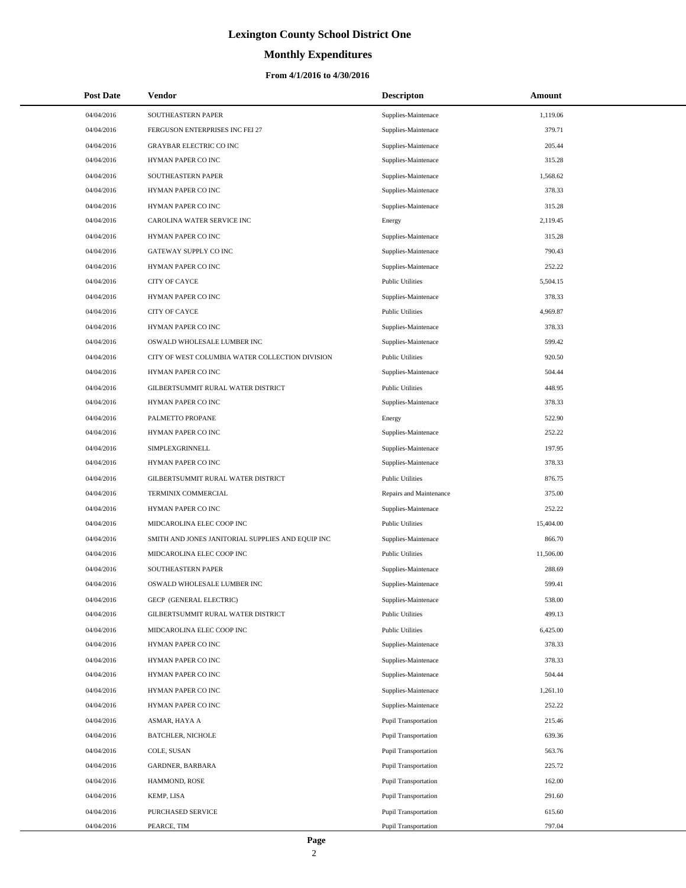# **Monthly Expenditures**

| <b>Post Date</b> | Vendor                                            | <b>Descripton</b>           | Amount    |
|------------------|---------------------------------------------------|-----------------------------|-----------|
| 04/04/2016       | SOUTHEASTERN PAPER                                | Supplies-Maintenace         | 1,119.06  |
| 04/04/2016       | FERGUSON ENTERPRISES INC FEI 27                   | Supplies-Maintenace         | 379.71    |
| 04/04/2016       | <b>GRAYBAR ELECTRIC CO INC</b>                    | Supplies-Maintenace         | 205.44    |
| 04/04/2016       | HYMAN PAPER CO INC                                | Supplies-Maintenace         | 315.28    |
| 04/04/2016       | SOUTHEASTERN PAPER                                | Supplies-Maintenace         | 1,568.62  |
| 04/04/2016       | HYMAN PAPER CO INC                                | Supplies-Maintenace         | 378.33    |
| 04/04/2016       | HYMAN PAPER CO INC                                | Supplies-Maintenace         | 315.28    |
| 04/04/2016       | CAROLINA WATER SERVICE INC                        | Energy                      | 2,119.45  |
| 04/04/2016       | HYMAN PAPER CO INC                                | Supplies-Maintenace         | 315.28    |
| 04/04/2016       | GATEWAY SUPPLY CO INC                             | Supplies-Maintenace         | 790.43    |
| 04/04/2016       | HYMAN PAPER CO INC                                | Supplies-Maintenace         | 252.22    |
| 04/04/2016       | <b>CITY OF CAYCE</b>                              | <b>Public Utilities</b>     | 5,504.15  |
| 04/04/2016       | HYMAN PAPER CO INC                                | Supplies-Maintenace         | 378.33    |
| 04/04/2016       | <b>CITY OF CAYCE</b>                              | <b>Public Utilities</b>     | 4,969.87  |
| 04/04/2016       | HYMAN PAPER CO INC                                | Supplies-Maintenace         | 378.33    |
| 04/04/2016       | OSWALD WHOLESALE LUMBER INC                       | Supplies-Maintenace         | 599.42    |
| 04/04/2016       | CITY OF WEST COLUMBIA WATER COLLECTION DIVISION   | <b>Public Utilities</b>     | 920.50    |
| 04/04/2016       | HYMAN PAPER CO INC                                | Supplies-Maintenace         | 504.44    |
| 04/04/2016       | GILBERTSUMMIT RURAL WATER DISTRICT                | <b>Public Utilities</b>     | 448.95    |
| 04/04/2016       | HYMAN PAPER CO INC                                | Supplies-Maintenace         | 378.33    |
| 04/04/2016       | PALMETTO PROPANE                                  | Energy                      | 522.90    |
| 04/04/2016       | HYMAN PAPER CO INC                                | Supplies-Maintenace         | 252.22    |
| 04/04/2016       | SIMPLEXGRINNELL                                   | Supplies-Maintenace         | 197.95    |
| 04/04/2016       | HYMAN PAPER CO INC                                | Supplies-Maintenace         | 378.33    |
| 04/04/2016       | GILBERTSUMMIT RURAL WATER DISTRICT                | <b>Public Utilities</b>     | 876.75    |
| 04/04/2016       | TERMINIX COMMERCIAL                               | Repairs and Maintenance     | 375.00    |
| 04/04/2016       | HYMAN PAPER CO INC                                | Supplies-Maintenace         | 252.22    |
| 04/04/2016       | MIDCAROLINA ELEC COOP INC                         | <b>Public Utilities</b>     | 15,404.00 |
| 04/04/2016       | SMITH AND JONES JANITORIAL SUPPLIES AND EQUIP INC | Supplies-Maintenace         | 866.70    |
| 04/04/2016       | MIDCAROLINA ELEC COOP INC                         | <b>Public Utilities</b>     | 11,506.00 |
| 04/04/2016       | SOUTHEASTERN PAPER                                | Supplies-Maintenace         | 288.69    |
| 04/04/2016       | OSWALD WHOLESALE LUMBER INC                       | Supplies-Maintenace         | 599.41    |
| 04/04/2016       | GECP (GENERAL ELECTRIC)                           | Supplies-Maintenace         | 538.00    |
| 04/04/2016       | GILBERTSUMMIT RURAL WATER DISTRICT                | <b>Public Utilities</b>     | 499.13    |
| 04/04/2016       | MIDCAROLINA ELEC COOP INC                         | <b>Public Utilities</b>     | 6,425.00  |
| 04/04/2016       | HYMAN PAPER CO INC                                | Supplies-Maintenace         | 378.33    |
| 04/04/2016       | HYMAN PAPER CO INC                                | Supplies-Maintenace         | 378.33    |
| 04/04/2016       | HYMAN PAPER CO INC                                | Supplies-Maintenace         | 504.44    |
| 04/04/2016       | HYMAN PAPER CO INC                                | Supplies-Maintenace         | 1,261.10  |
| 04/04/2016       | HYMAN PAPER CO INC                                | Supplies-Maintenace         | 252.22    |
| 04/04/2016       | ASMAR, HAYA A                                     | <b>Pupil Transportation</b> | 215.46    |
| 04/04/2016       | <b>BATCHLER, NICHOLE</b>                          | <b>Pupil Transportation</b> | 639.36    |
| 04/04/2016       | COLE, SUSAN                                       | Pupil Transportation        | 563.76    |
| 04/04/2016       | GARDNER, BARBARA                                  | Pupil Transportation        | 225.72    |
| 04/04/2016       | HAMMOND, ROSE                                     | Pupil Transportation        | 162.00    |
| 04/04/2016       | KEMP, LISA                                        | Pupil Transportation        | 291.60    |
| 04/04/2016       | PURCHASED SERVICE                                 | Pupil Transportation        | 615.60    |
| 04/04/2016       | PEARCE, TIM                                       | Pupil Transportation        | 797.04    |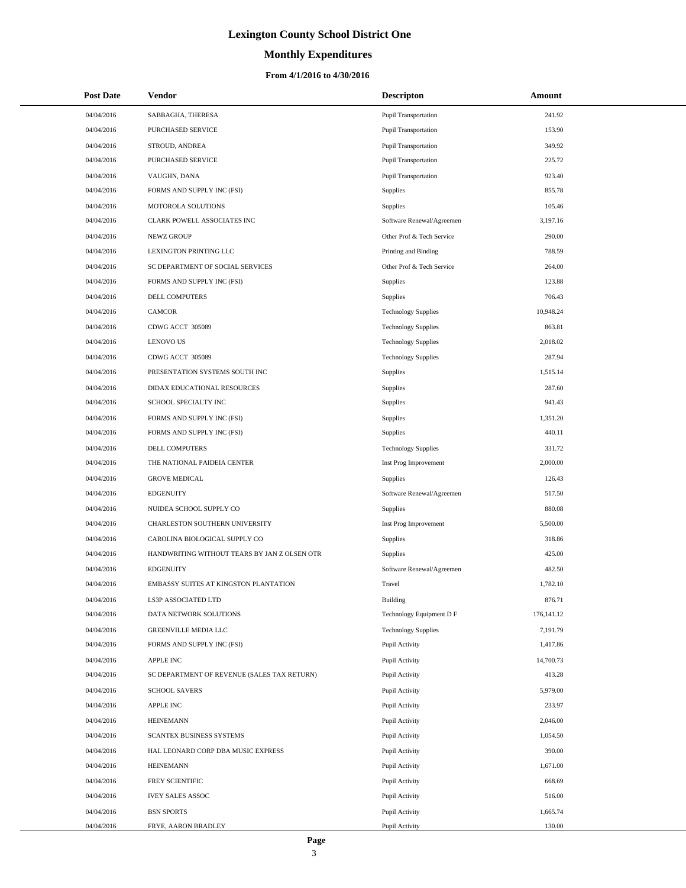# **Monthly Expenditures**

| <b>Post Date</b> | Vendor                                       | <b>Descripton</b>          | Amount       |
|------------------|----------------------------------------------|----------------------------|--------------|
| 04/04/2016       | SABBAGHA, THERESA                            | Pupil Transportation       | 241.92       |
| 04/04/2016       | <b>PURCHASED SERVICE</b>                     | Pupil Transportation       | 153.90       |
| 04/04/2016       | STROUD, ANDREA                               | Pupil Transportation       | 349.92       |
| 04/04/2016       | PURCHASED SERVICE                            | Pupil Transportation       | 225.72       |
| 04/04/2016       | VAUGHN, DANA                                 | Pupil Transportation       | 923.40       |
| 04/04/2016       | FORMS AND SUPPLY INC (FSI)                   | <b>Supplies</b>            | 855.78       |
| 04/04/2016       | MOTOROLA SOLUTIONS                           | <b>Supplies</b>            | 105.46       |
| 04/04/2016       | CLARK POWELL ASSOCIATES INC                  | Software Renewal/Agreemen  | 3,197.16     |
| 04/04/2016       | <b>NEWZ GROUP</b>                            | Other Prof & Tech Service  | 290.00       |
| 04/04/2016       | LEXINGTON PRINTING LLC                       | Printing and Binding       | 788.59       |
| 04/04/2016       | SC DEPARTMENT OF SOCIAL SERVICES             | Other Prof & Tech Service  | 264.00       |
| 04/04/2016       | FORMS AND SUPPLY INC (FSI)                   | <b>Supplies</b>            | 123.88       |
| 04/04/2016       | DELL COMPUTERS                               | <b>Supplies</b>            | 706.43       |
| 04/04/2016       | <b>CAMCOR</b>                                | <b>Technology Supplies</b> | 10,948.24    |
| 04/04/2016       | CDWG ACCT 305089                             | <b>Technology Supplies</b> | 863.81       |
| 04/04/2016       | <b>LENOVO US</b>                             | <b>Technology Supplies</b> | 2,018.02     |
| 04/04/2016       | CDWG ACCT 305089                             | <b>Technology Supplies</b> | 287.94       |
| 04/04/2016       | PRESENTATION SYSTEMS SOUTH INC               | <b>Supplies</b>            | 1,515.14     |
| 04/04/2016       | DIDAX EDUCATIONAL RESOURCES                  | Supplies                   | 287.60       |
| 04/04/2016       | SCHOOL SPECIALTY INC                         | <b>Supplies</b>            | 941.43       |
| 04/04/2016       | FORMS AND SUPPLY INC (FSI)                   | Supplies                   | 1,351.20     |
| 04/04/2016       | FORMS AND SUPPLY INC (FSI)                   | Supplies                   | 440.11       |
| 04/04/2016       | DELL COMPUTERS                               | <b>Technology Supplies</b> | 331.72       |
| 04/04/2016       | THE NATIONAL PAIDEIA CENTER                  | Inst Prog Improvement      | 2,000.00     |
| 04/04/2016       | <b>GROVE MEDICAL</b>                         | Supplies                   | 126.43       |
| 04/04/2016       | <b>EDGENUITY</b>                             | Software Renewal/Agreemen  | 517.50       |
| 04/04/2016       | NUIDEA SCHOOL SUPPLY CO                      | Supplies                   | 880.08       |
| 04/04/2016       | CHARLESTON SOUTHERN UNIVERSITY               | Inst Prog Improvement      | 5,500.00     |
| 04/04/2016       | CAROLINA BIOLOGICAL SUPPLY CO                | Supplies                   | 318.86       |
| 04/04/2016       | HANDWRITING WITHOUT TEARS BY JAN Z OLSEN OTR | Supplies                   | 425.00       |
| 04/04/2016       | <b>EDGENUITY</b>                             | Software Renewal/Agreemen  | 482.50       |
| 04/04/2016       | EMBASSY SUITES AT KINGSTON PLANTATION        | Travel                     | 1,782.10     |
| 04/04/2016       | LS3P ASSOCIATED LTD                          | <b>Building</b>            | 876.71       |
| 04/04/2016       | DATA NETWORK SOLUTIONS                       | Technology Equipment D F   | 176, 141. 12 |
| 04/04/2016       | GREENVILLE MEDIA LLC                         | <b>Technology Supplies</b> | 7,191.79     |
| 04/04/2016       | FORMS AND SUPPLY INC (FSI)                   | Pupil Activity             | 1,417.86     |
| 04/04/2016       | <b>APPLE INC</b>                             | Pupil Activity             | 14,700.73    |
| 04/04/2016       | SC DEPARTMENT OF REVENUE (SALES TAX RETURN)  | Pupil Activity             | 413.28       |
| 04/04/2016       | <b>SCHOOL SAVERS</b>                         | Pupil Activity             | 5,979.00     |
| 04/04/2016       | <b>APPLE INC</b>                             | Pupil Activity             | 233.97       |
| 04/04/2016       | <b>HEINEMANN</b>                             | Pupil Activity             | 2,046.00     |
| 04/04/2016       | SCANTEX BUSINESS SYSTEMS                     | Pupil Activity             | 1,054.50     |
| 04/04/2016       | HAL LEONARD CORP DBA MUSIC EXPRESS           | Pupil Activity             | 390.00       |
| 04/04/2016       | <b>HEINEMANN</b>                             | Pupil Activity             | 1,671.00     |
| 04/04/2016       | FREY SCIENTIFIC                              | Pupil Activity             | 668.69       |
| 04/04/2016       | <b>IVEY SALES ASSOC</b>                      | Pupil Activity             | 516.00       |
| 04/04/2016       | <b>BSN SPORTS</b>                            | Pupil Activity             | 1,665.74     |
| 04/04/2016       | FRYE, AARON BRADLEY                          | Pupil Activity             | 130.00       |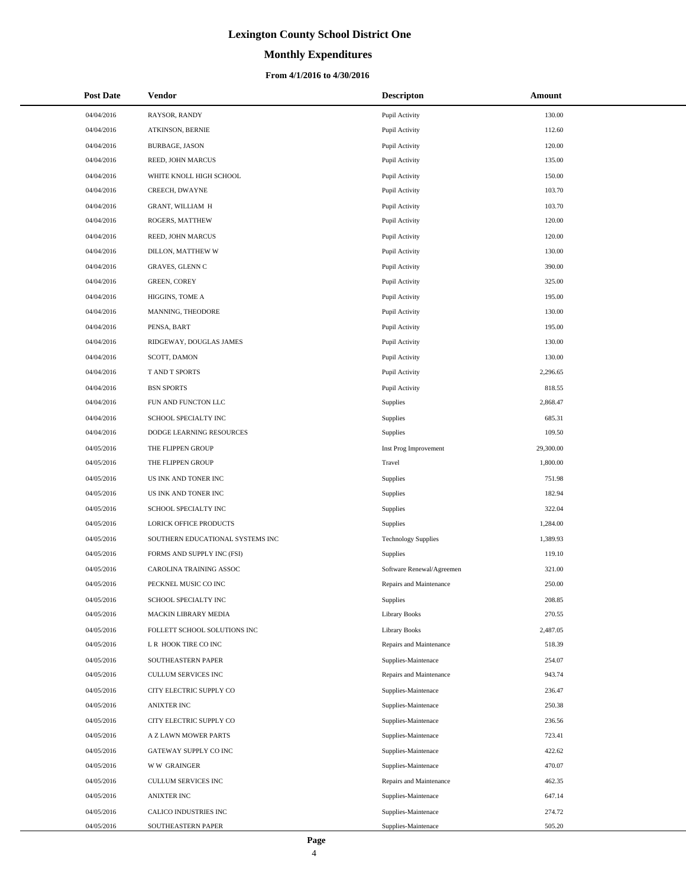# **Monthly Expenditures**

| <b>Post Date</b>         | <b>Vendor</b>                               | <b>Descripton</b>          | <b>Amount</b>    |
|--------------------------|---------------------------------------------|----------------------------|------------------|
| 04/04/2016               | RAYSOR, RANDY                               | Pupil Activity             | 130.00           |
| 04/04/2016               | ATKINSON, BERNIE                            | Pupil Activity             | 112.60           |
| 04/04/2016               | <b>BURBAGE, JASON</b>                       | Pupil Activity             | 120.00           |
| 04/04/2016               | REED, JOHN MARCUS                           | Pupil Activity             | 135.00           |
| 04/04/2016               | WHITE KNOLL HIGH SCHOOL                     | Pupil Activity             | 150.00           |
| 04/04/2016               | CREECH, DWAYNE                              | Pupil Activity             | 103.70           |
| 04/04/2016               | <b>GRANT, WILLIAM H</b>                     | Pupil Activity             | 103.70           |
| 04/04/2016               | ROGERS, MATTHEW                             | Pupil Activity             | 120.00           |
| 04/04/2016               | REED, JOHN MARCUS                           | Pupil Activity             | 120.00           |
| 04/04/2016               | DILLON, MATTHEW W                           | Pupil Activity             | 130.00           |
| 04/04/2016               | GRAVES, GLENN C                             | Pupil Activity             | 390.00           |
| 04/04/2016               | <b>GREEN, COREY</b>                         | Pupil Activity             | 325.00           |
| 04/04/2016               | HIGGINS, TOME A                             | Pupil Activity             | 195.00           |
| 04/04/2016               | MANNING, THEODORE                           | Pupil Activity             | 130.00           |
| 04/04/2016               | PENSA, BART                                 | Pupil Activity             | 195.00           |
| 04/04/2016               | RIDGEWAY, DOUGLAS JAMES                     | Pupil Activity             | 130.00           |
| 04/04/2016               | SCOTT, DAMON                                | Pupil Activity             | 130.00           |
| 04/04/2016               | T AND T SPORTS                              | Pupil Activity             | 2,296.65         |
| 04/04/2016               | <b>BSN SPORTS</b>                           | Pupil Activity             | 818.55           |
| 04/04/2016               | FUN AND FUNCTON LLC                         | Supplies                   | 2,868.47         |
| 04/04/2016               | SCHOOL SPECIALTY INC                        | Supplies                   | 685.31           |
| 04/04/2016               | DODGE LEARNING RESOURCES                    | <b>Supplies</b>            | 109.50           |
| 04/05/2016               | THE FLIPPEN GROUP                           | Inst Prog Improvement      | 29,300.00        |
| 04/05/2016               | THE FLIPPEN GROUP                           | Travel                     | 1,800.00         |
| 04/05/2016               | US INK AND TONER INC                        | Supplies                   | 751.98           |
| 04/05/2016               | US INK AND TONER INC                        | Supplies                   | 182.94           |
| 04/05/2016               | SCHOOL SPECIALTY INC                        | Supplies                   | 322.04           |
| 04/05/2016               | LORICK OFFICE PRODUCTS                      | Supplies                   | 1,284.00         |
| 04/05/2016               | SOUTHERN EDUCATIONAL SYSTEMS INC            | <b>Technology Supplies</b> | 1,389.93         |
| 04/05/2016               | FORMS AND SUPPLY INC (FSI)                  | <b>Supplies</b>            | 119.10           |
| 04/05/2016               | CAROLINA TRAINING ASSOC                     | Software Renewal/Agreemen  | 321.00           |
| 04/05/2016               | PECKNEL MUSIC CO INC                        | Repairs and Maintenance    | 250.00           |
| 04/05/2016               | SCHOOL SPECIALTY INC                        | Supplies                   | 208.85           |
| 04/05/2016               | MACKIN LIBRARY MEDIA                        | <b>Library Books</b>       | 270.55           |
| 04/05/2016               | FOLLETT SCHOOL SOLUTIONS INC                | <b>Library Books</b>       | 2,487.05         |
| 04/05/2016               | L R HOOK TIRE CO INC                        | Repairs and Maintenance    | 518.39           |
| 04/05/2016               | SOUTHEASTERN PAPER                          | Supplies-Maintenace        | 254.07           |
| 04/05/2016               | CULLUM SERVICES INC                         | Repairs and Maintenance    | 943.74           |
| 04/05/2016               | CITY ELECTRIC SUPPLY CO                     | Supplies-Maintenace        | 236.47           |
| 04/05/2016               | <b>ANIXTER INC</b>                          | Supplies-Maintenace        | 250.38           |
| 04/05/2016               | CITY ELECTRIC SUPPLY CO                     | Supplies-Maintenace        | 236.56           |
| 04/05/2016               | A Z LAWN MOWER PARTS                        | Supplies-Maintenace        | 723.41           |
| 04/05/2016               | GATEWAY SUPPLY CO INC                       | Supplies-Maintenace        | 422.62           |
| 04/05/2016               | <b>WW GRAINGER</b>                          | Supplies-Maintenace        | 470.07           |
| 04/05/2016               | CULLUM SERVICES INC                         | Repairs and Maintenance    | 462.35           |
| 04/05/2016               | ANIXTER INC                                 | Supplies-Maintenace        | 647.14           |
| 04/05/2016<br>04/05/2016 | CALICO INDUSTRIES INC<br>SOUTHEASTERN PAPER | Supplies-Maintenace        | 274.72<br>505.20 |
|                          |                                             | Supplies-Maintenace        |                  |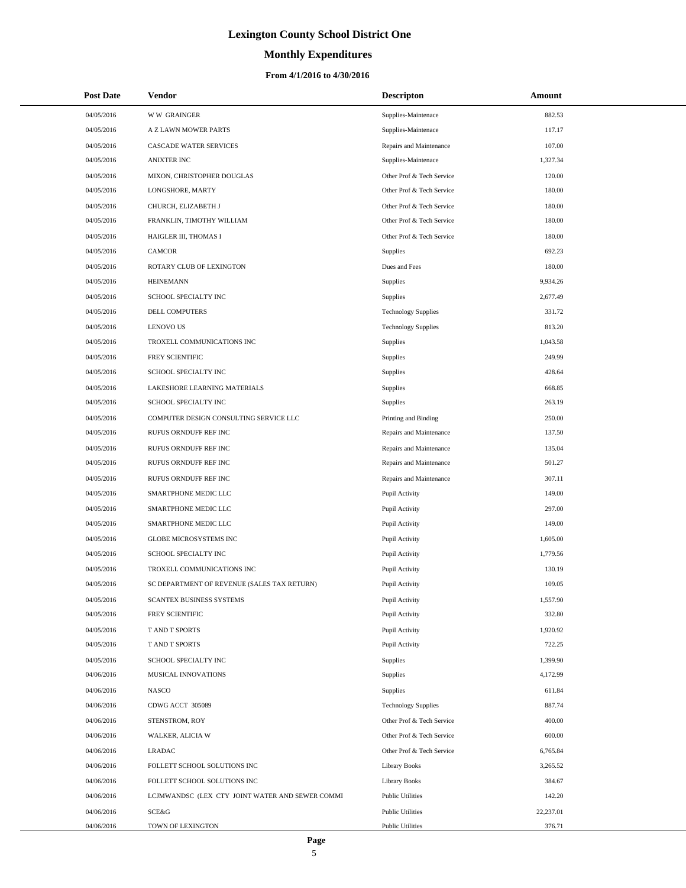# **Monthly Expenditures**

| <b>Post Date</b> | Vendor                                          | <b>Descripton</b>          | Amount    |
|------------------|-------------------------------------------------|----------------------------|-----------|
| 04/05/2016       | <b>WW GRAINGER</b>                              | Supplies-Maintenace        | 882.53    |
| 04/05/2016       | A Z LAWN MOWER PARTS                            | Supplies-Maintenace        | 117.17    |
| 04/05/2016       | CASCADE WATER SERVICES                          | Repairs and Maintenance    | 107.00    |
| 04/05/2016       | <b>ANIXTER INC</b>                              | Supplies-Maintenace        | 1,327.34  |
| 04/05/2016       | MIXON, CHRISTOPHER DOUGLAS                      | Other Prof & Tech Service  | 120.00    |
| 04/05/2016       | LONGSHORE, MARTY                                | Other Prof & Tech Service  | 180.00    |
| 04/05/2016       | CHURCH, ELIZABETH J                             | Other Prof & Tech Service  | 180.00    |
| 04/05/2016       | FRANKLIN, TIMOTHY WILLIAM                       | Other Prof & Tech Service  | 180.00    |
| 04/05/2016       | HAIGLER III, THOMAS I                           | Other Prof & Tech Service  | 180.00    |
| 04/05/2016       | <b>CAMCOR</b>                                   | Supplies                   | 692.23    |
| 04/05/2016       | ROTARY CLUB OF LEXINGTON                        | Dues and Fees              | 180.00    |
| 04/05/2016       | <b>HEINEMANN</b>                                | Supplies                   | 9,934.26  |
| 04/05/2016       | SCHOOL SPECIALTY INC                            | Supplies                   | 2,677.49  |
| 04/05/2016       | <b>DELL COMPUTERS</b>                           | <b>Technology Supplies</b> | 331.72    |
| 04/05/2016       | <b>LENOVO US</b>                                | <b>Technology Supplies</b> | 813.20    |
| 04/05/2016       | TROXELL COMMUNICATIONS INC                      | Supplies                   | 1,043.58  |
| 04/05/2016       | FREY SCIENTIFIC                                 | Supplies                   | 249.99    |
| 04/05/2016       | SCHOOL SPECIALTY INC                            | Supplies                   | 428.64    |
| 04/05/2016       | LAKESHORE LEARNING MATERIALS                    | Supplies                   | 668.85    |
| 04/05/2016       | SCHOOL SPECIALTY INC                            | Supplies                   | 263.19    |
| 04/05/2016       | COMPUTER DESIGN CONSULTING SERVICE LLC          | Printing and Binding       | 250.00    |
| 04/05/2016       | RUFUS ORNDUFF REF INC                           | Repairs and Maintenance    | 137.50    |
| 04/05/2016       | RUFUS ORNDUFF REF INC                           | Repairs and Maintenance    | 135.04    |
| 04/05/2016       | RUFUS ORNDUFF REF INC                           | Repairs and Maintenance    | 501.27    |
| 04/05/2016       | RUFUS ORNDUFF REF INC                           | Repairs and Maintenance    | 307.11    |
| 04/05/2016       | SMARTPHONE MEDIC LLC                            | Pupil Activity             | 149.00    |
| 04/05/2016       | SMARTPHONE MEDIC LLC                            | Pupil Activity             | 297.00    |
| 04/05/2016       | SMARTPHONE MEDIC LLC                            | Pupil Activity             | 149.00    |
| 04/05/2016       | <b>GLOBE MICROSYSTEMS INC</b>                   | Pupil Activity             | 1,605.00  |
| 04/05/2016       | SCHOOL SPECIALTY INC                            | Pupil Activity             | 1,779.56  |
| 04/05/2016       | TROXELL COMMUNICATIONS INC                      | Pupil Activity             | 130.19    |
| 04/05/2016       | SC DEPARTMENT OF REVENUE (SALES TAX RETURN)     | Pupil Activity             | 109.05    |
| 04/05/2016       | SCANTEX BUSINESS SYSTEMS                        | Pupil Activity             | 1,557.90  |
| 04/05/2016       | FREY SCIENTIFIC                                 | Pupil Activity             | 332.80    |
| 04/05/2016       | T AND T SPORTS                                  | Pupil Activity             | 1,920.92  |
| 04/05/2016       | T AND T SPORTS                                  | Pupil Activity             | 722.25    |
| 04/05/2016       | SCHOOL SPECIALTY INC                            | Supplies                   | 1,399.90  |
| 04/06/2016       | MUSICAL INNOVATIONS                             | Supplies                   | 4,172.99  |
| 04/06/2016       | NASCO                                           | Supplies                   | 611.84    |
| 04/06/2016       | CDWG ACCT 305089                                | <b>Technology Supplies</b> | 887.74    |
| 04/06/2016       | STENSTROM, ROY                                  | Other Prof & Tech Service  | 400.00    |
| 04/06/2016       | WALKER, ALICIA W                                | Other Prof & Tech Service  | 600.00    |
| 04/06/2016       | <b>LRADAC</b>                                   | Other Prof & Tech Service  | 6,765.84  |
| 04/06/2016       | FOLLETT SCHOOL SOLUTIONS INC                    | <b>Library Books</b>       | 3,265.52  |
| 04/06/2016       | FOLLETT SCHOOL SOLUTIONS INC                    | <b>Library Books</b>       | 384.67    |
| 04/06/2016       | LCJMWANDSC (LEX CTY JOINT WATER AND SEWER COMMI | <b>Public Utilities</b>    | 142.20    |
| 04/06/2016       | SCE&G                                           | <b>Public Utilities</b>    | 22,237.01 |
| 04/06/2016       | TOWN OF LEXINGTON                               | <b>Public Utilities</b>    | 376.71    |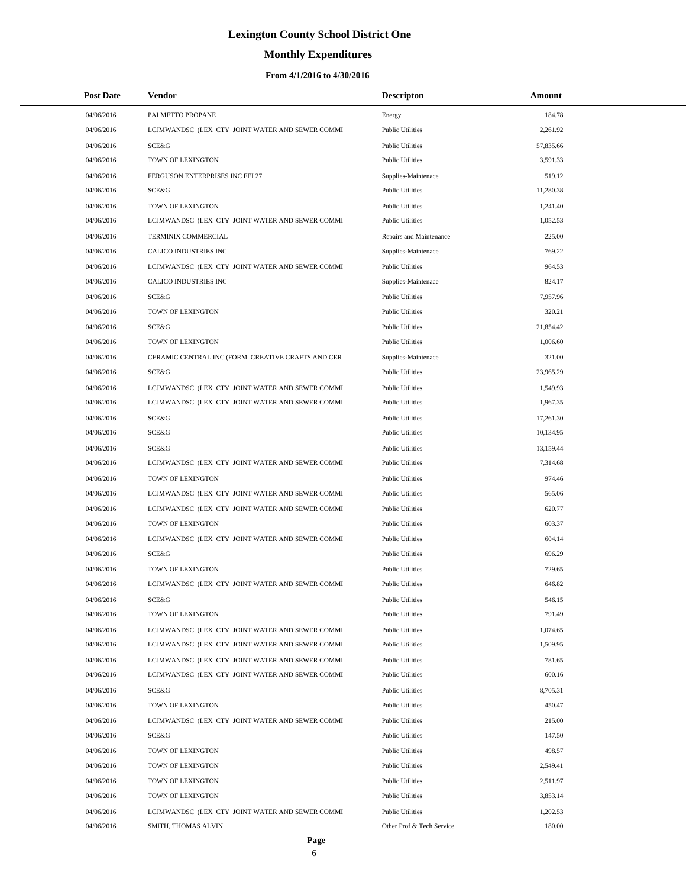# **Monthly Expenditures**

| <b>Post Date</b> | Vendor                                            | <b>Descripton</b>         | Amount    |  |
|------------------|---------------------------------------------------|---------------------------|-----------|--|
| 04/06/2016       | PALMETTO PROPANE                                  | Energy                    | 184.78    |  |
| 04/06/2016       | LCJMWANDSC (LEX CTY JOINT WATER AND SEWER COMMI   | <b>Public Utilities</b>   | 2,261.92  |  |
| 04/06/2016       | SCE&G                                             | <b>Public Utilities</b>   | 57,835.66 |  |
| 04/06/2016       | TOWN OF LEXINGTON                                 | <b>Public Utilities</b>   | 3,591.33  |  |
| 04/06/2016       | FERGUSON ENTERPRISES INC FEI 27                   | Supplies-Maintenace       | 519.12    |  |
| 04/06/2016       | <b>SCE&amp;G</b>                                  | <b>Public Utilities</b>   | 11,280.38 |  |
| 04/06/2016       | TOWN OF LEXINGTON                                 | <b>Public Utilities</b>   | 1,241.40  |  |
| 04/06/2016       | LCJMWANDSC (LEX CTY JOINT WATER AND SEWER COMMI   | <b>Public Utilities</b>   | 1,052.53  |  |
| 04/06/2016       | TERMINIX COMMERCIAL                               | Repairs and Maintenance   | 225.00    |  |
| 04/06/2016       | <b>CALICO INDUSTRIES INC</b>                      | Supplies-Maintenace       | 769.22    |  |
| 04/06/2016       | LCJMWANDSC (LEX CTY JOINT WATER AND SEWER COMMI   | <b>Public Utilities</b>   | 964.53    |  |
| 04/06/2016       | CALICO INDUSTRIES INC                             | Supplies-Maintenace       | 824.17    |  |
| 04/06/2016       | SCE&G                                             | <b>Public Utilities</b>   | 7,957.96  |  |
| 04/06/2016       | TOWN OF LEXINGTON                                 | <b>Public Utilities</b>   | 320.21    |  |
| 04/06/2016       | SCE&G                                             | <b>Public Utilities</b>   | 21,854.42 |  |
| 04/06/2016       | TOWN OF LEXINGTON                                 | <b>Public Utilities</b>   | 1,006.60  |  |
| 04/06/2016       | CERAMIC CENTRAL INC (FORM CREATIVE CRAFTS AND CER | Supplies-Maintenace       | 321.00    |  |
| 04/06/2016       | <b>SCE&amp;G</b>                                  | <b>Public Utilities</b>   | 23,965.29 |  |
| 04/06/2016       | LCJMWANDSC (LEX CTY JOINT WATER AND SEWER COMMI   | <b>Public Utilities</b>   | 1,549.93  |  |
| 04/06/2016       | LCJMWANDSC (LEX CTY JOINT WATER AND SEWER COMMI   | <b>Public Utilities</b>   | 1,967.35  |  |
| 04/06/2016       | SCE&G                                             | <b>Public Utilities</b>   | 17,261.30 |  |
| 04/06/2016       | SCE&G                                             | <b>Public Utilities</b>   | 10,134.95 |  |
| 04/06/2016       | SCE&G                                             | <b>Public Utilities</b>   | 13,159.44 |  |
| 04/06/2016       | LCJMWANDSC (LEX CTY JOINT WATER AND SEWER COMMI   | <b>Public Utilities</b>   | 7,314.68  |  |
| 04/06/2016       | TOWN OF LEXINGTON                                 | <b>Public Utilities</b>   | 974.46    |  |
| 04/06/2016       | LCJMWANDSC (LEX CTY JOINT WATER AND SEWER COMMI   | <b>Public Utilities</b>   | 565.06    |  |
| 04/06/2016       | LCJMWANDSC (LEX CTY JOINT WATER AND SEWER COMMI   | <b>Public Utilities</b>   | 620.77    |  |
| 04/06/2016       | TOWN OF LEXINGTON                                 | <b>Public Utilities</b>   | 603.37    |  |
| 04/06/2016       | LCJMWANDSC (LEX CTY JOINT WATER AND SEWER COMMI   | <b>Public Utilities</b>   | 604.14    |  |
| 04/06/2016       | <b>SCE&amp;G</b>                                  | <b>Public Utilities</b>   | 696.29    |  |
| 04/06/2016       | TOWN OF LEXINGTON                                 | <b>Public Utilities</b>   | 729.65    |  |
| 04/06/2016       | LCJMWANDSC (LEX CTY JOINT WATER AND SEWER COMMI   | <b>Public Utilities</b>   | 646.82    |  |
| 04/06/2016       | SCE&G                                             | <b>Public Utilities</b>   | 546.15    |  |
| 04/06/2016       | TOWN OF LEXINGTON                                 | <b>Public Utilities</b>   | 791.49    |  |
| 04/06/2016       | LCJMWANDSC (LEX CTY JOINT WATER AND SEWER COMMI   | <b>Public Utilities</b>   | 1,074.65  |  |
| 04/06/2016       | LCJMWANDSC (LEX CTY JOINT WATER AND SEWER COMMI   | <b>Public Utilities</b>   | 1,509.95  |  |
| 04/06/2016       | LCJMWANDSC (LEX CTY JOINT WATER AND SEWER COMMI   | <b>Public Utilities</b>   | 781.65    |  |
| 04/06/2016       | LCJMWANDSC (LEX CTY JOINT WATER AND SEWER COMMI   | <b>Public Utilities</b>   | 600.16    |  |
| 04/06/2016       | SCE&G                                             | <b>Public Utilities</b>   | 8,705.31  |  |
| 04/06/2016       | TOWN OF LEXINGTON                                 | <b>Public Utilities</b>   | 450.47    |  |
| 04/06/2016       | LCJMWANDSC (LEX CTY JOINT WATER AND SEWER COMMI   | <b>Public Utilities</b>   | 215.00    |  |
| 04/06/2016       | <b>SCE&amp;G</b>                                  | <b>Public Utilities</b>   | 147.50    |  |
| 04/06/2016       | TOWN OF LEXINGTON                                 | <b>Public Utilities</b>   | 498.57    |  |
| 04/06/2016       | TOWN OF LEXINGTON                                 | <b>Public Utilities</b>   | 2,549.41  |  |
| 04/06/2016       | TOWN OF LEXINGTON                                 | <b>Public Utilities</b>   | 2,511.97  |  |
| 04/06/2016       | TOWN OF LEXINGTON                                 | <b>Public Utilities</b>   | 3,853.14  |  |
| 04/06/2016       | LCJMWANDSC (LEX CTY JOINT WATER AND SEWER COMMI   | <b>Public Utilities</b>   | 1,202.53  |  |
| 04/06/2016       | SMITH, THOMAS ALVIN                               | Other Prof & Tech Service | 180.00    |  |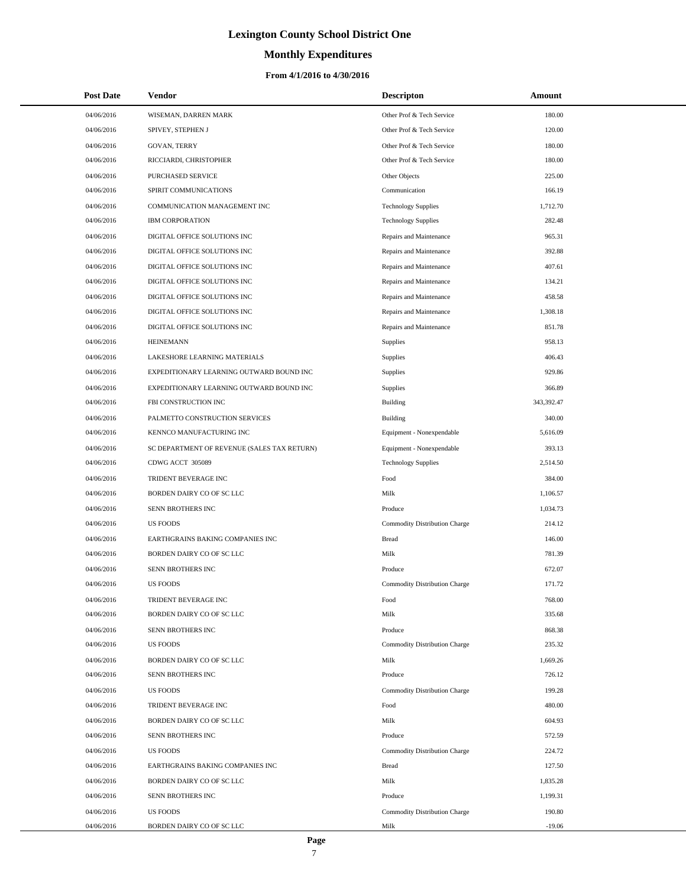# **Monthly Expenditures**

### **From 4/1/2016 to 4/30/2016**

| <b>Post Date</b> | <b>Vendor</b>                               | <b>Descripton</b>                    | Amount     |
|------------------|---------------------------------------------|--------------------------------------|------------|
| 04/06/2016       | WISEMAN, DARREN MARK                        | Other Prof & Tech Service            | 180.00     |
| 04/06/2016       | SPIVEY, STEPHEN J                           | Other Prof & Tech Service            | 120.00     |
| 04/06/2016       | <b>GOVAN, TERRY</b>                         | Other Prof & Tech Service            | 180.00     |
| 04/06/2016       | RICCIARDI, CHRISTOPHER                      | Other Prof & Tech Service            | 180.00     |
| 04/06/2016       | PURCHASED SERVICE                           | Other Objects                        | 225.00     |
| 04/06/2016       | SPIRIT COMMUNICATIONS                       | Communication                        | 166.19     |
| 04/06/2016       | COMMUNICATION MANAGEMENT INC                | <b>Technology Supplies</b>           | 1,712.70   |
| 04/06/2016       | <b>IBM CORPORATION</b>                      | <b>Technology Supplies</b>           | 282.48     |
| 04/06/2016       | DIGITAL OFFICE SOLUTIONS INC                | Repairs and Maintenance              | 965.31     |
| 04/06/2016       | DIGITAL OFFICE SOLUTIONS INC                | Repairs and Maintenance              | 392.88     |
| 04/06/2016       | DIGITAL OFFICE SOLUTIONS INC                | Repairs and Maintenance              | 407.61     |
| 04/06/2016       | DIGITAL OFFICE SOLUTIONS INC                | Repairs and Maintenance              | 134.21     |
| 04/06/2016       | DIGITAL OFFICE SOLUTIONS INC                | Repairs and Maintenance              | 458.58     |
| 04/06/2016       | DIGITAL OFFICE SOLUTIONS INC                | Repairs and Maintenance              | 1,308.18   |
| 04/06/2016       | DIGITAL OFFICE SOLUTIONS INC                | Repairs and Maintenance              | 851.78     |
| 04/06/2016       | <b>HEINEMANN</b>                            | Supplies                             | 958.13     |
| 04/06/2016       | LAKESHORE LEARNING MATERIALS                | Supplies                             | 406.43     |
| 04/06/2016       | EXPEDITIONARY LEARNING OUTWARD BOUND INC    | Supplies                             | 929.86     |
| 04/06/2016       | EXPEDITIONARY LEARNING OUTWARD BOUND INC    | Supplies                             | 366.89     |
| 04/06/2016       | FBI CONSTRUCTION INC                        | <b>Building</b>                      | 343,392.47 |
| 04/06/2016       | PALMETTO CONSTRUCTION SERVICES              | <b>Building</b>                      | 340.00     |
| 04/06/2016       | KENNCO MANUFACTURING INC                    | Equipment - Nonexpendable            | 5,616.09   |
| 04/06/2016       | SC DEPARTMENT OF REVENUE (SALES TAX RETURN) | Equipment - Nonexpendable            | 393.13     |
| 04/06/2016       | CDWG ACCT 305089                            | <b>Technology Supplies</b>           | 2,514.50   |
| 04/06/2016       | TRIDENT BEVERAGE INC                        | Food                                 | 384.00     |
| 04/06/2016       | BORDEN DAIRY CO OF SC LLC                   | Milk                                 | 1,106.57   |
| 04/06/2016       | SENN BROTHERS INC                           | Produce                              | 1,034.73   |
| 04/06/2016       | <b>US FOODS</b>                             | Commodity Distribution Charge        | 214.12     |
| 04/06/2016       | EARTHGRAINS BAKING COMPANIES INC            | <b>Bread</b>                         | 146.00     |
| 04/06/2016       | BORDEN DAIRY CO OF SC LLC                   | Milk                                 | 781.39     |
| 04/06/2016       | SENN BROTHERS INC                           | Produce                              | 672.07     |
| 04/06/2016       | <b>US FOODS</b>                             | Commodity Distribution Charge        | 171.72     |
| 04/06/2016       | TRIDENT BEVERAGE INC                        | Food                                 | 768.00     |
| 04/06/2016       | BORDEN DAIRY CO OF SC LLC                   | Milk                                 | 335.68     |
| 04/06/2016       | SENN BROTHERS INC                           | Produce                              | 868.38     |
| 04/06/2016       | <b>US FOODS</b>                             | <b>Commodity Distribution Charge</b> | 235.32     |
| 04/06/2016       | BORDEN DAIRY CO OF SC LLC                   | Milk                                 | 1,669.26   |
| 04/06/2016       | SENN BROTHERS INC                           | Produce                              | 726.12     |
| 04/06/2016       | <b>US FOODS</b>                             | Commodity Distribution Charge        | 199.28     |
| 04/06/2016       | TRIDENT BEVERAGE INC                        | Food                                 | 480.00     |
| 04/06/2016       | BORDEN DAIRY CO OF SC LLC                   | Milk                                 | 604.93     |
| 04/06/2016       | SENN BROTHERS INC                           | Produce                              | 572.59     |
| 04/06/2016       | <b>US FOODS</b>                             | Commodity Distribution Charge        | 224.72     |
| 04/06/2016       | EARTHGRAINS BAKING COMPANIES INC            | <b>Bread</b>                         | 127.50     |
| 04/06/2016       | BORDEN DAIRY CO OF SC LLC                   | Milk                                 | 1,835.28   |
| 04/06/2016       | SENN BROTHERS INC                           | Produce                              | 1,199.31   |
| 04/06/2016       | <b>US FOODS</b>                             | Commodity Distribution Charge        | 190.80     |
| 04/06/2016       | BORDEN DAIRY CO OF SC LLC                   | Milk                                 | $-19.06$   |

L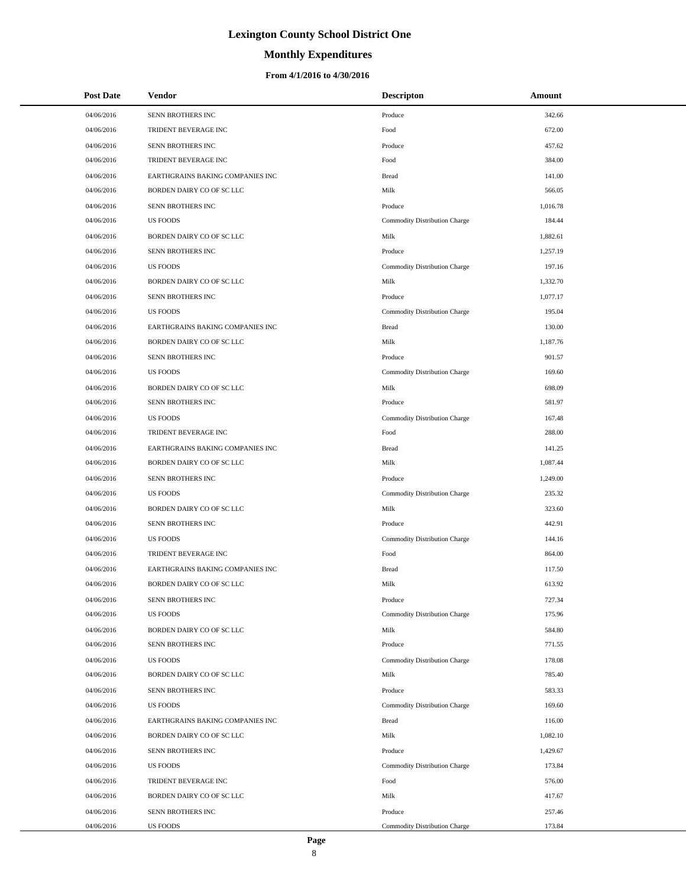# **Monthly Expenditures**

### **From 4/1/2016 to 4/30/2016**

| <b>Post Date</b> | Vendor                           | <b>Descripton</b>                    | Amount   |
|------------------|----------------------------------|--------------------------------------|----------|
| 04/06/2016       | SENN BROTHERS INC                | Produce                              | 342.66   |
| 04/06/2016       | TRIDENT BEVERAGE INC             | Food                                 | 672.00   |
| 04/06/2016       | SENN BROTHERS INC                | Produce                              | 457.62   |
| 04/06/2016       | TRIDENT BEVERAGE INC             | Food                                 | 384.00   |
| 04/06/2016       | EARTHGRAINS BAKING COMPANIES INC | <b>Bread</b>                         | 141.00   |
| 04/06/2016       | BORDEN DAIRY CO OF SC LLC        | Milk                                 | 566.05   |
| 04/06/2016       | SENN BROTHERS INC                | Produce                              | 1,016.78 |
| 04/06/2016       | <b>US FOODS</b>                  | Commodity Distribution Charge        | 184.44   |
| 04/06/2016       | BORDEN DAIRY CO OF SC LLC        | Milk                                 | 1,882.61 |
| 04/06/2016       | SENN BROTHERS INC                | Produce                              | 1,257.19 |
| 04/06/2016       | <b>US FOODS</b>                  | Commodity Distribution Charge        | 197.16   |
| 04/06/2016       | BORDEN DAIRY CO OF SC LLC        | Milk                                 | 1,332.70 |
| 04/06/2016       | SENN BROTHERS INC                | Produce                              | 1,077.17 |
| 04/06/2016       | <b>US FOODS</b>                  | Commodity Distribution Charge        | 195.04   |
| 04/06/2016       | EARTHGRAINS BAKING COMPANIES INC | <b>Bread</b>                         | 130.00   |
| 04/06/2016       | BORDEN DAIRY CO OF SC LLC        | Milk                                 | 1,187.76 |
| 04/06/2016       | SENN BROTHERS INC                | Produce                              | 901.57   |
| 04/06/2016       | <b>US FOODS</b>                  | Commodity Distribution Charge        | 169.60   |
| 04/06/2016       | BORDEN DAIRY CO OF SC LLC        | Milk                                 | 698.09   |
| 04/06/2016       | SENN BROTHERS INC                | Produce                              | 581.97   |
| 04/06/2016       | <b>US FOODS</b>                  | Commodity Distribution Charge        | 167.48   |
| 04/06/2016       | TRIDENT BEVERAGE INC             | Food                                 | 288.00   |
| 04/06/2016       | EARTHGRAINS BAKING COMPANIES INC | <b>Bread</b>                         | 141.25   |
| 04/06/2016       | BORDEN DAIRY CO OF SC LLC        | Milk                                 | 1,087.44 |
| 04/06/2016       | SENN BROTHERS INC                | Produce                              | 1,249.00 |
| 04/06/2016       | <b>US FOODS</b>                  | Commodity Distribution Charge        | 235.32   |
| 04/06/2016       | BORDEN DAIRY CO OF SC LLC        | Milk                                 | 323.60   |
| 04/06/2016       | SENN BROTHERS INC                | Produce                              | 442.91   |
| 04/06/2016       | <b>US FOODS</b>                  | Commodity Distribution Charge        | 144.16   |
| 04/06/2016       | TRIDENT BEVERAGE INC             | Food                                 | 864.00   |
| 04/06/2016       | EARTHGRAINS BAKING COMPANIES INC | <b>Bread</b>                         | 117.50   |
| 04/06/2016       | BORDEN DAIRY CO OF SC LLC        | Milk                                 | 613.92   |
| 04/06/2016       | SENN BROTHERS INC                | Produce                              | 727.34   |
| 04/06/2016       | <b>US FOODS</b>                  | <b>Commodity Distribution Charge</b> | 175.96   |
| 04/06/2016       | BORDEN DAIRY CO OF SC LLC        | Milk                                 | 584.80   |
| 04/06/2016       | SENN BROTHERS INC                | Produce                              | 771.55   |
| 04/06/2016       | <b>US FOODS</b>                  | Commodity Distribution Charge        | 178.08   |
| 04/06/2016       | BORDEN DAIRY CO OF SC LLC        | Milk                                 | 785.40   |
| 04/06/2016       | SENN BROTHERS INC                | Produce                              | 583.33   |
| 04/06/2016       | <b>US FOODS</b>                  | Commodity Distribution Charge        | 169.60   |
| 04/06/2016       | EARTHGRAINS BAKING COMPANIES INC | <b>Bread</b>                         | 116.00   |
| 04/06/2016       | BORDEN DAIRY CO OF SC LLC        | Milk                                 | 1,082.10 |
| 04/06/2016       | SENN BROTHERS INC                | Produce                              | 1,429.67 |
| 04/06/2016       | <b>US FOODS</b>                  | Commodity Distribution Charge        | 173.84   |
| 04/06/2016       | TRIDENT BEVERAGE INC             | Food                                 | 576.00   |
| 04/06/2016       | BORDEN DAIRY CO OF SC LLC        | Milk                                 | 417.67   |
| 04/06/2016       | SENN BROTHERS INC                | Produce                              | 257.46   |
| 04/06/2016       | <b>US FOODS</b>                  | Commodity Distribution Charge        | 173.84   |

 $\overline{a}$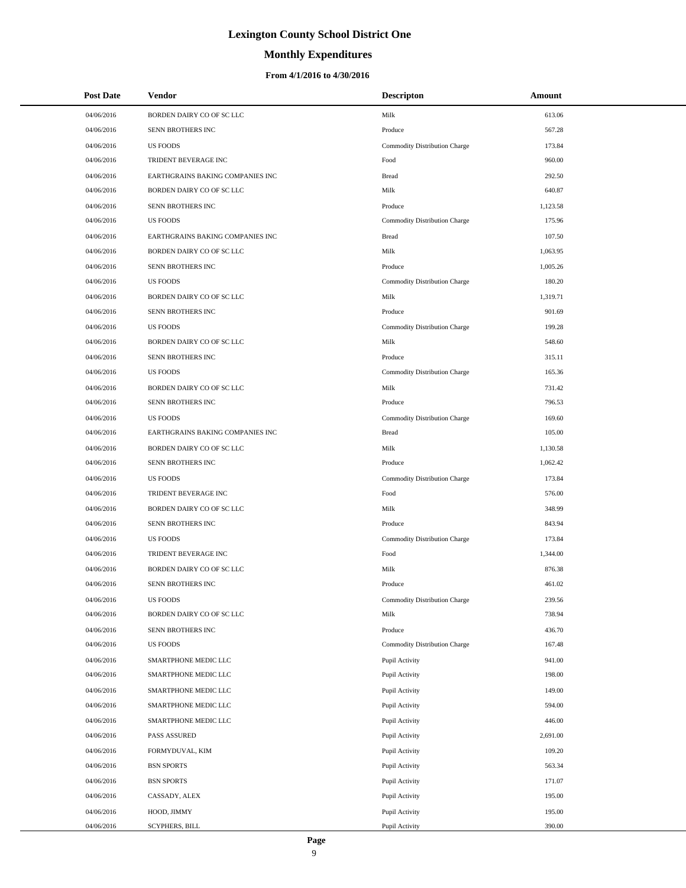### **Monthly Expenditures**

### **From 4/1/2016 to 4/30/2016**

| <b>Post Date</b> | <b>Vendor</b>                    | <b>Descripton</b>             | Amount   |
|------------------|----------------------------------|-------------------------------|----------|
| 04/06/2016       | BORDEN DAIRY CO OF SC LLC        | Milk                          | 613.06   |
| 04/06/2016       | SENN BROTHERS INC                | Produce                       | 567.28   |
| 04/06/2016       | <b>US FOODS</b>                  | Commodity Distribution Charge | 173.84   |
| 04/06/2016       | TRIDENT BEVERAGE INC             | Food                          | 960.00   |
| 04/06/2016       | EARTHGRAINS BAKING COMPANIES INC | <b>Bread</b>                  | 292.50   |
| 04/06/2016       | BORDEN DAIRY CO OF SC LLC        | Milk                          | 640.87   |
| 04/06/2016       | <b>SENN BROTHERS INC</b>         | Produce                       | 1,123.58 |
| 04/06/2016       | <b>US FOODS</b>                  | Commodity Distribution Charge | 175.96   |
| 04/06/2016       | EARTHGRAINS BAKING COMPANIES INC | <b>Bread</b>                  | 107.50   |
| 04/06/2016       | BORDEN DAIRY CO OF SC LLC        | Milk                          | 1,063.95 |
| 04/06/2016       | SENN BROTHERS INC                | Produce                       | 1,005.26 |
| 04/06/2016       | <b>US FOODS</b>                  | Commodity Distribution Charge | 180.20   |
| 04/06/2016       | BORDEN DAIRY CO OF SC LLC        | Milk                          | 1,319.71 |
| 04/06/2016       | SENN BROTHERS INC                | Produce                       | 901.69   |
| 04/06/2016       | <b>US FOODS</b>                  | Commodity Distribution Charge | 199.28   |
| 04/06/2016       | BORDEN DAIRY CO OF SC LLC        | Milk                          | 548.60   |
| 04/06/2016       | SENN BROTHERS INC                | Produce                       | 315.11   |
| 04/06/2016       | <b>US FOODS</b>                  | Commodity Distribution Charge | 165.36   |
| 04/06/2016       | BORDEN DAIRY CO OF SC LLC        | Milk                          | 731.42   |
| 04/06/2016       | SENN BROTHERS INC                | Produce                       | 796.53   |
| 04/06/2016       | <b>US FOODS</b>                  | Commodity Distribution Charge | 169.60   |
| 04/06/2016       | EARTHGRAINS BAKING COMPANIES INC | <b>Bread</b>                  | 105.00   |
| 04/06/2016       | BORDEN DAIRY CO OF SC LLC        | Milk                          | 1,130.58 |
| 04/06/2016       | SENN BROTHERS INC                | Produce                       | 1,062.42 |
| 04/06/2016       | <b>US FOODS</b>                  | Commodity Distribution Charge | 173.84   |
| 04/06/2016       | TRIDENT BEVERAGE INC             | Food                          | 576.00   |
| 04/06/2016       | BORDEN DAIRY CO OF SC LLC        | Milk                          | 348.99   |
| 04/06/2016       | SENN BROTHERS INC                | Produce                       | 843.94   |
| 04/06/2016       | <b>US FOODS</b>                  | Commodity Distribution Charge | 173.84   |
| 04/06/2016       | TRIDENT BEVERAGE INC             | Food                          | 1,344.00 |
| 04/06/2016       | BORDEN DAIRY CO OF SC LLC        | Milk                          | 876.38   |
| 04/06/2016       | SENN BROTHERS INC                | Produce                       | 461.02   |
| 04/06/2016       | <b>US FOODS</b>                  | Commodity Distribution Charge | 239.56   |
| 04/06/2016       | BORDEN DAIRY CO OF SC LLC        | Milk                          | 738.94   |
| 04/06/2016       | SENN BROTHERS INC                | Produce                       | 436.70   |
| 04/06/2016       | <b>US FOODS</b>                  | Commodity Distribution Charge | 167.48   |
| 04/06/2016       | SMARTPHONE MEDIC LLC             | Pupil Activity                | 941.00   |
| 04/06/2016       | SMARTPHONE MEDIC LLC             | Pupil Activity                | 198.00   |
| 04/06/2016       | SMARTPHONE MEDIC LLC             | Pupil Activity                | 149.00   |
| 04/06/2016       | SMARTPHONE MEDIC LLC             | Pupil Activity                | 594.00   |
| 04/06/2016       | SMARTPHONE MEDIC LLC             | Pupil Activity                | 446.00   |
| 04/06/2016       | PASS ASSURED                     | Pupil Activity                | 2,691.00 |
| 04/06/2016       | FORMYDUVAL, KIM                  | Pupil Activity                | 109.20   |
| 04/06/2016       | <b>BSN SPORTS</b>                | Pupil Activity                | 563.34   |
| 04/06/2016       | <b>BSN SPORTS</b>                | Pupil Activity                | 171.07   |
| 04/06/2016       | CASSADY, ALEX                    | Pupil Activity                | 195.00   |
| 04/06/2016       | HOOD, JIMMY                      | Pupil Activity                | 195.00   |
| 04/06/2016       | SCYPHERS, BILL                   | Pupil Activity                | 390.00   |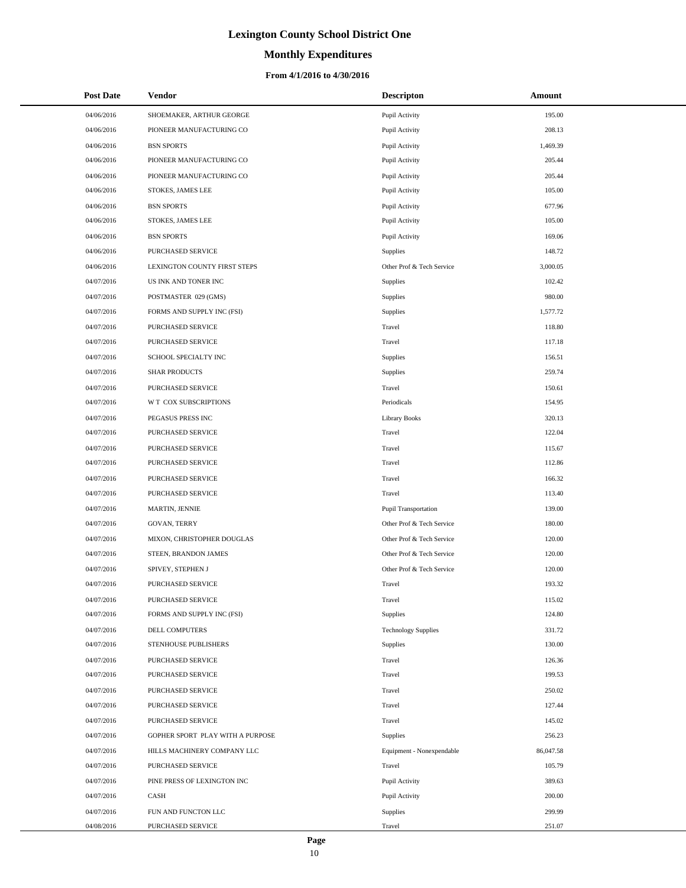# **Monthly Expenditures**

### **From 4/1/2016 to 4/30/2016**

| <b>Post Date</b> | Vendor                           | <b>Descripton</b>          | Amount    |
|------------------|----------------------------------|----------------------------|-----------|
| 04/06/2016       | SHOEMAKER, ARTHUR GEORGE         | Pupil Activity             | 195.00    |
| 04/06/2016       | PIONEER MANUFACTURING CO         | Pupil Activity             | 208.13    |
| 04/06/2016       | <b>BSN SPORTS</b>                | Pupil Activity             | 1,469.39  |
| 04/06/2016       | PIONEER MANUFACTURING CO         | Pupil Activity             | 205.44    |
| 04/06/2016       | PIONEER MANUFACTURING CO         | Pupil Activity             | 205.44    |
| 04/06/2016       | STOKES, JAMES LEE                | Pupil Activity             | 105.00    |
| 04/06/2016       | <b>BSN SPORTS</b>                | Pupil Activity             | 677.96    |
| 04/06/2016       | <b>STOKES, JAMES LEE</b>         | Pupil Activity             | 105.00    |
| 04/06/2016       | <b>BSN SPORTS</b>                | Pupil Activity             | 169.06    |
| 04/06/2016       | <b>PURCHASED SERVICE</b>         | Supplies                   | 148.72    |
| 04/06/2016       | LEXINGTON COUNTY FIRST STEPS     | Other Prof & Tech Service  | 3,000.05  |
| 04/07/2016       | US INK AND TONER INC             | Supplies                   | 102.42    |
| 04/07/2016       | POSTMASTER 029 (GMS)             | Supplies                   | 980.00    |
| 04/07/2016       | FORMS AND SUPPLY INC (FSI)       | Supplies                   | 1,577.72  |
| 04/07/2016       | PURCHASED SERVICE                | Travel                     | 118.80    |
| 04/07/2016       | PURCHASED SERVICE                | Travel                     | 117.18    |
| 04/07/2016       | SCHOOL SPECIALTY INC             | Supplies                   | 156.51    |
| 04/07/2016       | <b>SHAR PRODUCTS</b>             | Supplies                   | 259.74    |
| 04/07/2016       | PURCHASED SERVICE                | Travel                     | 150.61    |
| 04/07/2016       | W T COX SUBSCRIPTIONS            | Periodicals                | 154.95    |
| 04/07/2016       | PEGASUS PRESS INC                | <b>Library Books</b>       | 320.13    |
| 04/07/2016       | PURCHASED SERVICE                | Travel                     | 122.04    |
| 04/07/2016       | PURCHASED SERVICE                | Travel                     | 115.67    |
| 04/07/2016       | PURCHASED SERVICE                | Travel                     | 112.86    |
| 04/07/2016       | PURCHASED SERVICE                | Travel                     | 166.32    |
| 04/07/2016       | PURCHASED SERVICE                | Travel                     | 113.40    |
| 04/07/2016       | MARTIN, JENNIE                   | Pupil Transportation       | 139.00    |
| 04/07/2016       | <b>GOVAN, TERRY</b>              | Other Prof & Tech Service  | 180.00    |
| 04/07/2016       | MIXON, CHRISTOPHER DOUGLAS       | Other Prof & Tech Service  | 120.00    |
| 04/07/2016       | STEEN, BRANDON JAMES             | Other Prof & Tech Service  | 120.00    |
| 04/07/2016       | SPIVEY, STEPHEN J                | Other Prof & Tech Service  | 120.00    |
| 04/07/2016       | PURCHASED SERVICE                | Travel                     | 193.32    |
| 04/07/2016       | PURCHASED SERVICE                | Travel                     | 115.02    |
| 04/07/2016       | FORMS AND SUPPLY INC (FSI)       | <b>Supplies</b>            | 124.80    |
| 04/07/2016       | DELL COMPUTERS                   | <b>Technology Supplies</b> | 331.72    |
| 04/07/2016       | STENHOUSE PUBLISHERS             | Supplies                   | 130.00    |
| 04/07/2016       | PURCHASED SERVICE                | Travel                     | 126.36    |
| 04/07/2016       | PURCHASED SERVICE                | Travel                     | 199.53    |
| 04/07/2016       | PURCHASED SERVICE                | Travel                     | 250.02    |
| 04/07/2016       | PURCHASED SERVICE                | Travel                     | 127.44    |
| 04/07/2016       | PURCHASED SERVICE                | Travel                     | 145.02    |
| 04/07/2016       | GOPHER SPORT PLAY WITH A PURPOSE | Supplies                   | 256.23    |
| 04/07/2016       | HILLS MACHINERY COMPANY LLC      | Equipment - Nonexpendable  | 86,047.58 |
| 04/07/2016       | PURCHASED SERVICE                | Travel                     | 105.79    |
| 04/07/2016       | PINE PRESS OF LEXINGTON INC      | Pupil Activity             | 389.63    |
| 04/07/2016       | CASH                             | Pupil Activity             | 200.00    |
| 04/07/2016       | FUN AND FUNCTON LLC              | Supplies                   | 299.99    |
| 04/08/2016       | PURCHASED SERVICE                | Travel                     | 251.07    |

 $\overline{a}$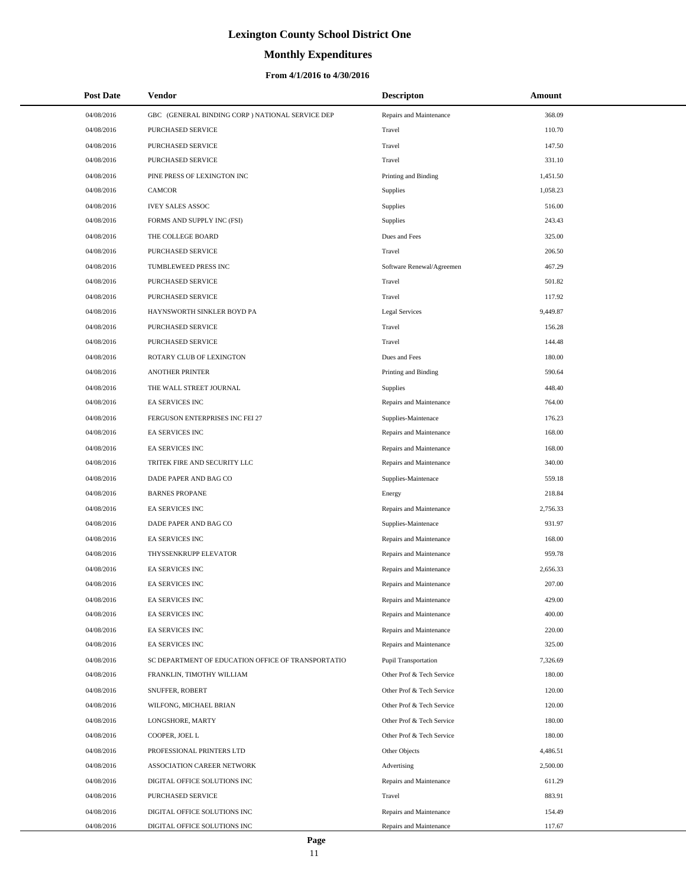# **Monthly Expenditures**

### **From 4/1/2016 to 4/30/2016**

| <b>Post Date</b> | <b>Vendor</b>                                      | <b>Descripton</b>         | Amount   |  |
|------------------|----------------------------------------------------|---------------------------|----------|--|
| 04/08/2016       | GBC (GENERAL BINDING CORP) NATIONAL SERVICE DEP    | Repairs and Maintenance   | 368.09   |  |
| 04/08/2016       | <b>PURCHASED SERVICE</b>                           | Travel                    | 110.70   |  |
| 04/08/2016       | PURCHASED SERVICE                                  | Travel                    | 147.50   |  |
| 04/08/2016       | PURCHASED SERVICE                                  | Travel                    | 331.10   |  |
| 04/08/2016       | PINE PRESS OF LEXINGTON INC                        | Printing and Binding      | 1,451.50 |  |
| 04/08/2016       | <b>CAMCOR</b>                                      | Supplies                  | 1,058.23 |  |
| 04/08/2016       | <b>IVEY SALES ASSOC</b>                            | Supplies                  | 516.00   |  |
| 04/08/2016       | FORMS AND SUPPLY INC (FSI)                         | Supplies                  | 243.43   |  |
| 04/08/2016       | THE COLLEGE BOARD                                  | Dues and Fees             | 325.00   |  |
| 04/08/2016       | <b>PURCHASED SERVICE</b>                           | Travel                    | 206.50   |  |
| 04/08/2016       | TUMBLEWEED PRESS INC                               | Software Renewal/Agreemen | 467.29   |  |
| 04/08/2016       | PURCHASED SERVICE                                  | Travel                    | 501.82   |  |
| 04/08/2016       | PURCHASED SERVICE                                  | Travel                    | 117.92   |  |
| 04/08/2016       | HAYNSWORTH SINKLER BOYD PA                         | <b>Legal Services</b>     | 9,449.87 |  |
| 04/08/2016       | PURCHASED SERVICE                                  | Travel                    | 156.28   |  |
| 04/08/2016       | PURCHASED SERVICE                                  | Travel                    | 144.48   |  |
| 04/08/2016       | ROTARY CLUB OF LEXINGTON                           | Dues and Fees             | 180.00   |  |
| 04/08/2016       | <b>ANOTHER PRINTER</b>                             | Printing and Binding      | 590.64   |  |
| 04/08/2016       | THE WALL STREET JOURNAL                            | <b>Supplies</b>           | 448.40   |  |
| 04/08/2016       | <b>EA SERVICES INC</b>                             | Repairs and Maintenance   | 764.00   |  |
| 04/08/2016       | FERGUSON ENTERPRISES INC FEI 27                    | Supplies-Maintenace       | 176.23   |  |
| 04/08/2016       | EA SERVICES INC                                    | Repairs and Maintenance   | 168.00   |  |
| 04/08/2016       | EA SERVICES INC                                    | Repairs and Maintenance   | 168.00   |  |
| 04/08/2016       | TRITEK FIRE AND SECURITY LLC                       | Repairs and Maintenance   | 340.00   |  |
| 04/08/2016       | DADE PAPER AND BAG CO                              | Supplies-Maintenace       | 559.18   |  |
| 04/08/2016       | <b>BARNES PROPANE</b>                              | Energy                    | 218.84   |  |
| 04/08/2016       | <b>EA SERVICES INC</b>                             | Repairs and Maintenance   | 2,756.33 |  |
| 04/08/2016       | DADE PAPER AND BAG CO                              | Supplies-Maintenace       | 931.97   |  |
| 04/08/2016       | <b>EA SERVICES INC</b>                             | Repairs and Maintenance   | 168.00   |  |
| 04/08/2016       | THYSSENKRUPP ELEVATOR                              | Repairs and Maintenance   | 959.78   |  |
| 04/08/2016       | <b>EA SERVICES INC</b>                             | Repairs and Maintenance   | 2,656.33 |  |
| 04/08/2016       | <b>EA SERVICES INC</b>                             | Repairs and Maintenance   | 207.00   |  |
| 04/08/2016       | <b>EA SERVICES INC</b>                             | Repairs and Maintenance   | 429.00   |  |
| 04/08/2016       | <b>EA SERVICES INC</b>                             | Repairs and Maintenance   | 400.00   |  |
| 04/08/2016       | EA SERVICES INC                                    | Repairs and Maintenance   | 220.00   |  |
| 04/08/2016       | <b>EA SERVICES INC</b>                             | Repairs and Maintenance   | 325.00   |  |
| 04/08/2016       | SC DEPARTMENT OF EDUCATION OFFICE OF TRANSPORTATIO | Pupil Transportation      | 7,326.69 |  |
| 04/08/2016       | FRANKLIN, TIMOTHY WILLIAM                          | Other Prof & Tech Service | 180.00   |  |
| 04/08/2016       | SNUFFER, ROBERT                                    | Other Prof & Tech Service | 120.00   |  |
| 04/08/2016       | WILFONG, MICHAEL BRIAN                             | Other Prof & Tech Service | 120.00   |  |
| 04/08/2016       | LONGSHORE, MARTY                                   | Other Prof & Tech Service | 180.00   |  |
| 04/08/2016       | COOPER, JOEL L                                     | Other Prof & Tech Service | 180.00   |  |
| 04/08/2016       | PROFESSIONAL PRINTERS LTD                          | Other Objects             | 4,486.51 |  |
| 04/08/2016       | ASSOCIATION CAREER NETWORK                         | Advertising               | 2,500.00 |  |
| 04/08/2016       | DIGITAL OFFICE SOLUTIONS INC                       | Repairs and Maintenance   | 611.29   |  |
| 04/08/2016       | PURCHASED SERVICE                                  | Travel                    | 883.91   |  |
| 04/08/2016       | DIGITAL OFFICE SOLUTIONS INC                       | Repairs and Maintenance   | 154.49   |  |
| 04/08/2016       | DIGITAL OFFICE SOLUTIONS INC                       | Repairs and Maintenance   | 117.67   |  |

 $\overline{a}$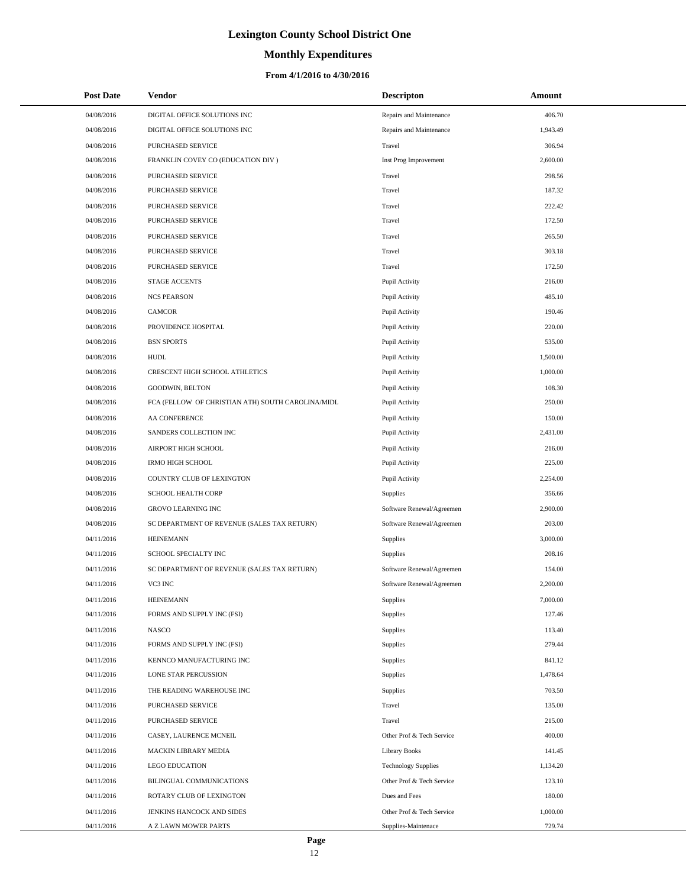# **Monthly Expenditures**

| <b>Post Date</b> | Vendor                                            | <b>Descripton</b>          | Amount   |
|------------------|---------------------------------------------------|----------------------------|----------|
| 04/08/2016       | DIGITAL OFFICE SOLUTIONS INC                      | Repairs and Maintenance    | 406.70   |
| 04/08/2016       | DIGITAL OFFICE SOLUTIONS INC                      | Repairs and Maintenance    | 1,943.49 |
| 04/08/2016       | PURCHASED SERVICE                                 | Travel                     | 306.94   |
| 04/08/2016       | FRANKLIN COVEY CO (EDUCATION DIV)                 | Inst Prog Improvement      | 2,600.00 |
| 04/08/2016       | PURCHASED SERVICE                                 | Travel                     | 298.56   |
| 04/08/2016       | PURCHASED SERVICE                                 | Travel                     | 187.32   |
| 04/08/2016       | PURCHASED SERVICE                                 | Travel                     | 222.42   |
| 04/08/2016       | PURCHASED SERVICE                                 | Travel                     | 172.50   |
| 04/08/2016       | PURCHASED SERVICE                                 | Travel                     | 265.50   |
| 04/08/2016       | PURCHASED SERVICE                                 | Travel                     | 303.18   |
| 04/08/2016       | PURCHASED SERVICE                                 | Travel                     | 172.50   |
| 04/08/2016       | <b>STAGE ACCENTS</b>                              | Pupil Activity             | 216.00   |
| 04/08/2016       | <b>NCS PEARSON</b>                                | Pupil Activity             | 485.10   |
| 04/08/2016       | <b>CAMCOR</b>                                     | Pupil Activity             | 190.46   |
| 04/08/2016       | PROVIDENCE HOSPITAL                               | Pupil Activity             | 220.00   |
| 04/08/2016       | <b>BSN SPORTS</b>                                 | Pupil Activity             | 535.00   |
| 04/08/2016       | HUDL                                              | Pupil Activity             | 1,500.00 |
| 04/08/2016       | <b>CRESCENT HIGH SCHOOL ATHLETICS</b>             | Pupil Activity             | 1,000.00 |
| 04/08/2016       | GOODWIN, BELTON                                   | Pupil Activity             | 108.30   |
| 04/08/2016       | FCA (FELLOW OF CHRISTIAN ATH) SOUTH CAROLINA/MIDL | Pupil Activity             | 250.00   |
| 04/08/2016       | AA CONFERENCE                                     | Pupil Activity             | 150.00   |
| 04/08/2016       | SANDERS COLLECTION INC                            | Pupil Activity             | 2,431.00 |
| 04/08/2016       | AIRPORT HIGH SCHOOL                               | Pupil Activity             | 216.00   |
| 04/08/2016       | <b>IRMO HIGH SCHOOL</b>                           | Pupil Activity             | 225.00   |
| 04/08/2016       | COUNTRY CLUB OF LEXINGTON                         | Pupil Activity             | 2,254.00 |
| 04/08/2016       | SCHOOL HEALTH CORP                                | Supplies                   | 356.66   |
| 04/08/2016       | GROVO LEARNING INC                                | Software Renewal/Agreemen  | 2,900.00 |
| 04/08/2016       | SC DEPARTMENT OF REVENUE (SALES TAX RETURN)       | Software Renewal/Agreemen  | 203.00   |
| 04/11/2016       | <b>HEINEMANN</b>                                  | Supplies                   | 3,000.00 |
| 04/11/2016       | SCHOOL SPECIALTY INC                              | Supplies                   | 208.16   |
| 04/11/2016       | SC DEPARTMENT OF REVENUE (SALES TAX RETURN)       | Software Renewal/Agreemen  | 154.00   |
| 04/11/2016       | VC3 INC                                           | Software Renewal/Agreemen  | 2,200.00 |
| 04/11/2016       | <b>HEINEMANN</b>                                  | Supplies                   | 7,000.00 |
| 04/11/2016       | FORMS AND SUPPLY INC (FSI)                        | <b>Supplies</b>            | 127.46   |
| 04/11/2016       | <b>NASCO</b>                                      | <b>Supplies</b>            | 113.40   |
| 04/11/2016       | FORMS AND SUPPLY INC (FSI)                        | <b>Supplies</b>            | 279.44   |
| 04/11/2016       | KENNCO MANUFACTURING INC                          | <b>Supplies</b>            | 841.12   |
| 04/11/2016       | LONE STAR PERCUSSION                              | Supplies                   | 1,478.64 |
| 04/11/2016       | THE READING WAREHOUSE INC                         | <b>Supplies</b>            | 703.50   |
| 04/11/2016       | PURCHASED SERVICE                                 | Travel                     | 135.00   |
| 04/11/2016       | PURCHASED SERVICE                                 | Travel                     | 215.00   |
| 04/11/2016       | CASEY, LAURENCE MCNEIL                            | Other Prof & Tech Service  | 400.00   |
| 04/11/2016       | MACKIN LIBRARY MEDIA                              | Library Books              | 141.45   |
| 04/11/2016       | <b>LEGO EDUCATION</b>                             | <b>Technology Supplies</b> | 1,134.20 |
| 04/11/2016       | BILINGUAL COMMUNICATIONS                          | Other Prof & Tech Service  | 123.10   |
| 04/11/2016       | ROTARY CLUB OF LEXINGTON                          | Dues and Fees              | 180.00   |
| 04/11/2016       | JENKINS HANCOCK AND SIDES                         | Other Prof & Tech Service  | 1,000.00 |
| 04/11/2016       | A Z LAWN MOWER PARTS                              | Supplies-Maintenace        | 729.74   |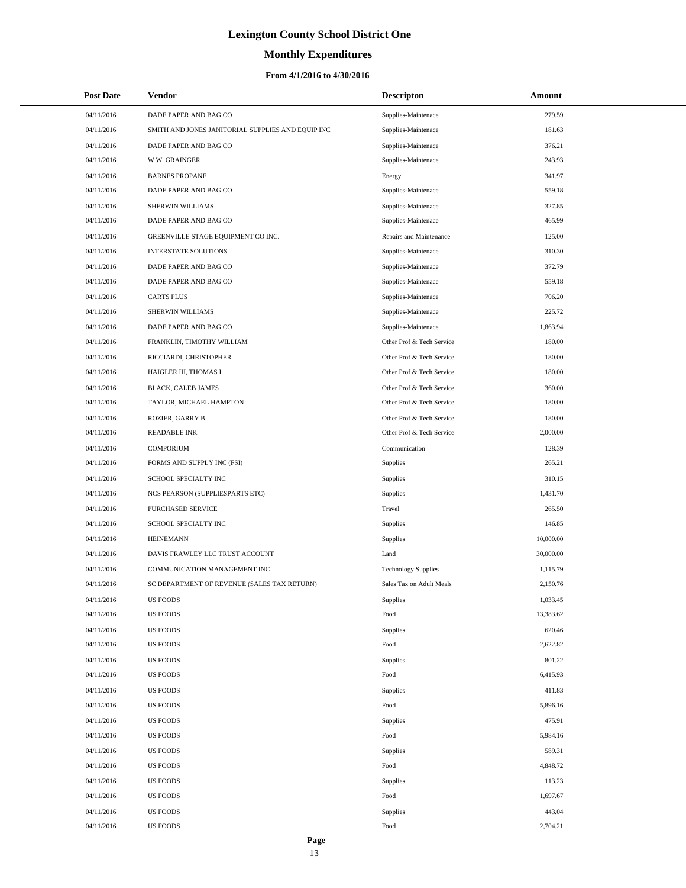# **Monthly Expenditures**

| <b>Post Date</b> | Vendor                                            | <b>Descripton</b>          | Amount    |
|------------------|---------------------------------------------------|----------------------------|-----------|
| 04/11/2016       | DADE PAPER AND BAG CO                             | Supplies-Maintenace        | 279.59    |
| 04/11/2016       | SMITH AND JONES JANITORIAL SUPPLIES AND EQUIP INC | Supplies-Maintenace        | 181.63    |
| 04/11/2016       | DADE PAPER AND BAG CO                             | Supplies-Maintenace        | 376.21    |
| 04/11/2016       | <b>WW GRAINGER</b>                                | Supplies-Maintenace        | 243.93    |
| 04/11/2016       | <b>BARNES PROPANE</b>                             | Energy                     | 341.97    |
| 04/11/2016       | DADE PAPER AND BAG CO                             | Supplies-Maintenace        | 559.18    |
| 04/11/2016       | SHERWIN WILLIAMS                                  | Supplies-Maintenace        | 327.85    |
| 04/11/2016       | DADE PAPER AND BAG CO                             | Supplies-Maintenace        | 465.99    |
| 04/11/2016       | GREENVILLE STAGE EQUIPMENT CO INC.                | Repairs and Maintenance    | 125.00    |
| 04/11/2016       | INTERSTATE SOLUTIONS                              | Supplies-Maintenace        | 310.30    |
| 04/11/2016       | DADE PAPER AND BAG CO                             | Supplies-Maintenace        | 372.79    |
| 04/11/2016       | DADE PAPER AND BAG CO                             | Supplies-Maintenace        | 559.18    |
| 04/11/2016       | <b>CARTS PLUS</b>                                 | Supplies-Maintenace        | 706.20    |
| 04/11/2016       | SHERWIN WILLIAMS                                  | Supplies-Maintenace        | 225.72    |
| 04/11/2016       | DADE PAPER AND BAG CO                             | Supplies-Maintenace        | 1,863.94  |
| 04/11/2016       | FRANKLIN, TIMOTHY WILLIAM                         | Other Prof & Tech Service  | 180.00    |
| 04/11/2016       | RICCIARDI, CHRISTOPHER                            | Other Prof & Tech Service  | 180.00    |
| 04/11/2016       | HAIGLER III, THOMAS I                             | Other Prof & Tech Service  | 180.00    |
| 04/11/2016       | BLACK, CALEB JAMES                                | Other Prof & Tech Service  | 360.00    |
| 04/11/2016       | TAYLOR, MICHAEL HAMPTON                           | Other Prof & Tech Service  | 180.00    |
| 04/11/2016       | <b>ROZIER, GARRY B</b>                            | Other Prof & Tech Service  | 180.00    |
| 04/11/2016       | <b>READABLE INK</b>                               | Other Prof & Tech Service  | 2,000.00  |
| 04/11/2016       | <b>COMPORIUM</b>                                  | Communication              | 128.39    |
| 04/11/2016       | FORMS AND SUPPLY INC (FSI)                        | Supplies                   | 265.21    |
| 04/11/2016       | SCHOOL SPECIALTY INC                              | Supplies                   | 310.15    |
| 04/11/2016       | NCS PEARSON (SUPPLIESPARTS ETC)                   | <b>Supplies</b>            | 1,431.70  |
| 04/11/2016       | PURCHASED SERVICE                                 | Travel                     | 265.50    |
| 04/11/2016       | SCHOOL SPECIALTY INC                              | <b>Supplies</b>            | 146.85    |
| 04/11/2016       | <b>HEINEMANN</b>                                  | Supplies                   | 10,000.00 |
| 04/11/2016       | DAVIS FRAWLEY LLC TRUST ACCOUNT                   | Land                       | 30,000.00 |
| 04/11/2016       | COMMUNICATION MANAGEMENT INC                      | <b>Technology Supplies</b> | 1,115.79  |
| 04/11/2016       | SC DEPARTMENT OF REVENUE (SALES TAX RETURN)       | Sales Tax on Adult Meals   | 2,150.76  |
| 04/11/2016       | US FOODS                                          | Supplies                   | 1,033.45  |
| 04/11/2016       | <b>US FOODS</b>                                   | Food                       | 13,383.62 |
| 04/11/2016       | US FOODS                                          | Supplies                   | 620.46    |
| 04/11/2016       | US FOODS                                          | Food                       | 2,622.82  |
| 04/11/2016       | US FOODS                                          | Supplies                   | 801.22    |
| 04/11/2016       | <b>US FOODS</b>                                   | Food                       | 6,415.93  |
| 04/11/2016       | <b>US FOODS</b>                                   | Supplies                   | 411.83    |
| 04/11/2016       | <b>US FOODS</b>                                   | Food                       | 5,896.16  |
| 04/11/2016       | <b>US FOODS</b>                                   | Supplies                   | 475.91    |
| 04/11/2016       | US FOODS                                          | Food                       | 5,984.16  |
| 04/11/2016       | US FOODS                                          | Supplies                   | 589.31    |
| 04/11/2016       | US FOODS                                          | Food                       | 4,848.72  |
| 04/11/2016       | US FOODS                                          | Supplies                   | 113.23    |
| 04/11/2016       | <b>US FOODS</b>                                   | Food                       | 1,697.67  |
| 04/11/2016       | US FOODS                                          | Supplies                   | 443.04    |
| 04/11/2016       | <b>US FOODS</b>                                   | Food                       | 2,704.21  |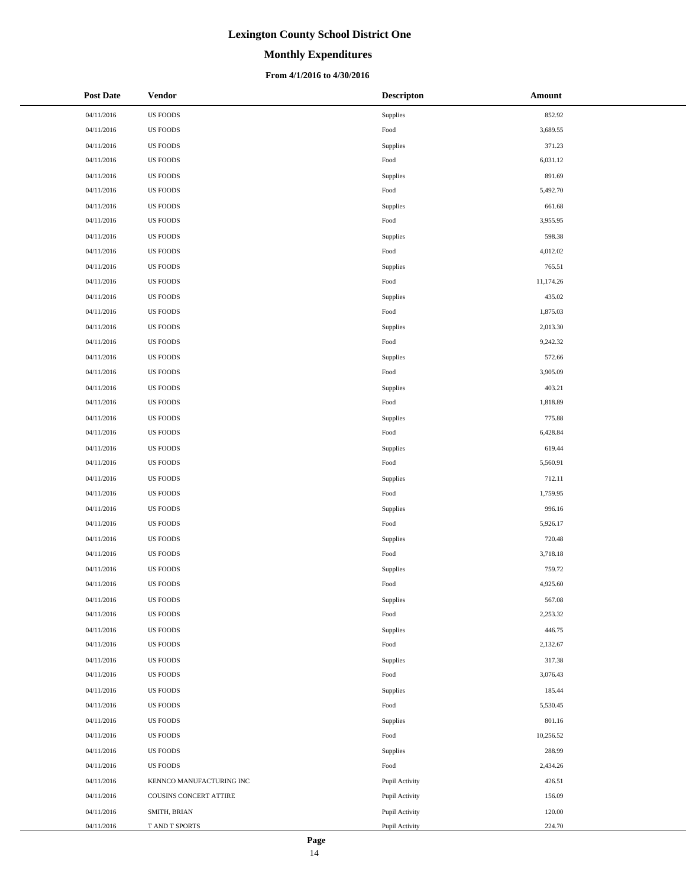### **Monthly Expenditures**

### **From 4/1/2016 to 4/30/2016**

| <b>Post Date</b> | <b>Vendor</b>            | <b>Descripton</b>      | Amount    |
|------------------|--------------------------|------------------------|-----------|
| 04/11/2016       | <b>US FOODS</b>          | Supplies               | 852.92    |
| 04/11/2016       | <b>US FOODS</b>          | Food                   | 3,689.55  |
| 04/11/2016       | <b>US FOODS</b>          | Supplies               | 371.23    |
| 04/11/2016       | <b>US FOODS</b>          | Food                   | 6,031.12  |
| 04/11/2016       | <b>US FOODS</b>          | Supplies               | 891.69    |
| 04/11/2016       | <b>US FOODS</b>          | Food                   | 5,492.70  |
| 04/11/2016       | <b>US FOODS</b>          | Supplies               | 661.68    |
| 04/11/2016       | <b>US FOODS</b>          | Food                   | 3,955.95  |
| 04/11/2016       | <b>US FOODS</b>          | Supplies               | 598.38    |
| 04/11/2016       | <b>US FOODS</b>          | Food                   | 4,012.02  |
| 04/11/2016       | <b>US FOODS</b>          | Supplies               | 765.51    |
| 04/11/2016       | <b>US FOODS</b>          | Food                   | 11,174.26 |
| 04/11/2016       | <b>US FOODS</b>          | Supplies               | 435.02    |
| 04/11/2016       | <b>US FOODS</b>          | Food                   | 1,875.03  |
| 04/11/2016       | <b>US FOODS</b>          | Supplies               | 2,013.30  |
| 04/11/2016       | <b>US FOODS</b>          | Food                   | 9,242.32  |
| 04/11/2016       | <b>US FOODS</b>          | Supplies               | 572.66    |
| 04/11/2016       | US FOODS                 | Food                   | 3,905.09  |
| 04/11/2016       | <b>US FOODS</b>          | Supplies               | 403.21    |
| 04/11/2016       | <b>US FOODS</b>          | Food                   | 1,818.89  |
| 04/11/2016       | <b>US FOODS</b>          | Supplies               | 775.88    |
| 04/11/2016       | <b>US FOODS</b>          | Food                   | 6,428.84  |
| 04/11/2016       | <b>US FOODS</b>          | Supplies               | 619.44    |
| 04/11/2016       | <b>US FOODS</b>          | Food                   | 5,560.91  |
| 04/11/2016       | <b>US FOODS</b>          | Supplies               | 712.11    |
| 04/11/2016       | US FOODS                 | Food                   | 1,759.95  |
| 04/11/2016       | <b>US FOODS</b>          | Supplies               | 996.16    |
| 04/11/2016       | <b>US FOODS</b>          | $\operatorname*{Food}$ | 5,926.17  |
| 04/11/2016       | <b>US FOODS</b>          | Supplies               | 720.48    |
| 04/11/2016       | <b>US FOODS</b>          | Food                   | 3,718.18  |
| 04/11/2016       | <b>US FOODS</b>          | Supplies               | 759.72    |
| 04/11/2016       | <b>US FOODS</b>          | Food                   | 4,925.60  |
| 04/11/2016       | <b>US FOODS</b>          | Supplies               | 567.08    |
| 04/11/2016       | <b>US FOODS</b>          | Food                   | 2,253.32  |
| 04/11/2016       | <b>US FOODS</b>          | Supplies               | 446.75    |
| 04/11/2016       | <b>US FOODS</b>          | Food                   | 2,132.67  |
| 04/11/2016       | <b>US FOODS</b>          | Supplies               | 317.38    |
| 04/11/2016       | <b>US FOODS</b>          | Food                   | 3,076.43  |
| 04/11/2016       | <b>US FOODS</b>          | Supplies               | 185.44    |
| 04/11/2016       | <b>US FOODS</b>          | Food                   | 5,530.45  |
| 04/11/2016       | <b>US FOODS</b>          | Supplies               | 801.16    |
| 04/11/2016       | <b>US FOODS</b>          | Food                   | 10,256.52 |
| 04/11/2016       | <b>US FOODS</b>          | Supplies               | 288.99    |
| 04/11/2016       | <b>US FOODS</b>          | Food                   | 2,434.26  |
| 04/11/2016       | KENNCO MANUFACTURING INC | Pupil Activity         | 426.51    |
| 04/11/2016       | COUSINS CONCERT ATTIRE   | Pupil Activity         | 156.09    |
| 04/11/2016       | SMITH, BRIAN             | Pupil Activity         | 120.00    |
| 04/11/2016       | T AND T SPORTS           | Pupil Activity         | 224.70    |

 $\overline{\phantom{a}}$  $\overline{a}$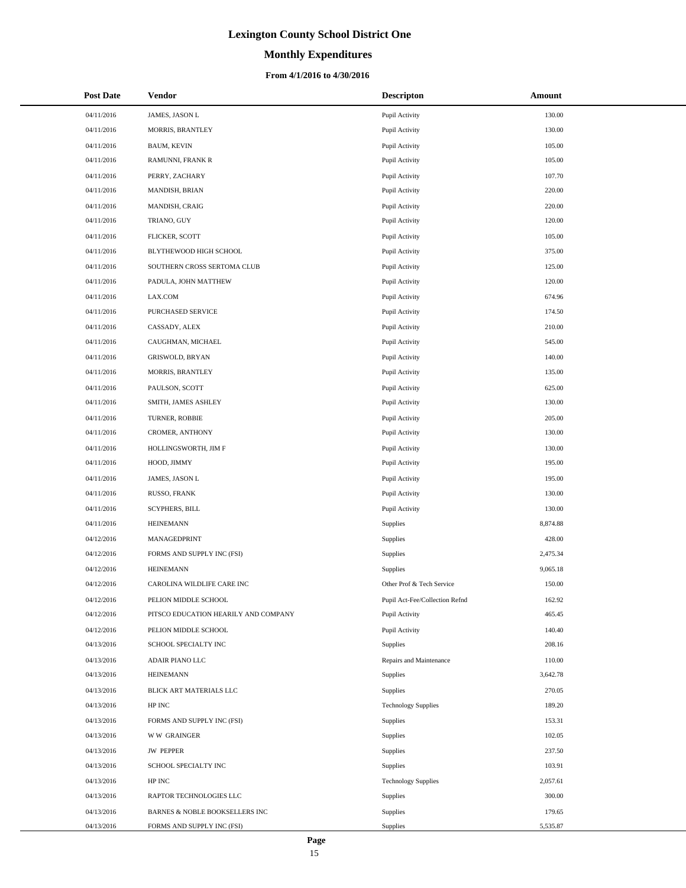# **Monthly Expenditures**

### **From 4/1/2016 to 4/30/2016**

| <b>Post Date</b> | Vendor                               | <b>Descripton</b>              | Amount   |
|------------------|--------------------------------------|--------------------------------|----------|
| 04/11/2016       | JAMES, JASON L                       | Pupil Activity                 | 130.00   |
| 04/11/2016       | MORRIS, BRANTLEY                     | Pupil Activity                 | 130.00   |
| 04/11/2016       | BAUM, KEVIN                          | Pupil Activity                 | 105.00   |
| 04/11/2016       | RAMUNNI, FRANK R                     | Pupil Activity                 | 105.00   |
| 04/11/2016       | PERRY, ZACHARY                       | Pupil Activity                 | 107.70   |
| 04/11/2016       | MANDISH, BRIAN                       | Pupil Activity                 | 220.00   |
| 04/11/2016       | MANDISH, CRAIG                       | Pupil Activity                 | 220.00   |
| 04/11/2016       | TRIANO, GUY                          | Pupil Activity                 | 120.00   |
| 04/11/2016       | FLICKER, SCOTT                       | Pupil Activity                 | 105.00   |
| 04/11/2016       | BLYTHEWOOD HIGH SCHOOL               | Pupil Activity                 | 375.00   |
| 04/11/2016       | SOUTHERN CROSS SERTOMA CLUB          | Pupil Activity                 | 125.00   |
| 04/11/2016       | PADULA, JOHN MATTHEW                 | Pupil Activity                 | 120.00   |
| 04/11/2016       | LAX.COM                              | Pupil Activity                 | 674.96   |
| 04/11/2016       | PURCHASED SERVICE                    | Pupil Activity                 | 174.50   |
| 04/11/2016       | CASSADY, ALEX                        | Pupil Activity                 | 210.00   |
| 04/11/2016       | CAUGHMAN, MICHAEL                    | Pupil Activity                 | 545.00   |
| 04/11/2016       | GRISWOLD, BRYAN                      | Pupil Activity                 | 140.00   |
| 04/11/2016       | MORRIS, BRANTLEY                     | Pupil Activity                 | 135.00   |
| 04/11/2016       | PAULSON, SCOTT                       | Pupil Activity                 | 625.00   |
| 04/11/2016       | SMITH, JAMES ASHLEY                  | Pupil Activity                 | 130.00   |
| 04/11/2016       | TURNER, ROBBIE                       | Pupil Activity                 | 205.00   |
| 04/11/2016       | CROMER, ANTHONY                      | Pupil Activity                 | 130.00   |
| 04/11/2016       | HOLLINGSWORTH, JIM F                 | Pupil Activity                 | 130.00   |
| 04/11/2016       | HOOD, JIMMY                          | Pupil Activity                 | 195.00   |
| 04/11/2016       | JAMES, JASON L                       | Pupil Activity                 | 195.00   |
| 04/11/2016       | RUSSO, FRANK                         | Pupil Activity                 | 130.00   |
| 04/11/2016       | SCYPHERS, BILL                       | Pupil Activity                 | 130.00   |
| 04/11/2016       | <b>HEINEMANN</b>                     | Supplies                       | 8,874.88 |
| 04/12/2016       | MANAGEDPRINT                         | Supplies                       | 428.00   |
| 04/12/2016       | FORMS AND SUPPLY INC (FSI)           | Supplies                       | 2,475.34 |
| 04/12/2016       | <b>HEINEMANN</b>                     | Supplies                       | 9,065.18 |
| 04/12/2016       | CAROLINA WILDLIFE CARE INC           | Other Prof & Tech Service      | 150.00   |
| 04/12/2016       | PELION MIDDLE SCHOOL                 | Pupil Act-Fee/Collection Refnd | 162.92   |
| 04/12/2016       | PITSCO EDUCATION HEARILY AND COMPANY | Pupil Activity                 | 465.45   |
| 04/12/2016       | PELION MIDDLE SCHOOL                 | Pupil Activity                 | 140.40   |
| 04/13/2016       | SCHOOL SPECIALTY INC                 | Supplies                       | 208.16   |
| 04/13/2016       | ADAIR PIANO LLC                      | Repairs and Maintenance        | 110.00   |
| 04/13/2016       | <b>HEINEMANN</b>                     | Supplies                       | 3,642.78 |
| 04/13/2016       | BLICK ART MATERIALS LLC              | Supplies                       | 270.05   |
| 04/13/2016       | HP INC                               | <b>Technology Supplies</b>     | 189.20   |
| 04/13/2016       | FORMS AND SUPPLY INC (FSI)           | Supplies                       | 153.31   |
| 04/13/2016       | <b>WW GRAINGER</b>                   | Supplies                       | 102.05   |
| 04/13/2016       | <b>JW PEPPER</b>                     | Supplies                       | 237.50   |
| 04/13/2016       | SCHOOL SPECIALTY INC                 | Supplies                       | 103.91   |
| 04/13/2016       | HP INC                               | <b>Technology Supplies</b>     | 2,057.61 |
| 04/13/2016       | RAPTOR TECHNOLOGIES LLC              | Supplies                       | 300.00   |
| 04/13/2016       | BARNES & NOBLE BOOKSELLERS INC       | Supplies                       | 179.65   |
| 04/13/2016       | FORMS AND SUPPLY INC (FSI)           | Supplies                       | 5,535.87 |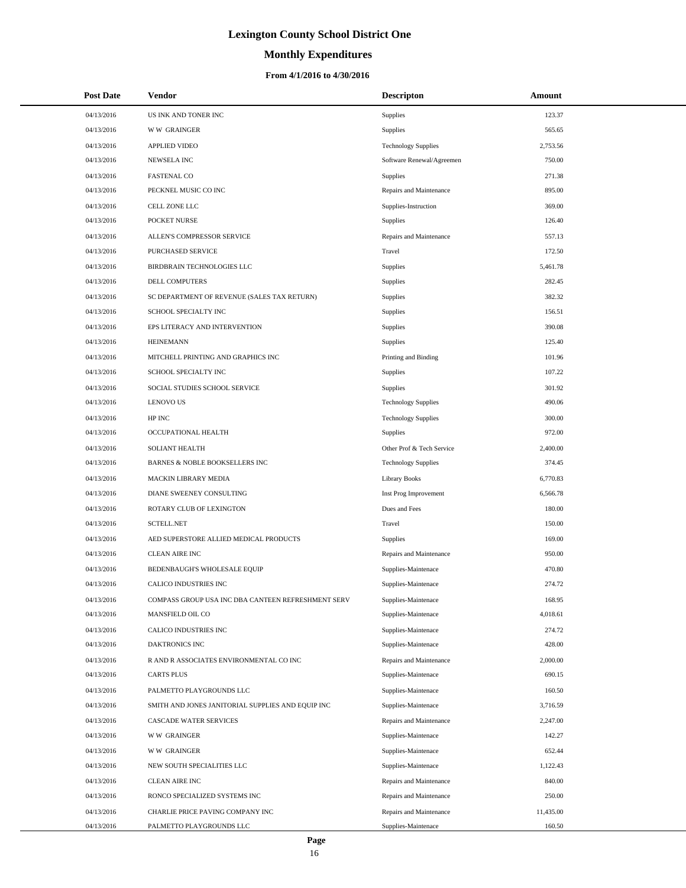# **Monthly Expenditures**

### **From 4/1/2016 to 4/30/2016**

| <b>Post Date</b> | Vendor                                             | <b>Descripton</b>          | Amount    |
|------------------|----------------------------------------------------|----------------------------|-----------|
| 04/13/2016       | US INK AND TONER INC                               | Supplies                   | 123.37    |
| 04/13/2016       | <b>WW GRAINGER</b>                                 | Supplies                   | 565.65    |
| 04/13/2016       | <b>APPLIED VIDEO</b>                               | <b>Technology Supplies</b> | 2,753.56  |
| 04/13/2016       | <b>NEWSELA INC</b>                                 | Software Renewal/Agreemen  | 750.00    |
| 04/13/2016       | <b>FASTENAL CO</b>                                 | Supplies                   | 271.38    |
| 04/13/2016       | PECKNEL MUSIC CO INC                               | Repairs and Maintenance    | 895.00    |
| 04/13/2016       | CELL ZONE LLC                                      | Supplies-Instruction       | 369.00    |
| 04/13/2016       | POCKET NURSE                                       | <b>Supplies</b>            | 126.40    |
| 04/13/2016       | ALLEN'S COMPRESSOR SERVICE                         | Repairs and Maintenance    | 557.13    |
| 04/13/2016       | PURCHASED SERVICE                                  | Travel                     | 172.50    |
| 04/13/2016       | BIRDBRAIN TECHNOLOGIES LLC                         | Supplies                   | 5,461.78  |
| 04/13/2016       | <b>DELL COMPUTERS</b>                              | Supplies                   | 282.45    |
| 04/13/2016       | SC DEPARTMENT OF REVENUE (SALES TAX RETURN)        | Supplies                   | 382.32    |
| 04/13/2016       | SCHOOL SPECIALTY INC                               | Supplies                   | 156.51    |
| 04/13/2016       | EPS LITERACY AND INTERVENTION                      | Supplies                   | 390.08    |
| 04/13/2016       | <b>HEINEMANN</b>                                   | Supplies                   | 125.40    |
| 04/13/2016       | MITCHELL PRINTING AND GRAPHICS INC                 | Printing and Binding       | 101.96    |
| 04/13/2016       | SCHOOL SPECIALTY INC                               | Supplies                   | 107.22    |
| 04/13/2016       | SOCIAL STUDIES SCHOOL SERVICE                      | Supplies                   | 301.92    |
| 04/13/2016       | <b>LENOVO US</b>                                   | <b>Technology Supplies</b> | 490.06    |
| 04/13/2016       | HP INC                                             | <b>Technology Supplies</b> | 300.00    |
| 04/13/2016       | OCCUPATIONAL HEALTH                                | <b>Supplies</b>            | 972.00    |
| 04/13/2016       | <b>SOLIANT HEALTH</b>                              | Other Prof & Tech Service  | 2,400.00  |
| 04/13/2016       | <b>BARNES &amp; NOBLE BOOKSELLERS INC</b>          | <b>Technology Supplies</b> | 374.45    |
| 04/13/2016       | MACKIN LIBRARY MEDIA                               | <b>Library Books</b>       | 6,770.83  |
| 04/13/2016       | DIANE SWEENEY CONSULTING                           | Inst Prog Improvement      | 6,566.78  |
| 04/13/2016       | ROTARY CLUB OF LEXINGTON                           | Dues and Fees              | 180.00    |
| 04/13/2016       | <b>SCTELL.NET</b>                                  | Travel                     | 150.00    |
| 04/13/2016       | AED SUPERSTORE ALLIED MEDICAL PRODUCTS             | Supplies                   | 169.00    |
| 04/13/2016       | <b>CLEAN AIRE INC</b>                              | Repairs and Maintenance    | 950.00    |
| 04/13/2016       | BEDENBAUGH'S WHOLESALE EQUIP                       | Supplies-Maintenace        | 470.80    |
| 04/13/2016       | CALICO INDUSTRIES INC                              | Supplies-Maintenace        | 274.72    |
| 04/13/2016       | COMPASS GROUP USA INC DBA CANTEEN REFRESHMENT SERV | Supplies-Maintenace        | 168.95    |
| 04/13/2016       | MANSFIELD OIL CO                                   | Supplies-Maintenace        | 4,018.61  |
| 04/13/2016       | CALICO INDUSTRIES INC                              | Supplies-Maintenace        | 274.72    |
| 04/13/2016       | DAKTRONICS INC                                     | Supplies-Maintenace        | 428.00    |
| 04/13/2016       | R AND R ASSOCIATES ENVIRONMENTAL CO INC            | Repairs and Maintenance    | 2,000.00  |
| 04/13/2016       | <b>CARTS PLUS</b>                                  | Supplies-Maintenace        | 690.15    |
| 04/13/2016       | PALMETTO PLAYGROUNDS LLC                           | Supplies-Maintenace        | 160.50    |
| 04/13/2016       | SMITH AND JONES JANITORIAL SUPPLIES AND EQUIP INC  | Supplies-Maintenace        | 3,716.59  |
| 04/13/2016       | CASCADE WATER SERVICES                             | Repairs and Maintenance    | 2,247.00  |
| 04/13/2016       | <b>WW GRAINGER</b>                                 | Supplies-Maintenace        | 142.27    |
| 04/13/2016       | <b>WW GRAINGER</b>                                 | Supplies-Maintenace        | 652.44    |
| 04/13/2016       | NEW SOUTH SPECIALITIES LLC                         | Supplies-Maintenace        | 1,122.43  |
| 04/13/2016       | <b>CLEAN AIRE INC</b>                              | Repairs and Maintenance    | 840.00    |
| 04/13/2016       | RONCO SPECIALIZED SYSTEMS INC                      | Repairs and Maintenance    | 250.00    |
| 04/13/2016       | CHARLIE PRICE PAVING COMPANY INC                   | Repairs and Maintenance    | 11,435.00 |
| 04/13/2016       | PALMETTO PLAYGROUNDS LLC                           | Supplies-Maintenace        | 160.50    |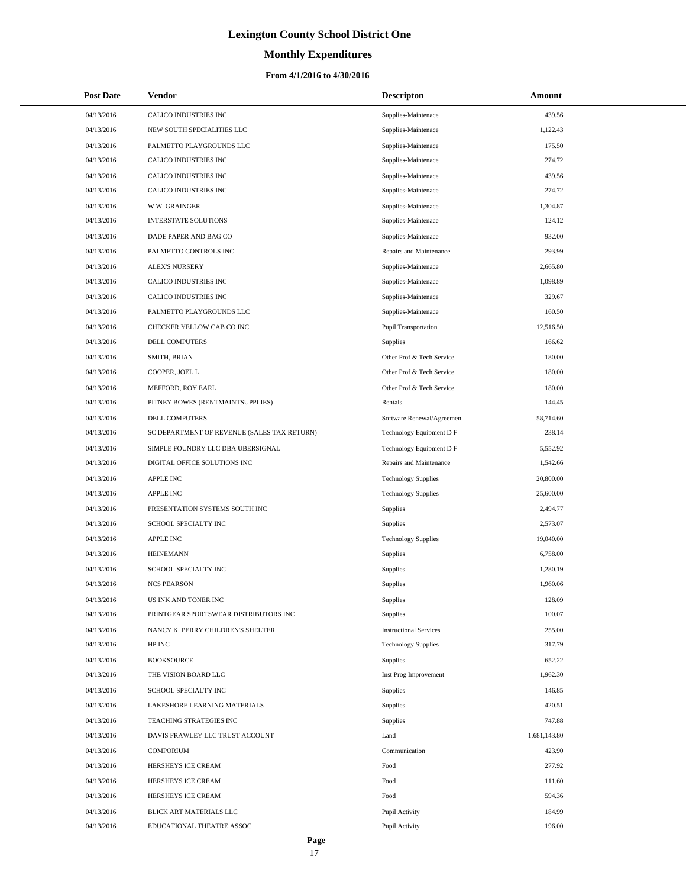# **Monthly Expenditures**

### **From 4/1/2016 to 4/30/2016**

| <b>Post Date</b> | Vendor                                      | <b>Descripton</b>             | Amount       |
|------------------|---------------------------------------------|-------------------------------|--------------|
| 04/13/2016       | CALICO INDUSTRIES INC                       | Supplies-Maintenace           | 439.56       |
| 04/13/2016       | NEW SOUTH SPECIALITIES LLC                  | Supplies-Maintenace           | 1,122.43     |
| 04/13/2016       | PALMETTO PLAYGROUNDS LLC                    | Supplies-Maintenace           | 175.50       |
| 04/13/2016       | CALICO INDUSTRIES INC                       | Supplies-Maintenace           | 274.72       |
| 04/13/2016       | CALICO INDUSTRIES INC                       | Supplies-Maintenace           | 439.56       |
| 04/13/2016       | CALICO INDUSTRIES INC                       | Supplies-Maintenace           | 274.72       |
| 04/13/2016       | <b>WW GRAINGER</b>                          | Supplies-Maintenace           | 1,304.87     |
| 04/13/2016       | <b>INTERSTATE SOLUTIONS</b>                 | Supplies-Maintenace           | 124.12       |
| 04/13/2016       | DADE PAPER AND BAG CO                       | Supplies-Maintenace           | 932.00       |
| 04/13/2016       | PALMETTO CONTROLS INC                       | Repairs and Maintenance       | 293.99       |
| 04/13/2016       | <b>ALEX'S NURSERY</b>                       | Supplies-Maintenace           | 2,665.80     |
| 04/13/2016       | CALICO INDUSTRIES INC                       | Supplies-Maintenace           | 1,098.89     |
| 04/13/2016       | CALICO INDUSTRIES INC                       | Supplies-Maintenace           | 329.67       |
| 04/13/2016       | PALMETTO PLAYGROUNDS LLC                    | Supplies-Maintenace           | 160.50       |
| 04/13/2016       | CHECKER YELLOW CAB CO INC                   | <b>Pupil Transportation</b>   | 12,516.50    |
| 04/13/2016       | DELL COMPUTERS                              | Supplies                      | 166.62       |
| 04/13/2016       | SMITH, BRIAN                                | Other Prof & Tech Service     | 180.00       |
| 04/13/2016       | COOPER, JOEL L                              | Other Prof & Tech Service     | 180.00       |
| 04/13/2016       | MEFFORD, ROY EARL                           | Other Prof & Tech Service     | 180.00       |
| 04/13/2016       | PITNEY BOWES (RENTMAINTSUPPLIES)            | Rentals                       | 144.45       |
| 04/13/2016       | DELL COMPUTERS                              | Software Renewal/Agreemen     | 58,714.60    |
| 04/13/2016       | SC DEPARTMENT OF REVENUE (SALES TAX RETURN) | Technology Equipment D F      | 238.14       |
| 04/13/2016       | SIMPLE FOUNDRY LLC DBA UBERSIGNAL           | Technology Equipment D F      | 5,552.92     |
| 04/13/2016       | DIGITAL OFFICE SOLUTIONS INC                | Repairs and Maintenance       | 1,542.66     |
| 04/13/2016       | <b>APPLE INC</b>                            | <b>Technology Supplies</b>    | 20,800.00    |
| 04/13/2016       | APPLE INC                                   | <b>Technology Supplies</b>    | 25,600.00    |
| 04/13/2016       | PRESENTATION SYSTEMS SOUTH INC              | Supplies                      | 2,494.77     |
| 04/13/2016       | SCHOOL SPECIALTY INC                        | Supplies                      | 2,573.07     |
| 04/13/2016       | <b>APPLE INC</b>                            | <b>Technology Supplies</b>    | 19,040.00    |
| 04/13/2016       | <b>HEINEMANN</b>                            | Supplies                      | 6,758.00     |
| 04/13/2016       | <b>SCHOOL SPECIALTY INC</b>                 | Supplies                      | 1,280.19     |
| 04/13/2016       | <b>NCS PEARSON</b>                          | Supplies                      | 1,960.06     |
| 04/13/2016       | US INK AND TONER INC                        | Supplies                      | 128.09       |
| 04/13/2016       | PRINTGEAR SPORTSWEAR DISTRIBUTORS INC       | Supplies                      | 100.07       |
| 04/13/2016       | NANCY K PERRY CHILDREN'S SHELTER            | <b>Instructional Services</b> | 255.00       |
| 04/13/2016       | HP INC                                      | <b>Technology Supplies</b>    | 317.79       |
| 04/13/2016       | <b>BOOKSOURCE</b>                           | Supplies                      | 652.22       |
| 04/13/2016       | THE VISION BOARD LLC                        | Inst Prog Improvement         | 1,962.30     |
| 04/13/2016       | SCHOOL SPECIALTY INC                        | Supplies                      | 146.85       |
| 04/13/2016       | LAKESHORE LEARNING MATERIALS                | Supplies                      | 420.51       |
| 04/13/2016       | TEACHING STRATEGIES INC                     | Supplies                      | 747.88       |
| 04/13/2016       | DAVIS FRAWLEY LLC TRUST ACCOUNT             | Land                          | 1,681,143.80 |
| 04/13/2016       | <b>COMPORIUM</b>                            | Communication                 | 423.90       |
| 04/13/2016       | HERSHEYS ICE CREAM                          | Food                          | 277.92       |
| 04/13/2016       | HERSHEYS ICE CREAM                          | Food                          | 111.60       |
| 04/13/2016       | HERSHEYS ICE CREAM                          | Food                          | 594.36       |
| 04/13/2016       | BLICK ART MATERIALS LLC                     | Pupil Activity                | 184.99       |
| 04/13/2016       | EDUCATIONAL THEATRE ASSOC                   | Pupil Activity                | 196.00       |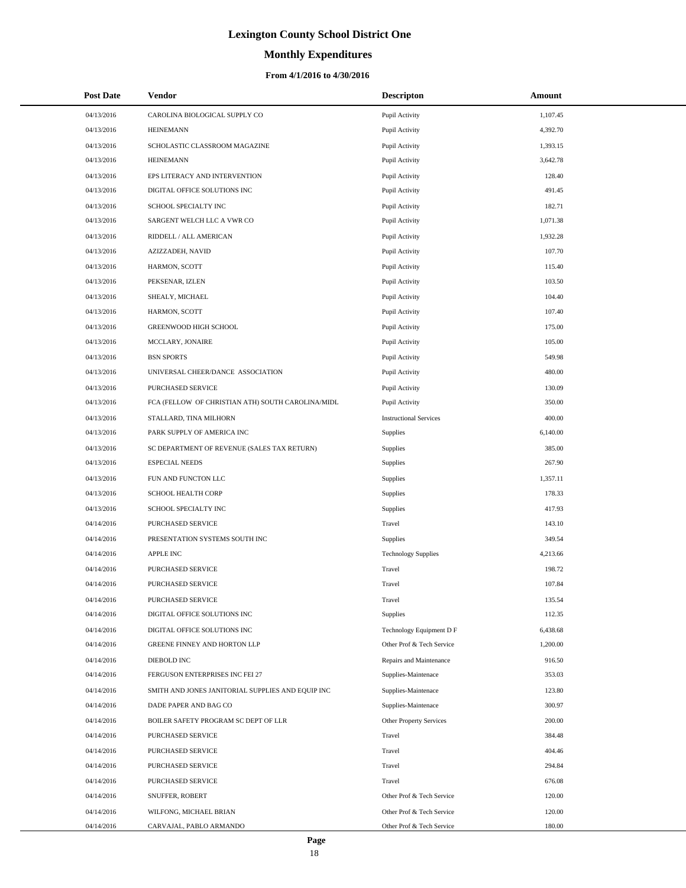# **Monthly Expenditures**

| <b>Post Date</b> | Vendor                                            | <b>Descripton</b>             | Amount   |
|------------------|---------------------------------------------------|-------------------------------|----------|
| 04/13/2016       | CAROLINA BIOLOGICAL SUPPLY CO                     | Pupil Activity                | 1,107.45 |
| 04/13/2016       | <b>HEINEMANN</b>                                  | Pupil Activity                | 4,392.70 |
| 04/13/2016       | SCHOLASTIC CLASSROOM MAGAZINE                     | Pupil Activity                | 1,393.15 |
| 04/13/2016       | <b>HEINEMANN</b>                                  | Pupil Activity                | 3,642.78 |
| 04/13/2016       | EPS LITERACY AND INTERVENTION                     | Pupil Activity                | 128.40   |
| 04/13/2016       | DIGITAL OFFICE SOLUTIONS INC                      | Pupil Activity                | 491.45   |
| 04/13/2016       | SCHOOL SPECIALTY INC                              | Pupil Activity                | 182.71   |
| 04/13/2016       | SARGENT WELCH LLC A VWR CO                        | Pupil Activity                | 1,071.38 |
| 04/13/2016       | RIDDELL / ALL AMERICAN                            | Pupil Activity                | 1,932.28 |
| 04/13/2016       | AZIZZADEH, NAVID                                  | Pupil Activity                | 107.70   |
| 04/13/2016       | HARMON, SCOTT                                     | Pupil Activity                | 115.40   |
| 04/13/2016       | PEKSENAR, IZLEN                                   | Pupil Activity                | 103.50   |
| 04/13/2016       | SHEALY, MICHAEL                                   | Pupil Activity                | 104.40   |
| 04/13/2016       | HARMON, SCOTT                                     | Pupil Activity                | 107.40   |
| 04/13/2016       | GREENWOOD HIGH SCHOOL                             | Pupil Activity                | 175.00   |
| 04/13/2016       | MCCLARY, JONAIRE                                  | Pupil Activity                | 105.00   |
| 04/13/2016       | <b>BSN SPORTS</b>                                 | Pupil Activity                | 549.98   |
| 04/13/2016       | UNIVERSAL CHEER/DANCE ASSOCIATION                 | Pupil Activity                | 480.00   |
| 04/13/2016       | PURCHASED SERVICE                                 | Pupil Activity                | 130.09   |
| 04/13/2016       | FCA (FELLOW OF CHRISTIAN ATH) SOUTH CAROLINA/MIDL | Pupil Activity                | 350.00   |
| 04/13/2016       | STALLARD, TINA MILHORN                            | <b>Instructional Services</b> | 400.00   |
| 04/13/2016       | PARK SUPPLY OF AMERICA INC                        | Supplies                      | 6,140.00 |
| 04/13/2016       | SC DEPARTMENT OF REVENUE (SALES TAX RETURN)       | Supplies                      | 385.00   |
| 04/13/2016       | <b>ESPECIAL NEEDS</b>                             | Supplies                      | 267.90   |
| 04/13/2016       | FUN AND FUNCTON LLC                               | Supplies                      | 1,357.11 |
| 04/13/2016       | SCHOOL HEALTH CORP                                | Supplies                      | 178.33   |
| 04/13/2016       | SCHOOL SPECIALTY INC                              | Supplies                      | 417.93   |
| 04/14/2016       | PURCHASED SERVICE                                 | Travel                        | 143.10   |
| 04/14/2016       | PRESENTATION SYSTEMS SOUTH INC                    | Supplies                      | 349.54   |
| 04/14/2016       | <b>APPLE INC</b>                                  | <b>Technology Supplies</b>    | 4,213.66 |
| 04/14/2016       | PURCHASED SERVICE                                 | Travel                        | 198.72   |
| 04/14/2016       | PURCHASED SERVICE                                 | Travel                        | 107.84   |
| 04/14/2016       | PURCHASED SERVICE                                 | Travel                        | 135.54   |
| 04/14/2016       | DIGITAL OFFICE SOLUTIONS INC                      | Supplies                      | 112.35   |
| 04/14/2016       | DIGITAL OFFICE SOLUTIONS INC                      | Technology Equipment D F      | 6,438.68 |
| 04/14/2016       | GREENE FINNEY AND HORTON LLP                      | Other Prof & Tech Service     | 1,200.00 |
| 04/14/2016       | DIEBOLD INC                                       | Repairs and Maintenance       | 916.50   |
| 04/14/2016       | FERGUSON ENTERPRISES INC FEI 27                   | Supplies-Maintenace           | 353.03   |
| 04/14/2016       | SMITH AND JONES JANITORIAL SUPPLIES AND EQUIP INC | Supplies-Maintenace           | 123.80   |
| 04/14/2016       | DADE PAPER AND BAG CO                             | Supplies-Maintenace           | 300.97   |
| 04/14/2016       | BOILER SAFETY PROGRAM SC DEPT OF LLR              | Other Property Services       | 200.00   |
| 04/14/2016       | <b>PURCHASED SERVICE</b>                          | Travel                        | 384.48   |
| 04/14/2016       | PURCHASED SERVICE                                 | Travel                        | 404.46   |
| 04/14/2016       | PURCHASED SERVICE                                 | Travel                        | 294.84   |
| 04/14/2016       | PURCHASED SERVICE                                 | Travel                        | 676.08   |
| 04/14/2016       | SNUFFER, ROBERT                                   | Other Prof & Tech Service     | 120.00   |
| 04/14/2016       | WILFONG, MICHAEL BRIAN                            | Other Prof & Tech Service     | 120.00   |
| 04/14/2016       | CARVAJAL, PABLO ARMANDO                           | Other Prof & Tech Service     | 180.00   |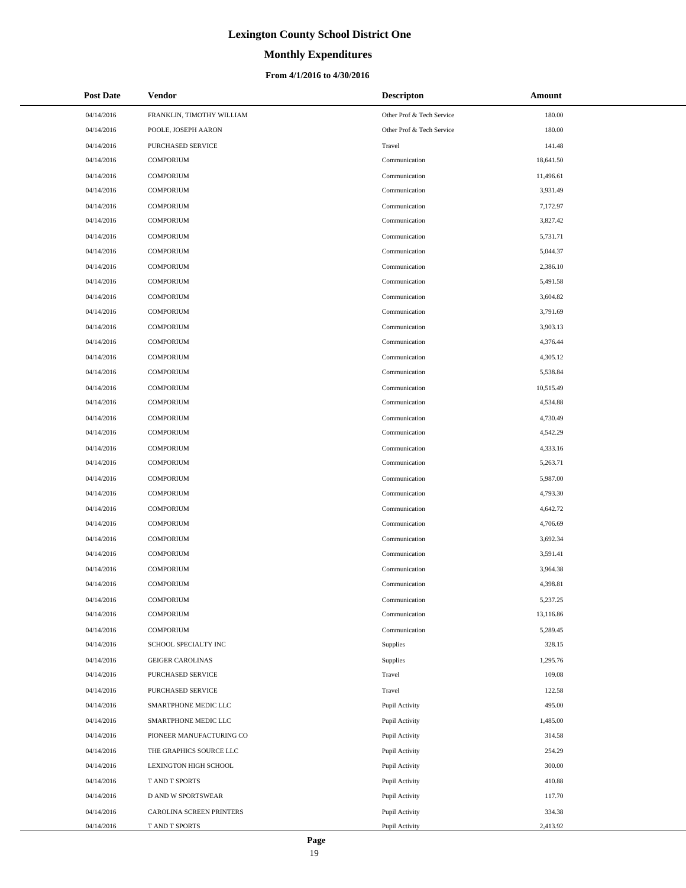# **Monthly Expenditures**

### **From 4/1/2016 to 4/30/2016**

| <b>Post Date</b> | <b>Vendor</b>             | <b>Descripton</b>         | Amount    |
|------------------|---------------------------|---------------------------|-----------|
| 04/14/2016       | FRANKLIN, TIMOTHY WILLIAM | Other Prof & Tech Service | 180.00    |
| 04/14/2016       | POOLE, JOSEPH AARON       | Other Prof & Tech Service | 180.00    |
| 04/14/2016       | PURCHASED SERVICE         | Travel                    | 141.48    |
| 04/14/2016       | <b>COMPORIUM</b>          | Communication             | 18,641.50 |
| 04/14/2016       | <b>COMPORIUM</b>          | Communication             | 11,496.61 |
| 04/14/2016       | <b>COMPORIUM</b>          | Communication             | 3,931.49  |
| 04/14/2016       | <b>COMPORIUM</b>          | Communication             | 7,172.97  |
| 04/14/2016       | <b>COMPORIUM</b>          | Communication             | 3,827.42  |
| 04/14/2016       | <b>COMPORIUM</b>          | Communication             | 5,731.71  |
| 04/14/2016       | <b>COMPORIUM</b>          | Communication             | 5,044.37  |
| 04/14/2016       | <b>COMPORIUM</b>          | Communication             | 2,386.10  |
| 04/14/2016       | <b>COMPORIUM</b>          | Communication             | 5,491.58  |
| 04/14/2016       | <b>COMPORIUM</b>          | Communication             | 3,604.82  |
| 04/14/2016       | <b>COMPORIUM</b>          | Communication             | 3,791.69  |
| 04/14/2016       | <b>COMPORIUM</b>          | Communication             | 3,903.13  |
| 04/14/2016       | <b>COMPORIUM</b>          | Communication             | 4,376.44  |
| 04/14/2016       | <b>COMPORIUM</b>          | Communication             | 4,305.12  |
| 04/14/2016       | <b>COMPORIUM</b>          | Communication             | 5,538.84  |
| 04/14/2016       | <b>COMPORIUM</b>          | Communication             | 10,515.49 |
| 04/14/2016       | <b>COMPORIUM</b>          | Communication             | 4,534.88  |
| 04/14/2016       | <b>COMPORIUM</b>          | Communication             | 4,730.49  |
| 04/14/2016       | <b>COMPORIUM</b>          | Communication             | 4,542.29  |
| 04/14/2016       | <b>COMPORIUM</b>          | Communication             | 4,333.16  |
| 04/14/2016       | <b>COMPORIUM</b>          | Communication             | 5,263.71  |
| 04/14/2016       | <b>COMPORIUM</b>          | Communication             | 5,987.00  |
| 04/14/2016       | <b>COMPORIUM</b>          | Communication             | 4,793.30  |
| 04/14/2016       | <b>COMPORIUM</b>          | Communication             | 4,642.72  |
| 04/14/2016       | <b>COMPORIUM</b>          | Communication             | 4,706.69  |
| 04/14/2016       | <b>COMPORIUM</b>          | Communication             | 3,692.34  |
| 04/14/2016       | <b>COMPORIUM</b>          | Communication             | 3,591.41  |
| 04/14/2016       | <b>COMPORIUM</b>          | Communication             | 3,964.38  |
| 04/14/2016       | <b>COMPORIUM</b>          | Communication             | 4.398.81  |
| 04/14/2016       | COMPORIUM                 | Communication             | 5,237.25  |
| 04/14/2016       | COMPORIUM                 | Communication             | 13,116.86 |
| 04/14/2016       | COMPORIUM                 | Communication             | 5,289.45  |
| 04/14/2016       | SCHOOL SPECIALTY INC      | Supplies                  | 328.15    |
| 04/14/2016       | <b>GEIGER CAROLINAS</b>   | Supplies                  | 1,295.76  |
| 04/14/2016       | PURCHASED SERVICE         | Travel                    | 109.08    |
| 04/14/2016       | PURCHASED SERVICE         | Travel                    | 122.58    |
| 04/14/2016       | SMARTPHONE MEDIC LLC      | Pupil Activity            | 495.00    |
| 04/14/2016       | SMARTPHONE MEDIC LLC      | Pupil Activity            | 1,485.00  |
| 04/14/2016       | PIONEER MANUFACTURING CO  | Pupil Activity            | 314.58    |
| 04/14/2016       | THE GRAPHICS SOURCE LLC   | Pupil Activity            | 254.29    |
| 04/14/2016       | LEXINGTON HIGH SCHOOL     | Pupil Activity            | 300.00    |
| 04/14/2016       | T AND T SPORTS            | Pupil Activity            | 410.88    |
| 04/14/2016       | D AND W SPORTSWEAR        | Pupil Activity            | 117.70    |
| 04/14/2016       | CAROLINA SCREEN PRINTERS  | Pupil Activity            | 334.38    |
| 04/14/2016       | T AND T SPORTS            | Pupil Activity            | 2,413.92  |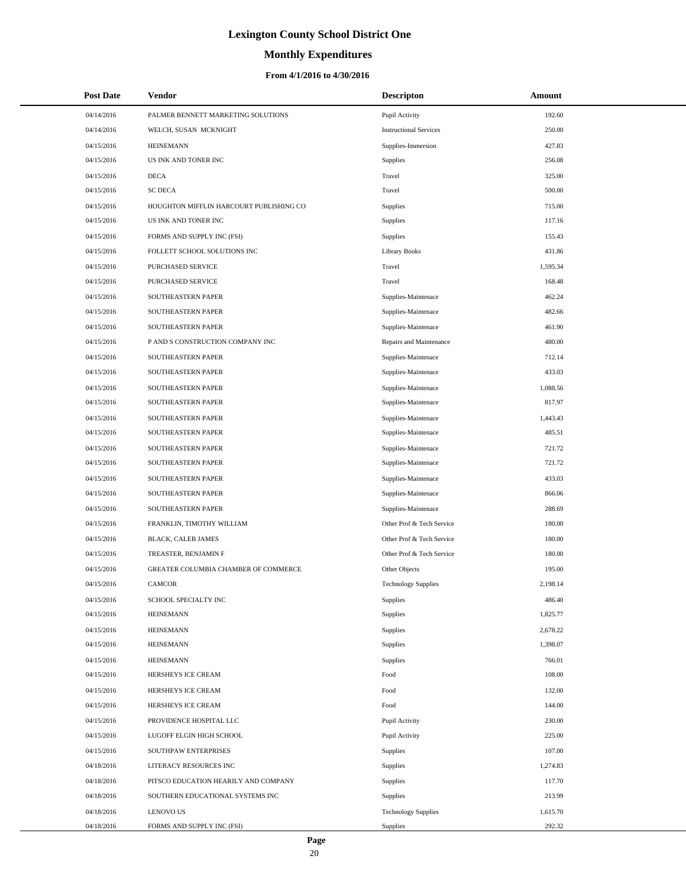# **Monthly Expenditures**

| <b>Post Date</b> | Vendor                                  | <b>Descripton</b>             | Amount   |
|------------------|-----------------------------------------|-------------------------------|----------|
| 04/14/2016       | PALMER BENNETT MARKETING SOLUTIONS      | Pupil Activity                | 192.60   |
| 04/14/2016       | WELCH, SUSAN MCKNIGHT                   | <b>Instructional Services</b> | 250.00   |
| 04/15/2016       | <b>HEINEMANN</b>                        | Supplies-Immersion            | 427.83   |
| 04/15/2016       | US INK AND TONER INC                    | Supplies                      | 256.08   |
| 04/15/2016       | <b>DECA</b>                             | Travel                        | 325.00   |
| 04/15/2016       | <b>SC DECA</b>                          | Travel                        | 500.00   |
| 04/15/2016       | HOUGHTON MIFFLIN HARCOURT PUBLISHING CO | Supplies                      | 715.00   |
| 04/15/2016       | US INK AND TONER INC                    | Supplies                      | 117.16   |
| 04/15/2016       | FORMS AND SUPPLY INC (FSI)              | Supplies                      | 155.43   |
| 04/15/2016       | FOLLETT SCHOOL SOLUTIONS INC            | <b>Library Books</b>          | 431.86   |
| 04/15/2016       | PURCHASED SERVICE                       | Travel                        | 1,595.34 |
| 04/15/2016       | PURCHASED SERVICE                       | Travel                        | 168.48   |
| 04/15/2016       | SOUTHEASTERN PAPER                      | Supplies-Maintenace           | 462.24   |
| 04/15/2016       | SOUTHEASTERN PAPER                      | Supplies-Maintenace           | 482.66   |
| 04/15/2016       | SOUTHEASTERN PAPER                      | Supplies-Maintenace           | 461.90   |
| 04/15/2016       | P AND S CONSTRUCTION COMPANY INC        | Repairs and Maintenance       | 480.00   |
| 04/15/2016       | SOUTHEASTERN PAPER                      | Supplies-Maintenace           | 712.14   |
| 04/15/2016       | SOUTHEASTERN PAPER                      | Supplies-Maintenace           | 433.03   |
| 04/15/2016       | SOUTHEASTERN PAPER                      | Supplies-Maintenace           | 1,088.56 |
| 04/15/2016       | SOUTHEASTERN PAPER                      | Supplies-Maintenace           | 817.97   |
| 04/15/2016       | SOUTHEASTERN PAPER                      | Supplies-Maintenace           | 1,443.43 |
| 04/15/2016       | SOUTHEASTERN PAPER                      | Supplies-Maintenace           | 485.51   |
| 04/15/2016       | SOUTHEASTERN PAPER                      | Supplies-Maintenace           | 721.72   |
| 04/15/2016       | SOUTHEASTERN PAPER                      | Supplies-Maintenace           | 721.72   |
| 04/15/2016       | SOUTHEASTERN PAPER                      | Supplies-Maintenace           | 433.03   |
| 04/15/2016       | SOUTHEASTERN PAPER                      | Supplies-Maintenace           | 866.06   |
| 04/15/2016       | SOUTHEASTERN PAPER                      | Supplies-Maintenace           | 288.69   |
| 04/15/2016       | FRANKLIN, TIMOTHY WILLIAM               | Other Prof & Tech Service     | 180.00   |
| 04/15/2016       | BLACK, CALEB JAMES                      | Other Prof & Tech Service     | 180.00   |
| 04/15/2016       | TREASTER, BENJAMIN F                    | Other Prof & Tech Service     | 180.00   |
| 04/15/2016       | GREATER COLUMBIA CHAMBER OF COMMERCE    | Other Objects                 | 195.00   |
| 04/15/2016       | <b>CAMCOR</b>                           | <b>Technology Supplies</b>    | 2,198.14 |
| 04/15/2016       | SCHOOL SPECIALTY INC                    | Supplies                      | 486.40   |
| 04/15/2016       | <b>HEINEMANN</b>                        | Supplies                      | 1,825.77 |
| 04/15/2016       | <b>HEINEMANN</b>                        | Supplies                      | 2,678.22 |
| 04/15/2016       | <b>HEINEMANN</b>                        | <b>Supplies</b>               | 1,398.07 |
| 04/15/2016       | <b>HEINEMANN</b>                        | Supplies                      | 766.01   |
| 04/15/2016       | HERSHEYS ICE CREAM                      | Food                          | 108.00   |
| 04/15/2016       | HERSHEYS ICE CREAM                      | Food                          | 132.00   |
| 04/15/2016       | HERSHEYS ICE CREAM                      | Food                          | 144.00   |
| 04/15/2016       | PROVIDENCE HOSPITAL LLC                 | Pupil Activity                | 230.00   |
| 04/15/2016       | LUGOFF ELGIN HIGH SCHOOL                | Pupil Activity                | 225.00   |
| 04/15/2016       | SOUTHPAW ENTERPRISES                    | Supplies                      | 107.00   |
| 04/18/2016       | LITERACY RESOURCES INC                  | <b>Supplies</b>               | 1,274.83 |
| 04/18/2016       | PITSCO EDUCATION HEARILY AND COMPANY    | Supplies                      | 117.70   |
| 04/18/2016       | SOUTHERN EDUCATIONAL SYSTEMS INC        | Supplies                      | 213.99   |
| 04/18/2016       | <b>LENOVO US</b>                        | <b>Technology Supplies</b>    | 1,615.70 |
| 04/18/2016       | FORMS AND SUPPLY INC (FSI)              | Supplies                      | 292.32   |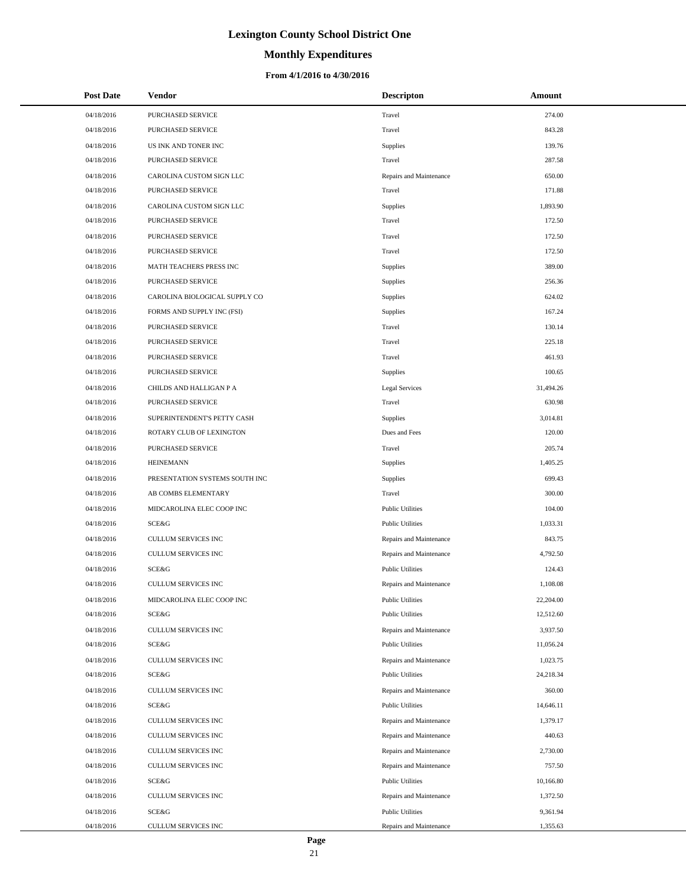# **Monthly Expenditures**

### **From 4/1/2016 to 4/30/2016**

| <b>Post Date</b> | Vendor                         | <b>Descripton</b>       | Amount    |
|------------------|--------------------------------|-------------------------|-----------|
| 04/18/2016       | PURCHASED SERVICE              | Travel                  | 274.00    |
| 04/18/2016       | PURCHASED SERVICE              | Travel                  | 843.28    |
| 04/18/2016       | US INK AND TONER INC           | Supplies                | 139.76    |
| 04/18/2016       | PURCHASED SERVICE              | Travel                  | 287.58    |
| 04/18/2016       | CAROLINA CUSTOM SIGN LLC       | Repairs and Maintenance | 650.00    |
| 04/18/2016       | PURCHASED SERVICE              | Travel                  | 171.88    |
| 04/18/2016       | CAROLINA CUSTOM SIGN LLC       | Supplies                | 1,893.90  |
| 04/18/2016       | PURCHASED SERVICE              | Travel                  | 172.50    |
| 04/18/2016       | PURCHASED SERVICE              | Travel                  | 172.50    |
| 04/18/2016       | PURCHASED SERVICE              | Travel                  | 172.50    |
| 04/18/2016       | MATH TEACHERS PRESS INC        | Supplies                | 389.00    |
| 04/18/2016       | PURCHASED SERVICE              | Supplies                | 256.36    |
| 04/18/2016       | CAROLINA BIOLOGICAL SUPPLY CO  | Supplies                | 624.02    |
| 04/18/2016       | FORMS AND SUPPLY INC (FSI)     | Supplies                | 167.24    |
| 04/18/2016       | PURCHASED SERVICE              | Travel                  | 130.14    |
| 04/18/2016       | PURCHASED SERVICE              | Travel                  | 225.18    |
| 04/18/2016       | PURCHASED SERVICE              | Travel                  | 461.93    |
| 04/18/2016       | PURCHASED SERVICE              | Supplies                | 100.65    |
| 04/18/2016       | CHILDS AND HALLIGAN P A        | Legal Services          | 31,494.26 |
| 04/18/2016       | PURCHASED SERVICE              | Travel                  | 630.98    |
| 04/18/2016       | SUPERINTENDENT'S PETTY CASH    | Supplies                | 3,014.81  |
| 04/18/2016       | ROTARY CLUB OF LEXINGTON       | Dues and Fees           | 120.00    |
| 04/18/2016       | PURCHASED SERVICE              | Travel                  | 205.74    |
| 04/18/2016       | <b>HEINEMANN</b>               | Supplies                | 1,405.25  |
| 04/18/2016       | PRESENTATION SYSTEMS SOUTH INC | Supplies                | 699.43    |
| 04/18/2016       | AB COMBS ELEMENTARY            | Travel                  | 300.00    |
| 04/18/2016       | MIDCAROLINA ELEC COOP INC      | <b>Public Utilities</b> | 104.00    |
| 04/18/2016       | <b>SCE&amp;G</b>               | <b>Public Utilities</b> | 1,033.31  |
| 04/18/2016       | CULLUM SERVICES INC            | Repairs and Maintenance | 843.75    |
| 04/18/2016       | CULLUM SERVICES INC            | Repairs and Maintenance | 4,792.50  |
| 04/18/2016       | SCE&G                          | <b>Public Utilities</b> | 124.43    |
| 04/18/2016       | CULLUM SERVICES INC            | Repairs and Maintenance | 1,108.08  |
| 04/18/2016       | MIDCAROLINA ELEC COOP INC      | <b>Public Utilities</b> | 22,204.00 |
| 04/18/2016       | SCE&G                          | <b>Public Utilities</b> | 12,512.60 |
| 04/18/2016       | CULLUM SERVICES INC            | Repairs and Maintenance | 3,937.50  |
| 04/18/2016       | SCE&G                          | <b>Public Utilities</b> | 11,056.24 |
| 04/18/2016       | CULLUM SERVICES INC            | Repairs and Maintenance | 1,023.75  |
| 04/18/2016       | SCE&G                          | <b>Public Utilities</b> | 24,218.34 |
| 04/18/2016       | CULLUM SERVICES INC            | Repairs and Maintenance | 360.00    |
| 04/18/2016       | SCE&G                          | <b>Public Utilities</b> | 14,646.11 |
| 04/18/2016       | CULLUM SERVICES INC            | Repairs and Maintenance | 1,379.17  |
| 04/18/2016       | CULLUM SERVICES INC            | Repairs and Maintenance | 440.63    |
| 04/18/2016       | CULLUM SERVICES INC            | Repairs and Maintenance | 2,730.00  |
| 04/18/2016       | CULLUM SERVICES INC            | Repairs and Maintenance | 757.50    |
| 04/18/2016       | SCE&G                          | <b>Public Utilities</b> | 10,166.80 |
| 04/18/2016       | CULLUM SERVICES INC            | Repairs and Maintenance | 1,372.50  |
| 04/18/2016       | SCE&G                          | <b>Public Utilities</b> | 9,361.94  |
| 04/18/2016       | CULLUM SERVICES INC            | Repairs and Maintenance | 1,355.63  |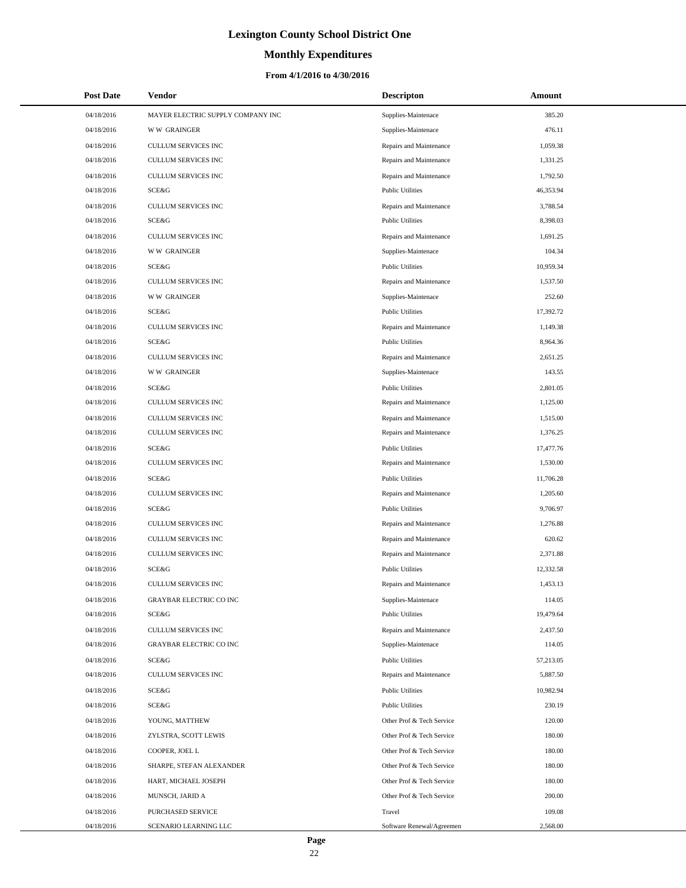### **Monthly Expenditures**

| <b>Post Date</b> | <b>Vendor</b>                     | <b>Descripton</b>         | Amount    |
|------------------|-----------------------------------|---------------------------|-----------|
| 04/18/2016       | MAYER ELECTRIC SUPPLY COMPANY INC | Supplies-Maintenace       | 385.20    |
| 04/18/2016       | <b>WW GRAINGER</b>                | Supplies-Maintenace       | 476.11    |
| 04/18/2016       | <b>CULLUM SERVICES INC</b>        | Repairs and Maintenance   | 1,059.38  |
| 04/18/2016       | <b>CULLUM SERVICES INC</b>        | Repairs and Maintenance   | 1,331.25  |
| 04/18/2016       | <b>CULLUM SERVICES INC</b>        | Repairs and Maintenance   | 1,792.50  |
| 04/18/2016       | SCE&G                             | <b>Public Utilities</b>   | 46,353.94 |
| 04/18/2016       | <b>CULLUM SERVICES INC</b>        | Repairs and Maintenance   | 3,788.54  |
| 04/18/2016       | SCE&G                             | <b>Public Utilities</b>   | 8,398.03  |
| 04/18/2016       | <b>CULLUM SERVICES INC</b>        | Repairs and Maintenance   | 1,691.25  |
| 04/18/2016       | <b>WW GRAINGER</b>                | Supplies-Maintenace       | 104.34    |
| 04/18/2016       | SCE&G                             | <b>Public Utilities</b>   | 10,959.34 |
| 04/18/2016       | <b>CULLUM SERVICES INC</b>        | Repairs and Maintenance   | 1,537.50  |
| 04/18/2016       | <b>WW GRAINGER</b>                | Supplies-Maintenace       | 252.60    |
| 04/18/2016       | SCE&G                             | <b>Public Utilities</b>   | 17,392.72 |
| 04/18/2016       | <b>CULLUM SERVICES INC</b>        | Repairs and Maintenance   | 1,149.38  |
| 04/18/2016       | SCE&G                             | <b>Public Utilities</b>   | 8,964.36  |
| 04/18/2016       | <b>CULLUM SERVICES INC</b>        | Repairs and Maintenance   | 2,651.25  |
| 04/18/2016       | <b>WW GRAINGER</b>                | Supplies-Maintenace       | 143.55    |
| 04/18/2016       | SCE&G                             | <b>Public Utilities</b>   | 2,801.05  |
| 04/18/2016       | <b>CULLUM SERVICES INC</b>        | Repairs and Maintenance   | 1,125.00  |
| 04/18/2016       | <b>CULLUM SERVICES INC</b>        | Repairs and Maintenance   | 1,515.00  |
| 04/18/2016       | <b>CULLUM SERVICES INC</b>        | Repairs and Maintenance   | 1,376.25  |
| 04/18/2016       | SCE&G                             | <b>Public Utilities</b>   | 17,477.76 |
| 04/18/2016       | <b>CULLUM SERVICES INC</b>        | Repairs and Maintenance   | 1,530.00  |
| 04/18/2016       | SCE&G                             | <b>Public Utilities</b>   | 11,706.28 |
| 04/18/2016       | <b>CULLUM SERVICES INC</b>        | Repairs and Maintenance   | 1,205.60  |
| 04/18/2016       | SCE&G                             | <b>Public Utilities</b>   | 9,706.97  |
| 04/18/2016       | <b>CULLUM SERVICES INC</b>        | Repairs and Maintenance   | 1,276.88  |
| 04/18/2016       | <b>CULLUM SERVICES INC</b>        | Repairs and Maintenance   | 620.62    |
| 04/18/2016       | <b>CULLUM SERVICES INC</b>        | Repairs and Maintenance   | 2,371.88  |
| 04/18/2016       | SCE&G                             | <b>Public Utilities</b>   | 12,332.58 |
| 04/18/2016       | <b>CULLUM SERVICES INC</b>        | Repairs and Maintenance   | 1,453.13  |
| 04/18/2016       | GRAYBAR ELECTRIC CO INC           | Supplies-Maintenace       | 114.05    |
| 04/18/2016       | SCE&G                             | <b>Public Utilities</b>   | 19,479.64 |
| 04/18/2016       | CULLUM SERVICES INC               | Repairs and Maintenance   | 2,437.50  |
| 04/18/2016       | <b>GRAYBAR ELECTRIC CO INC</b>    | Supplies-Maintenace       | 114.05    |
| 04/18/2016       | SCE&G                             | <b>Public Utilities</b>   | 57,213.05 |
| 04/18/2016       | CULLUM SERVICES INC               | Repairs and Maintenance   | 5,887.50  |
| 04/18/2016       | SCE&G                             | <b>Public Utilities</b>   | 10,982.94 |
| 04/18/2016       | SCE&G                             | <b>Public Utilities</b>   | 230.19    |
| 04/18/2016       | YOUNG, MATTHEW                    | Other Prof & Tech Service | 120.00    |
| 04/18/2016       | ZYLSTRA, SCOTT LEWIS              | Other Prof & Tech Service | 180.00    |
| 04/18/2016       | COOPER, JOEL L                    | Other Prof & Tech Service | 180.00    |
| 04/18/2016       | SHARPE, STEFAN ALEXANDER          | Other Prof & Tech Service | 180.00    |
| 04/18/2016       | HART, MICHAEL JOSEPH              | Other Prof & Tech Service | 180.00    |
| 04/18/2016       | MUNSCH, JARID A                   | Other Prof & Tech Service | 200.00    |
| 04/18/2016       | PURCHASED SERVICE                 | Travel                    | 109.08    |
| 04/18/2016       | SCENARIO LEARNING LLC             | Software Renewal/Agreemen | 2,568.00  |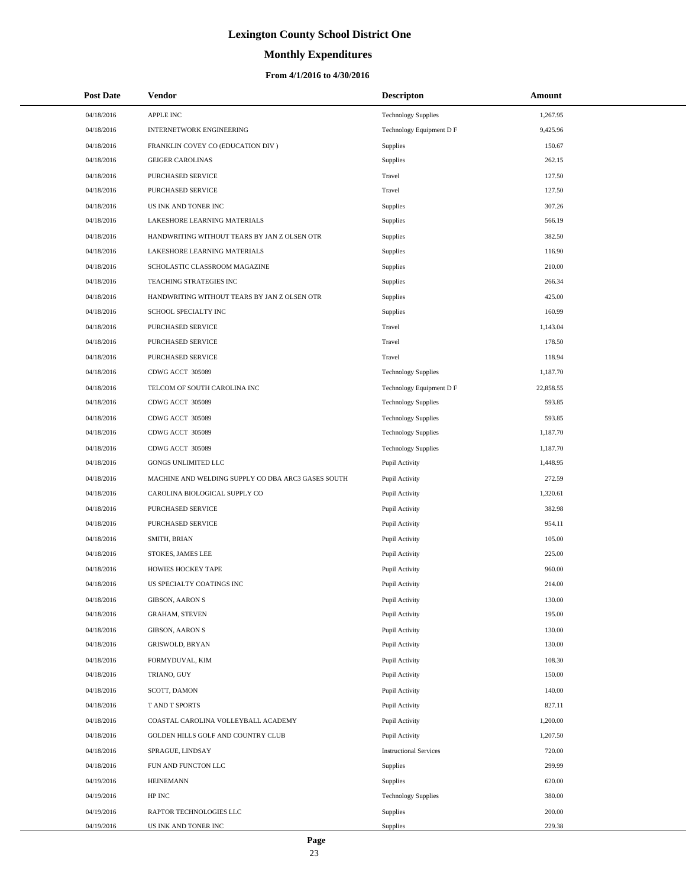# **Monthly Expenditures**

### **From 4/1/2016 to 4/30/2016**

| <b>Post Date</b> | Vendor                                             | <b>Descripton</b>             | Amount    |  |
|------------------|----------------------------------------------------|-------------------------------|-----------|--|
| 04/18/2016       | APPLE INC                                          | <b>Technology Supplies</b>    | 1,267.95  |  |
| 04/18/2016       | INTERNETWORK ENGINEERING                           | Technology Equipment D F      | 9,425.96  |  |
| 04/18/2016       | FRANKLIN COVEY CO (EDUCATION DIV)                  | Supplies                      | 150.67    |  |
| 04/18/2016       | <b>GEIGER CAROLINAS</b>                            | <b>Supplies</b>               | 262.15    |  |
| 04/18/2016       | PURCHASED SERVICE                                  | Travel                        | 127.50    |  |
| 04/18/2016       | PURCHASED SERVICE                                  | Travel                        | 127.50    |  |
| 04/18/2016       | US INK AND TONER INC                               | <b>Supplies</b>               | 307.26    |  |
| 04/18/2016       | LAKESHORE LEARNING MATERIALS                       | <b>Supplies</b>               | 566.19    |  |
| 04/18/2016       | HANDWRITING WITHOUT TEARS BY JAN Z OLSEN OTR       | <b>Supplies</b>               | 382.50    |  |
| 04/18/2016       | LAKESHORE LEARNING MATERIALS                       | <b>Supplies</b>               | 116.90    |  |
| 04/18/2016       | SCHOLASTIC CLASSROOM MAGAZINE                      | <b>Supplies</b>               | 210.00    |  |
| 04/18/2016       | TEACHING STRATEGIES INC                            | <b>Supplies</b>               | 266.34    |  |
| 04/18/2016       | HANDWRITING WITHOUT TEARS BY JAN Z OLSEN OTR       | <b>Supplies</b>               | 425.00    |  |
| 04/18/2016       | SCHOOL SPECIALTY INC                               | <b>Supplies</b>               | 160.99    |  |
| 04/18/2016       | <b>PURCHASED SERVICE</b>                           | Travel                        | 1,143.04  |  |
| 04/18/2016       | PURCHASED SERVICE                                  | Travel                        | 178.50    |  |
| 04/18/2016       | PURCHASED SERVICE                                  | Travel                        | 118.94    |  |
| 04/18/2016       | CDWG ACCT 305089                                   | <b>Technology Supplies</b>    | 1,187.70  |  |
| 04/18/2016       | TELCOM OF SOUTH CAROLINA INC                       | Technology Equipment D F      | 22,858.55 |  |
| 04/18/2016       | CDWG ACCT 305089                                   | <b>Technology Supplies</b>    | 593.85    |  |
| 04/18/2016       | CDWG ACCT 305089                                   | <b>Technology Supplies</b>    | 593.85    |  |
| 04/18/2016       | CDWG ACCT 305089                                   | <b>Technology Supplies</b>    | 1,187.70  |  |
| 04/18/2016       | CDWG ACCT 305089                                   | <b>Technology Supplies</b>    | 1,187.70  |  |
| 04/18/2016       | GONGS UNLIMITED LLC                                | Pupil Activity                | 1,448.95  |  |
| 04/18/2016       | MACHINE AND WELDING SUPPLY CO DBA ARC3 GASES SOUTH | Pupil Activity                | 272.59    |  |
| 04/18/2016       | CAROLINA BIOLOGICAL SUPPLY CO                      | Pupil Activity                | 1,320.61  |  |
| 04/18/2016       | PURCHASED SERVICE                                  | Pupil Activity                | 382.98    |  |
| 04/18/2016       | <b>PURCHASED SERVICE</b>                           | Pupil Activity                | 954.11    |  |
| 04/18/2016       | SMITH, BRIAN                                       | Pupil Activity                | 105.00    |  |
| 04/18/2016       | STOKES, JAMES LEE                                  | Pupil Activity                | 225.00    |  |
| 04/18/2016       | HOWIES HOCKEY TAPE                                 | Pupil Activity                | 960.00    |  |
| 04/18/2016       | US SPECIALTY COATINGS INC                          | Pupil Activity                | 214.00    |  |
| 04/18/2016       | <b>GIBSON, AARON S</b>                             | Pupil Activity                | 130.00    |  |
| 04/18/2016       | <b>GRAHAM, STEVEN</b>                              | Pupil Activity                | 195.00    |  |
| 04/18/2016       | <b>GIBSON, AARON S</b>                             | Pupil Activity                | 130.00    |  |
| 04/18/2016       | <b>GRISWOLD, BRYAN</b>                             | Pupil Activity                | 130.00    |  |
| 04/18/2016       | FORMYDUVAL, KIM                                    | Pupil Activity                | 108.30    |  |
| 04/18/2016       | TRIANO, GUY                                        | Pupil Activity                | 150.00    |  |
| 04/18/2016       | SCOTT, DAMON                                       | Pupil Activity                | 140.00    |  |
| 04/18/2016       | T AND T SPORTS                                     | Pupil Activity                | 827.11    |  |
| 04/18/2016       | COASTAL CAROLINA VOLLEYBALL ACADEMY                | Pupil Activity                | 1,200.00  |  |
| 04/18/2016       | GOLDEN HILLS GOLF AND COUNTRY CLUB                 | Pupil Activity                | 1,207.50  |  |
| 04/18/2016       | SPRAGUE, LINDSAY                                   | <b>Instructional Services</b> | 720.00    |  |
| 04/18/2016       | FUN AND FUNCTON LLC                                | <b>Supplies</b>               | 299.99    |  |
| 04/19/2016       | <b>HEINEMANN</b>                                   | Supplies                      | 620.00    |  |
| 04/19/2016       | HP INC                                             | <b>Technology Supplies</b>    | 380.00    |  |
| 04/19/2016       | RAPTOR TECHNOLOGIES LLC                            | <b>Supplies</b>               | 200.00    |  |
| 04/19/2016       | US INK AND TONER INC                               | Supplies                      | 229.38    |  |

 $\overline{a}$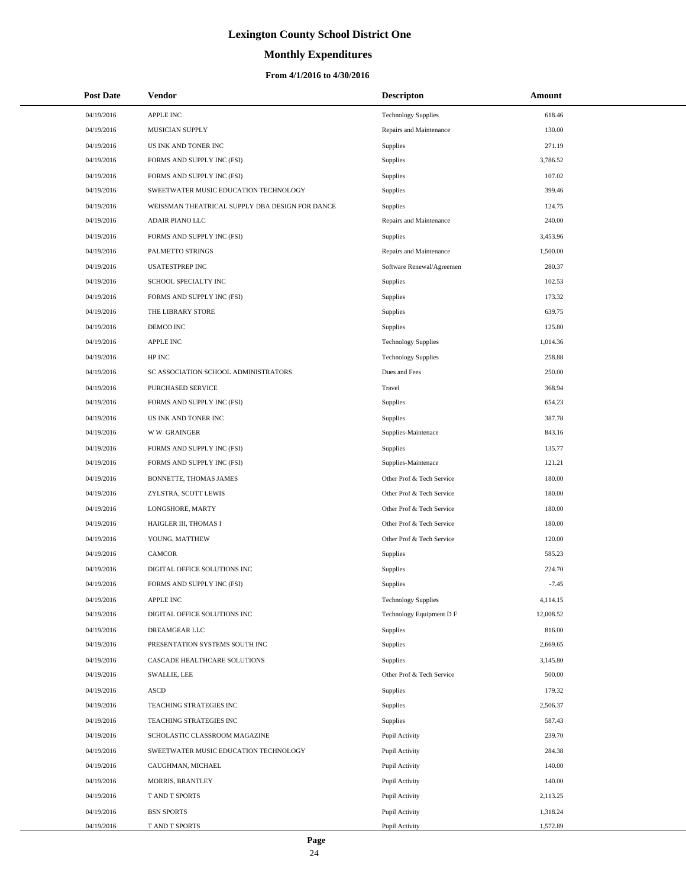# **Monthly Expenditures**

| <b>Post Date</b> | Vendor                                          | <b>Descripton</b>          | Amount    |
|------------------|-------------------------------------------------|----------------------------|-----------|
| 04/19/2016       | APPLE INC                                       | <b>Technology Supplies</b> | 618.46    |
| 04/19/2016       | MUSICIAN SUPPLY                                 | Repairs and Maintenance    | 130.00    |
| 04/19/2016       | US INK AND TONER INC                            | Supplies                   | 271.19    |
| 04/19/2016       | FORMS AND SUPPLY INC (FSI)                      | Supplies                   | 3,786.52  |
| 04/19/2016       | FORMS AND SUPPLY INC (FSI)                      | Supplies                   | 107.02    |
| 04/19/2016       | SWEETWATER MUSIC EDUCATION TECHNOLOGY           | Supplies                   | 399.46    |
| 04/19/2016       | WEISSMAN THEATRICAL SUPPLY DBA DESIGN FOR DANCE | <b>Supplies</b>            | 124.75    |
| 04/19/2016       | ADAIR PIANO LLC                                 | Repairs and Maintenance    | 240.00    |
| 04/19/2016       | FORMS AND SUPPLY INC (FSI)                      | <b>Supplies</b>            | 3,453.96  |
| 04/19/2016       | PALMETTO STRINGS                                | Repairs and Maintenance    | 1,500.00  |
| 04/19/2016       | <b>USATESTPREP INC</b>                          | Software Renewal/Agreemen  | 280.37    |
| 04/19/2016       | SCHOOL SPECIALTY INC                            | Supplies                   | 102.53    |
| 04/19/2016       | FORMS AND SUPPLY INC (FSI)                      | Supplies                   | 173.32    |
| 04/19/2016       | THE LIBRARY STORE                               | Supplies                   | 639.75    |
| 04/19/2016       | DEMCO INC                                       | Supplies                   | 125.80    |
| 04/19/2016       | <b>APPLE INC</b>                                | <b>Technology Supplies</b> | 1,014.36  |
| 04/19/2016       | HP INC                                          | <b>Technology Supplies</b> | 258.88    |
| 04/19/2016       | SC ASSOCIATION SCHOOL ADMINISTRATORS            | Dues and Fees              | 250.00    |
| 04/19/2016       | PURCHASED SERVICE                               | Travel                     | 368.94    |
| 04/19/2016       | FORMS AND SUPPLY INC (FSI)                      | Supplies                   | 654.23    |
| 04/19/2016       | US INK AND TONER INC                            | Supplies                   | 387.78    |
| 04/19/2016       | <b>WW GRAINGER</b>                              | Supplies-Maintenace        | 843.16    |
| 04/19/2016       | FORMS AND SUPPLY INC (FSI)                      | Supplies                   | 135.77    |
| 04/19/2016       | FORMS AND SUPPLY INC (FSI)                      | Supplies-Maintenace        | 121.21    |
| 04/19/2016       | BONNETTE, THOMAS JAMES                          | Other Prof & Tech Service  | 180.00    |
| 04/19/2016       | ZYLSTRA, SCOTT LEWIS                            | Other Prof & Tech Service  | 180.00    |
| 04/19/2016       | LONGSHORE, MARTY                                | Other Prof & Tech Service  | 180.00    |
| 04/19/2016       | HAIGLER III, THOMAS I                           | Other Prof & Tech Service  | 180.00    |
| 04/19/2016       | YOUNG, MATTHEW                                  | Other Prof & Tech Service  | 120.00    |
| 04/19/2016       | <b>CAMCOR</b>                                   | Supplies                   | 585.23    |
| 04/19/2016       | DIGITAL OFFICE SOLUTIONS INC                    | Supplies                   | 224.70    |
| 04/19/2016       | FORMS AND SUPPLY INC (FSI)                      | Supplies                   | $-7.45$   |
| 04/19/2016       | APPLE INC                                       | <b>Technology Supplies</b> | 4,114.15  |
| 04/19/2016       | DIGITAL OFFICE SOLUTIONS INC                    | Technology Equipment D F   | 12,008.52 |
| 04/19/2016       | DREAMGEAR LLC                                   | Supplies                   | 816.00    |
| 04/19/2016       | PRESENTATION SYSTEMS SOUTH INC                  | Supplies                   | 2,669.65  |
| 04/19/2016       | CASCADE HEALTHCARE SOLUTIONS                    | Supplies                   | 3,145.80  |
| 04/19/2016       | SWALLIE, LEE                                    | Other Prof & Tech Service  | 500.00    |
| 04/19/2016       | <b>ASCD</b>                                     | Supplies                   | 179.32    |
| 04/19/2016       | TEACHING STRATEGIES INC                         | Supplies                   | 2,506.37  |
| 04/19/2016       | TEACHING STRATEGIES INC                         | Supplies                   | 587.43    |
| 04/19/2016       | SCHOLASTIC CLASSROOM MAGAZINE                   | Pupil Activity             | 239.70    |
| 04/19/2016       | SWEETWATER MUSIC EDUCATION TECHNOLOGY           | Pupil Activity             | 284.38    |
| 04/19/2016       | CAUGHMAN, MICHAEL                               | Pupil Activity             | 140.00    |
| 04/19/2016       | MORRIS, BRANTLEY                                | Pupil Activity             | 140.00    |
| 04/19/2016       | T AND T SPORTS                                  | Pupil Activity             | 2,113.25  |
| 04/19/2016       | <b>BSN SPORTS</b>                               | Pupil Activity             | 1,318.24  |
| 04/19/2016       | T AND T SPORTS                                  | Pupil Activity             | 1,572.89  |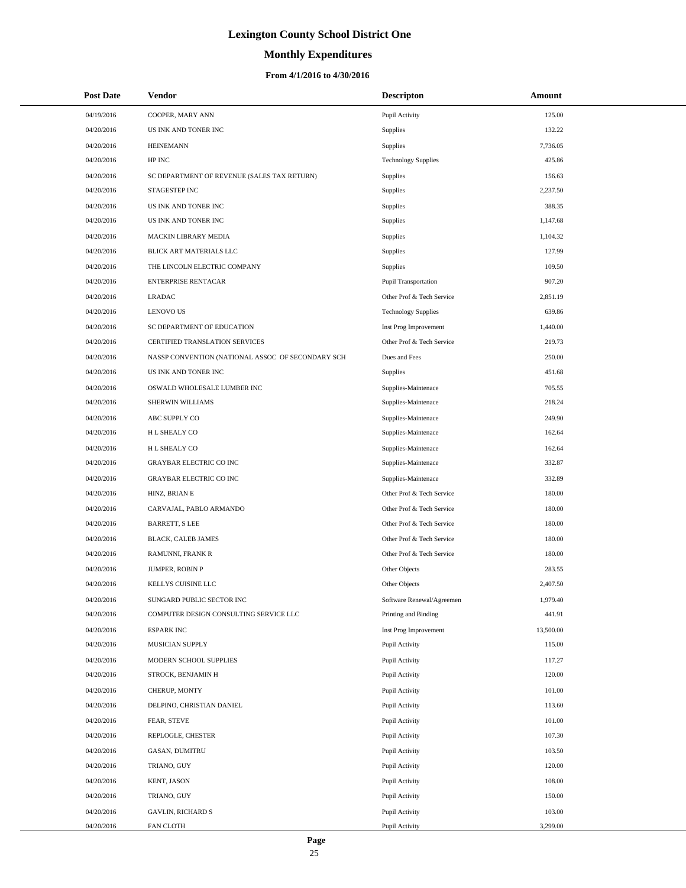# **Monthly Expenditures**

### **From 4/1/2016 to 4/30/2016**

| <b>Post Date</b> | <b>Vendor</b>                                     | <b>Descripton</b>          | Amount    |
|------------------|---------------------------------------------------|----------------------------|-----------|
| 04/19/2016       | COOPER, MARY ANN                                  | Pupil Activity             | 125.00    |
| 04/20/2016       | US INK AND TONER INC                              | Supplies                   | 132.22    |
| 04/20/2016       | <b>HEINEMANN</b>                                  | Supplies                   | 7,736.05  |
| 04/20/2016       | HP INC                                            | <b>Technology Supplies</b> | 425.86    |
| 04/20/2016       | SC DEPARTMENT OF REVENUE (SALES TAX RETURN)       | Supplies                   | 156.63    |
| 04/20/2016       | STAGESTEP INC                                     | Supplies                   | 2,237.50  |
| 04/20/2016       | US INK AND TONER INC                              | Supplies                   | 388.35    |
| 04/20/2016       | US INK AND TONER INC                              | Supplies                   | 1,147.68  |
| 04/20/2016       | MACKIN LIBRARY MEDIA                              | Supplies                   | 1,104.32  |
| 04/20/2016       | BLICK ART MATERIALS LLC                           | Supplies                   | 127.99    |
| 04/20/2016       | THE LINCOLN ELECTRIC COMPANY                      | Supplies                   | 109.50    |
| 04/20/2016       | <b>ENTERPRISE RENTACAR</b>                        | Pupil Transportation       | 907.20    |
| 04/20/2016       | <b>LRADAC</b>                                     | Other Prof & Tech Service  | 2,851.19  |
| 04/20/2016       | <b>LENOVO US</b>                                  | <b>Technology Supplies</b> | 639.86    |
| 04/20/2016       | SC DEPARTMENT OF EDUCATION                        | Inst Prog Improvement      | 1,440.00  |
| 04/20/2016       | CERTIFIED TRANSLATION SERVICES                    | Other Prof & Tech Service  | 219.73    |
| 04/20/2016       | NASSP CONVENTION (NATIONAL ASSOC OF SECONDARY SCH | Dues and Fees              | 250.00    |
| 04/20/2016       | US INK AND TONER INC                              | Supplies                   | 451.68    |
| 04/20/2016       | OSWALD WHOLESALE LUMBER INC                       | Supplies-Maintenace        | 705.55    |
| 04/20/2016       | SHERWIN WILLIAMS                                  | Supplies-Maintenace        | 218.24    |
| 04/20/2016       | ABC SUPPLY CO                                     | Supplies-Maintenace        | 249.90    |
| 04/20/2016       | H L SHEALY CO                                     | Supplies-Maintenace        | 162.64    |
| 04/20/2016       | H L SHEALY CO                                     | Supplies-Maintenace        | 162.64    |
| 04/20/2016       | <b>GRAYBAR ELECTRIC CO INC</b>                    | Supplies-Maintenace        | 332.87    |
| 04/20/2016       | <b>GRAYBAR ELECTRIC CO INC</b>                    | Supplies-Maintenace        | 332.89    |
| 04/20/2016       | HINZ, BRIAN E                                     | Other Prof & Tech Service  | 180.00    |
| 04/20/2016       | CARVAJAL, PABLO ARMANDO                           | Other Prof & Tech Service  | 180.00    |
| 04/20/2016       | <b>BARRETT, S LEE</b>                             | Other Prof & Tech Service  | 180.00    |
| 04/20/2016       | BLACK, CALEB JAMES                                | Other Prof & Tech Service  | 180.00    |
| 04/20/2016       | RAMUNNI, FRANK R                                  | Other Prof & Tech Service  | 180.00    |
| 04/20/2016       | JUMPER, ROBIN P                                   | Other Objects              | 283.55    |
| 04/20/2016       | KELLYS CUISINE LLC                                | Other Objects              | 2,407.50  |
| 04/20/2016       | SUNGARD PUBLIC SECTOR INC                         | Software Renewal/Agreemen  | 1,979.40  |
| 04/20/2016       | COMPUTER DESIGN CONSULTING SERVICE LLC            | Printing and Binding       | 441.91    |
| 04/20/2016       | <b>ESPARK INC</b>                                 | Inst Prog Improvement      | 13,500.00 |
| 04/20/2016       | MUSICIAN SUPPLY                                   | Pupil Activity             | 115.00    |
| 04/20/2016       | MODERN SCHOOL SUPPLIES                            | Pupil Activity             | 117.27    |
| 04/20/2016       | STROCK, BENJAMIN H                                | Pupil Activity             | 120.00    |
| 04/20/2016       | CHERUP, MONTY                                     | Pupil Activity             | 101.00    |
| 04/20/2016       | DELPINO, CHRISTIAN DANIEL                         | Pupil Activity             | 113.60    |
| 04/20/2016       | FEAR, STEVE                                       | Pupil Activity             | 101.00    |
| 04/20/2016       | REPLOGLE, CHESTER                                 | Pupil Activity             | 107.30    |
| 04/20/2016       | GASAN, DUMITRU                                    | Pupil Activity             | 103.50    |
| 04/20/2016       | TRIANO, GUY                                       | Pupil Activity             | 120.00    |
| 04/20/2016       | KENT, JASON                                       | Pupil Activity             | 108.00    |
| 04/20/2016       | TRIANO, GUY                                       | Pupil Activity             | 150.00    |
| 04/20/2016       | <b>GAVLIN, RICHARD S</b>                          | Pupil Activity             | 103.00    |
| 04/20/2016       | FAN CLOTH                                         | Pupil Activity             | 3,299.00  |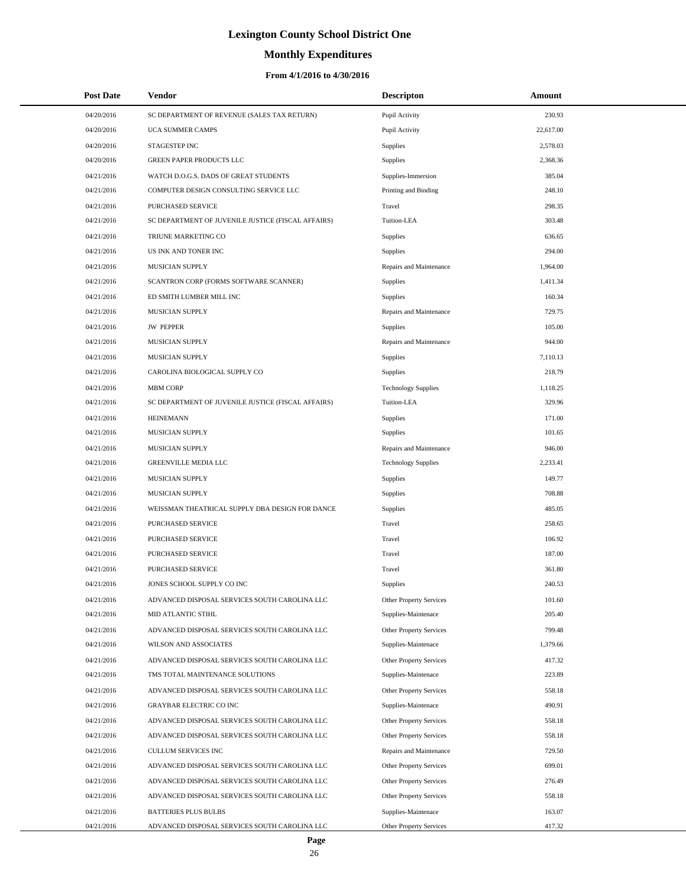# **Monthly Expenditures**

| <b>Post Date</b> | Vendor                                             | <b>Descripton</b>              | Amount    |
|------------------|----------------------------------------------------|--------------------------------|-----------|
| 04/20/2016       | SC DEPARTMENT OF REVENUE (SALES TAX RETURN)        | Pupil Activity                 | 230.93    |
| 04/20/2016       | UCA SUMMER CAMPS                                   | Pupil Activity                 | 22,617.00 |
| 04/20/2016       | STAGESTEP INC                                      | <b>Supplies</b>                | 2,578.03  |
| 04/20/2016       | GREEN PAPER PRODUCTS LLC                           | Supplies                       | 2,368.36  |
| 04/21/2016       | WATCH D.O.G.S. DADS OF GREAT STUDENTS              | Supplies-Immersion             | 385.04    |
| 04/21/2016       | COMPUTER DESIGN CONSULTING SERVICE LLC             | Printing and Binding           | 248.10    |
| 04/21/2016       | <b>PURCHASED SERVICE</b>                           | Travel                         | 298.35    |
| 04/21/2016       | SC DEPARTMENT OF JUVENILE JUSTICE (FISCAL AFFAIRS) | Tuition-LEA                    | 303.48    |
| 04/21/2016       | TRIUNE MARKETING CO                                | Supplies                       | 636.65    |
| 04/21/2016       | US INK AND TONER INC                               | Supplies                       | 294.00    |
| 04/21/2016       | MUSICIAN SUPPLY                                    | Repairs and Maintenance        | 1,964.00  |
| 04/21/2016       | SCANTRON CORP (FORMS SOFTWARE SCANNER)             | Supplies                       | 1,411.34  |
| 04/21/2016       | ED SMITH LUMBER MILL INC                           | Supplies                       | 160.34    |
| 04/21/2016       | MUSICIAN SUPPLY                                    | Repairs and Maintenance        | 729.75    |
| 04/21/2016       | <b>JW PEPPER</b>                                   | Supplies                       | 105.00    |
| 04/21/2016       | MUSICIAN SUPPLY                                    | Repairs and Maintenance        | 944.00    |
| 04/21/2016       | MUSICIAN SUPPLY                                    | Supplies                       | 7,110.13  |
| 04/21/2016       | CAROLINA BIOLOGICAL SUPPLY CO                      | Supplies                       | 218.79    |
| 04/21/2016       | <b>MBM CORP</b>                                    | <b>Technology Supplies</b>     | 1,118.25  |
| 04/21/2016       | SC DEPARTMENT OF JUVENILE JUSTICE (FISCAL AFFAIRS) | Tuition-LEA                    | 329.96    |
| 04/21/2016       | <b>HEINEMANN</b>                                   | <b>Supplies</b>                | 171.00    |
| 04/21/2016       | MUSICIAN SUPPLY                                    | Supplies                       | 101.65    |
| 04/21/2016       | MUSICIAN SUPPLY                                    | Repairs and Maintenance        | 946.00    |
| 04/21/2016       | GREENVILLE MEDIA LLC                               | <b>Technology Supplies</b>     | 2,233.41  |
| 04/21/2016       | MUSICIAN SUPPLY                                    | Supplies                       | 149.77    |
| 04/21/2016       | MUSICIAN SUPPLY                                    | Supplies                       | 708.88    |
| 04/21/2016       | WEISSMAN THEATRICAL SUPPLY DBA DESIGN FOR DANCE    | Supplies                       | 485.05    |
| 04/21/2016       | PURCHASED SERVICE                                  | Travel                         | 258.65    |
| 04/21/2016       | <b>PURCHASED SERVICE</b>                           | Travel                         | 106.92    |
| 04/21/2016       | PURCHASED SERVICE                                  | Travel                         | 187.00    |
| 04/21/2016       | PURCHASED SERVICE                                  | Travel                         | 361.80    |
| 04/21/2016       | JONES SCHOOL SUPPLY CO INC                         | Supplies                       | 240.53    |
| 04/21/2016       | ADVANCED DISPOSAL SERVICES SOUTH CAROLINA LLC      | Other Property Services        | 101.60    |
| 04/21/2016       | MID ATLANTIC STIHL                                 | Supplies-Maintenace            | 205.40    |
| 04/21/2016       | ADVANCED DISPOSAL SERVICES SOUTH CAROLINA LLC      | Other Property Services        | 799.48    |
| 04/21/2016       | WILSON AND ASSOCIATES                              | Supplies-Maintenace            | 1,379.66  |
| 04/21/2016       | ADVANCED DISPOSAL SERVICES SOUTH CAROLINA LLC      | <b>Other Property Services</b> | 417.32    |
| 04/21/2016       | TMS TOTAL MAINTENANCE SOLUTIONS                    | Supplies-Maintenace            | 223.89    |
| 04/21/2016       | ADVANCED DISPOSAL SERVICES SOUTH CAROLINA LLC      | <b>Other Property Services</b> | 558.18    |
| 04/21/2016       | GRAYBAR ELECTRIC CO INC                            | Supplies-Maintenace            | 490.91    |
| 04/21/2016       | ADVANCED DISPOSAL SERVICES SOUTH CAROLINA LLC      | Other Property Services        | 558.18    |
| 04/21/2016       | ADVANCED DISPOSAL SERVICES SOUTH CAROLINA LLC      | Other Property Services        | 558.18    |
| 04/21/2016       | CULLUM SERVICES INC                                | Repairs and Maintenance        | 729.50    |
| 04/21/2016       | ADVANCED DISPOSAL SERVICES SOUTH CAROLINA LLC      | Other Property Services        | 699.01    |
| 04/21/2016       | ADVANCED DISPOSAL SERVICES SOUTH CAROLINA LLC      | Other Property Services        | 276.49    |
| 04/21/2016       | ADVANCED DISPOSAL SERVICES SOUTH CAROLINA LLC      | Other Property Services        | 558.18    |
| 04/21/2016       | <b>BATTERIES PLUS BULBS</b>                        | Supplies-Maintenace            | 163.07    |
| 04/21/2016       | ADVANCED DISPOSAL SERVICES SOUTH CAROLINA LLC      | Other Property Services        | 417.32    |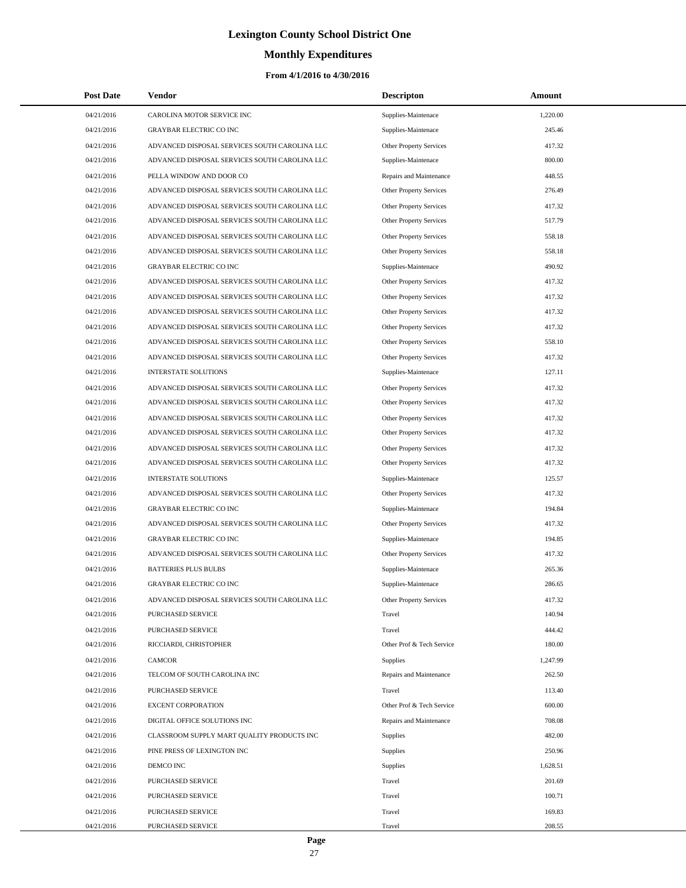# **Monthly Expenditures**

| <b>Post Date</b> | Vendor                                        | <b>Descripton</b>              | Amount   |
|------------------|-----------------------------------------------|--------------------------------|----------|
| 04/21/2016       | CAROLINA MOTOR SERVICE INC                    | Supplies-Maintenace            | 1,220.00 |
| 04/21/2016       | <b>GRAYBAR ELECTRIC CO INC</b>                | Supplies-Maintenace            | 245.46   |
| 04/21/2016       | ADVANCED DISPOSAL SERVICES SOUTH CAROLINA LLC | Other Property Services        | 417.32   |
| 04/21/2016       | ADVANCED DISPOSAL SERVICES SOUTH CAROLINA LLC | Supplies-Maintenace            | 800.00   |
| 04/21/2016       | PELLA WINDOW AND DOOR CO                      | Repairs and Maintenance        | 448.55   |
| 04/21/2016       | ADVANCED DISPOSAL SERVICES SOUTH CAROLINA LLC | Other Property Services        | 276.49   |
| 04/21/2016       | ADVANCED DISPOSAL SERVICES SOUTH CAROLINA LLC | Other Property Services        | 417.32   |
| 04/21/2016       | ADVANCED DISPOSAL SERVICES SOUTH CAROLINA LLC | Other Property Services        | 517.79   |
| 04/21/2016       | ADVANCED DISPOSAL SERVICES SOUTH CAROLINA LLC | Other Property Services        | 558.18   |
| 04/21/2016       | ADVANCED DISPOSAL SERVICES SOUTH CAROLINA LLC | <b>Other Property Services</b> | 558.18   |
| 04/21/2016       | <b>GRAYBAR ELECTRIC CO INC</b>                | Supplies-Maintenace            | 490.92   |
| 04/21/2016       | ADVANCED DISPOSAL SERVICES SOUTH CAROLINA LLC | Other Property Services        | 417.32   |
| 04/21/2016       | ADVANCED DISPOSAL SERVICES SOUTH CAROLINA LLC | Other Property Services        | 417.32   |
| 04/21/2016       | ADVANCED DISPOSAL SERVICES SOUTH CAROLINA LLC | Other Property Services        | 417.32   |
| 04/21/2016       | ADVANCED DISPOSAL SERVICES SOUTH CAROLINA LLC | Other Property Services        | 417.32   |
| 04/21/2016       | ADVANCED DISPOSAL SERVICES SOUTH CAROLINA LLC | Other Property Services        | 558.10   |
| 04/21/2016       | ADVANCED DISPOSAL SERVICES SOUTH CAROLINA LLC | Other Property Services        | 417.32   |
| 04/21/2016       | <b>INTERSTATE SOLUTIONS</b>                   | Supplies-Maintenace            | 127.11   |
| 04/21/2016       | ADVANCED DISPOSAL SERVICES SOUTH CAROLINA LLC | Other Property Services        | 417.32   |
| 04/21/2016       | ADVANCED DISPOSAL SERVICES SOUTH CAROLINA LLC | <b>Other Property Services</b> | 417.32   |
| 04/21/2016       | ADVANCED DISPOSAL SERVICES SOUTH CAROLINA LLC | Other Property Services        | 417.32   |
| 04/21/2016       | ADVANCED DISPOSAL SERVICES SOUTH CAROLINA LLC | Other Property Services        | 417.32   |
| 04/21/2016       | ADVANCED DISPOSAL SERVICES SOUTH CAROLINA LLC | Other Property Services        | 417.32   |
| 04/21/2016       | ADVANCED DISPOSAL SERVICES SOUTH CAROLINA LLC | Other Property Services        | 417.32   |
| 04/21/2016       | <b>INTERSTATE SOLUTIONS</b>                   | Supplies-Maintenace            | 125.57   |
| 04/21/2016       | ADVANCED DISPOSAL SERVICES SOUTH CAROLINA LLC | Other Property Services        | 417.32   |
| 04/21/2016       | <b>GRAYBAR ELECTRIC CO INC</b>                | Supplies-Maintenace            | 194.84   |
| 04/21/2016       | ADVANCED DISPOSAL SERVICES SOUTH CAROLINA LLC | Other Property Services        | 417.32   |
| 04/21/2016       | <b>GRAYBAR ELECTRIC CO INC</b>                | Supplies-Maintenace            | 194.85   |
| 04/21/2016       | ADVANCED DISPOSAL SERVICES SOUTH CAROLINA LLC | Other Property Services        | 417.32   |
| 04/21/2016       | <b>BATTERIES PLUS BULBS</b>                   | Supplies-Maintenace            | 265.36   |
| 04/21/2016       | <b>GRAYBAR ELECTRIC CO INC</b>                | Supplies-Maintenace            | 286.65   |
| 04/21/2016       | ADVANCED DISPOSAL SERVICES SOUTH CAROLINA LLC | Other Property Services        | 417.32   |
| 04/21/2016       | PURCHASED SERVICE                             | Travel                         | 140.94   |
| 04/21/2016       | PURCHASED SERVICE                             | Travel                         | 444.42   |
| 04/21/2016       | RICCIARDI, CHRISTOPHER                        | Other Prof & Tech Service      | 180.00   |
| 04/21/2016       | CAMCOR                                        | Supplies                       | 1,247.99 |
| 04/21/2016       | TELCOM OF SOUTH CAROLINA INC                  | Repairs and Maintenance        | 262.50   |
| 04/21/2016       | PURCHASED SERVICE                             | Travel                         | 113.40   |
| 04/21/2016       | <b>EXCENT CORPORATION</b>                     | Other Prof & Tech Service      | 600.00   |
| 04/21/2016       | DIGITAL OFFICE SOLUTIONS INC                  | Repairs and Maintenance        | 708.08   |
| 04/21/2016       | CLASSROOM SUPPLY MART QUALITY PRODUCTS INC    | <b>Supplies</b>                | 482.00   |
| 04/21/2016       | PINE PRESS OF LEXINGTON INC                   | Supplies                       | 250.96   |
| 04/21/2016       | DEMCO INC                                     | Supplies                       | 1,628.51 |
| 04/21/2016       | PURCHASED SERVICE                             | Travel                         | 201.69   |
| 04/21/2016       | PURCHASED SERVICE                             | Travel                         | 100.71   |
| 04/21/2016       | PURCHASED SERVICE                             | Travel                         | 169.83   |
| 04/21/2016       | PURCHASED SERVICE                             | Travel                         | 208.55   |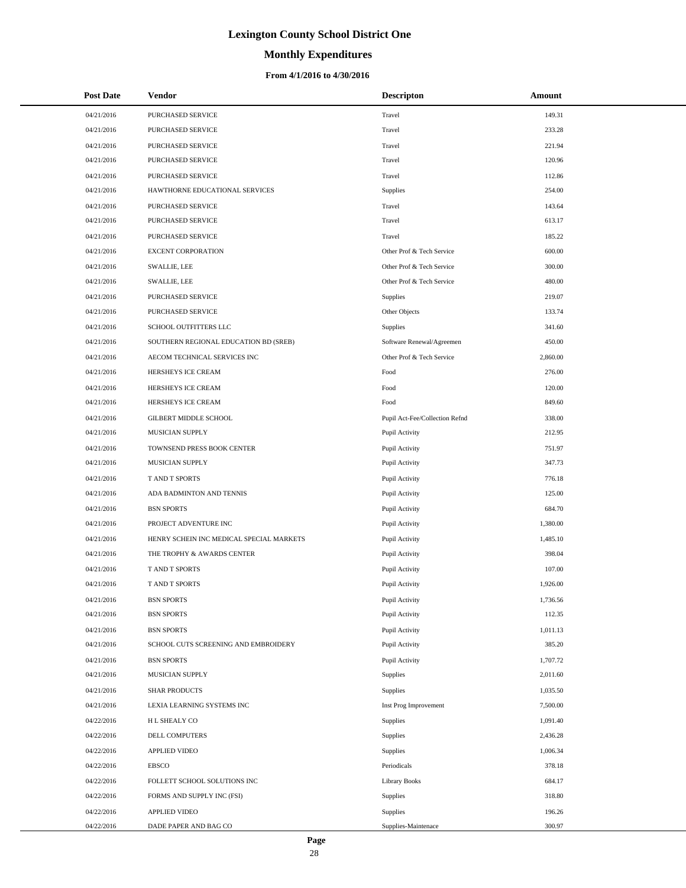# **Monthly Expenditures**

### **From 4/1/2016 to 4/30/2016**

| <b>Post Date</b> | Vendor                                   | <b>Descripton</b>              | Amount   |
|------------------|------------------------------------------|--------------------------------|----------|
| 04/21/2016       | PURCHASED SERVICE                        | Travel                         | 149.31   |
| 04/21/2016       | PURCHASED SERVICE                        | Travel                         | 233.28   |
| 04/21/2016       | PURCHASED SERVICE                        | Travel                         | 221.94   |
| 04/21/2016       | PURCHASED SERVICE                        | Travel                         | 120.96   |
| 04/21/2016       | PURCHASED SERVICE                        | Travel                         | 112.86   |
| 04/21/2016       | HAWTHORNE EDUCATIONAL SERVICES           | Supplies                       | 254.00   |
| 04/21/2016       | PURCHASED SERVICE                        | Travel                         | 143.64   |
| 04/21/2016       | PURCHASED SERVICE                        | Travel                         | 613.17   |
| 04/21/2016       | PURCHASED SERVICE                        | Travel                         | 185.22   |
| 04/21/2016       | <b>EXCENT CORPORATION</b>                | Other Prof & Tech Service      | 600.00   |
| 04/21/2016       | SWALLIE, LEE                             | Other Prof & Tech Service      | 300.00   |
| 04/21/2016       | <b>SWALLIE, LEE</b>                      | Other Prof & Tech Service      | 480.00   |
| 04/21/2016       | PURCHASED SERVICE                        | Supplies                       | 219.07   |
| 04/21/2016       | PURCHASED SERVICE                        | Other Objects                  | 133.74   |
| 04/21/2016       | SCHOOL OUTFITTERS LLC                    | Supplies                       | 341.60   |
| 04/21/2016       | SOUTHERN REGIONAL EDUCATION BD (SREB)    | Software Renewal/Agreemen      | 450.00   |
| 04/21/2016       | AECOM TECHNICAL SERVICES INC             | Other Prof & Tech Service      | 2,860.00 |
| 04/21/2016       | HERSHEYS ICE CREAM                       | Food                           | 276.00   |
| 04/21/2016       | HERSHEYS ICE CREAM                       | Food                           | 120.00   |
| 04/21/2016       | HERSHEYS ICE CREAM                       | Food                           | 849.60   |
| 04/21/2016       | GILBERT MIDDLE SCHOOL                    | Pupil Act-Fee/Collection Refnd | 338.00   |
| 04/21/2016       | MUSICIAN SUPPLY                          | Pupil Activity                 | 212.95   |
| 04/21/2016       | TOWNSEND PRESS BOOK CENTER               | Pupil Activity                 | 751.97   |
| 04/21/2016       | MUSICIAN SUPPLY                          | Pupil Activity                 | 347.73   |
| 04/21/2016       | T AND T SPORTS                           | Pupil Activity                 | 776.18   |
| 04/21/2016       | ADA BADMINTON AND TENNIS                 | Pupil Activity                 | 125.00   |
| 04/21/2016       | <b>BSN SPORTS</b>                        | Pupil Activity                 | 684.70   |
| 04/21/2016       | PROJECT ADVENTURE INC                    | Pupil Activity                 | 1,380.00 |
| 04/21/2016       | HENRY SCHEIN INC MEDICAL SPECIAL MARKETS | Pupil Activity                 | 1,485.10 |
| 04/21/2016       | THE TROPHY & AWARDS CENTER               | Pupil Activity                 | 398.04   |
| 04/21/2016       | T AND T SPORTS                           | Pupil Activity                 | 107.00   |
| 04/21/2016       | <b>TAND T SPORTS</b>                     | Pupil Activity                 | 1,926.00 |
| 04/21/2016       | <b>BSN SPORTS</b>                        | Pupil Activity                 | 1,736.56 |
| 04/21/2016       | <b>BSN SPORTS</b>                        | Pupil Activity                 | 112.35   |
| 04/21/2016       | <b>BSN SPORTS</b>                        | Pupil Activity                 | 1,011.13 |
| 04/21/2016       | SCHOOL CUTS SCREENING AND EMBROIDERY     | Pupil Activity                 | 385.20   |
| 04/21/2016       | <b>BSN SPORTS</b>                        | Pupil Activity                 | 1,707.72 |
| 04/21/2016       | MUSICIAN SUPPLY                          | Supplies                       | 2,011.60 |
| 04/21/2016       | <b>SHAR PRODUCTS</b>                     | Supplies                       | 1,035.50 |
| 04/21/2016       | LEXIA LEARNING SYSTEMS INC               | Inst Prog Improvement          | 7,500.00 |
| 04/22/2016       | H L SHEALY CO                            | Supplies                       | 1,091.40 |
| 04/22/2016       | DELL COMPUTERS                           | Supplies                       | 2,436.28 |
| 04/22/2016       | <b>APPLIED VIDEO</b>                     | Supplies                       | 1,006.34 |
| 04/22/2016       | <b>EBSCO</b>                             | Periodicals                    | 378.18   |
| 04/22/2016       | FOLLETT SCHOOL SOLUTIONS INC             | <b>Library Books</b>           | 684.17   |
| 04/22/2016       | FORMS AND SUPPLY INC (FSI)               | Supplies                       | 318.80   |
| 04/22/2016       | APPLIED VIDEO                            | Supplies                       | 196.26   |
| 04/22/2016       | DADE PAPER AND BAG CO                    | Supplies-Maintenace            | 300.97   |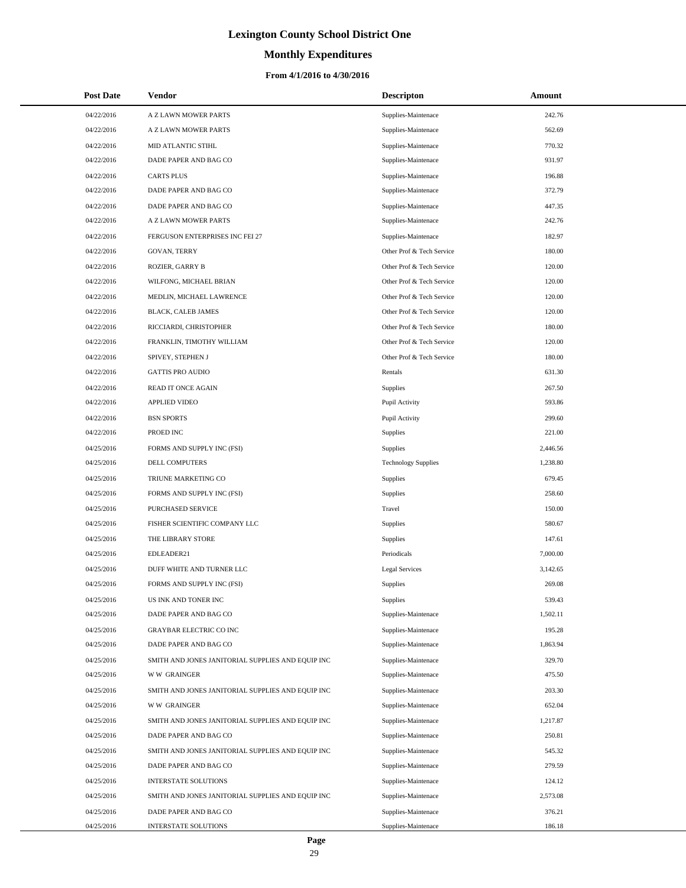# **Monthly Expenditures**

| <b>Post Date</b> | Vendor                                            | <b>Descripton</b>          | Amount   |
|------------------|---------------------------------------------------|----------------------------|----------|
| 04/22/2016       | A Z LAWN MOWER PARTS                              | Supplies-Maintenace        | 242.76   |
| 04/22/2016       | A Z LAWN MOWER PARTS                              | Supplies-Maintenace        | 562.69   |
| 04/22/2016       | MID ATLANTIC STIHL                                | Supplies-Maintenace        | 770.32   |
| 04/22/2016       | DADE PAPER AND BAG CO                             | Supplies-Maintenace        | 931.97   |
| 04/22/2016       | <b>CARTS PLUS</b>                                 | Supplies-Maintenace        | 196.88   |
| 04/22/2016       | DADE PAPER AND BAG CO                             | Supplies-Maintenace        | 372.79   |
| 04/22/2016       | DADE PAPER AND BAG CO                             | Supplies-Maintenace        | 447.35   |
| 04/22/2016       | A Z LAWN MOWER PARTS                              | Supplies-Maintenace        | 242.76   |
| 04/22/2016       | FERGUSON ENTERPRISES INC FEI 27                   | Supplies-Maintenace        | 182.97   |
| 04/22/2016       | GOVAN, TERRY                                      | Other Prof & Tech Service  | 180.00   |
| 04/22/2016       | ROZIER, GARRY B                                   | Other Prof & Tech Service  | 120.00   |
| 04/22/2016       | WILFONG, MICHAEL BRIAN                            | Other Prof & Tech Service  | 120.00   |
| 04/22/2016       | MEDLIN, MICHAEL LAWRENCE                          | Other Prof & Tech Service  | 120.00   |
| 04/22/2016       | BLACK, CALEB JAMES                                | Other Prof & Tech Service  | 120.00   |
| 04/22/2016       | RICCIARDI, CHRISTOPHER                            | Other Prof & Tech Service  | 180.00   |
| 04/22/2016       | FRANKLIN, TIMOTHY WILLIAM                         | Other Prof & Tech Service  | 120.00   |
| 04/22/2016       | SPIVEY, STEPHEN J                                 | Other Prof & Tech Service  | 180.00   |
| 04/22/2016       | <b>GATTIS PRO AUDIO</b>                           | Rentals                    | 631.30   |
| 04/22/2016       | <b>READ IT ONCE AGAIN</b>                         | Supplies                   | 267.50   |
| 04/22/2016       | <b>APPLIED VIDEO</b>                              | Pupil Activity             | 593.86   |
| 04/22/2016       | <b>BSN SPORTS</b>                                 | Pupil Activity             | 299.60   |
| 04/22/2016       | PROED INC                                         | Supplies                   | 221.00   |
| 04/25/2016       | FORMS AND SUPPLY INC (FSI)                        | Supplies                   | 2,446.56 |
| 04/25/2016       | DELL COMPUTERS                                    | <b>Technology Supplies</b> | 1,238.80 |
| 04/25/2016       | TRIUNE MARKETING CO                               | Supplies                   | 679.45   |
| 04/25/2016       | FORMS AND SUPPLY INC (FSI)                        | Supplies                   | 258.60   |
| 04/25/2016       | PURCHASED SERVICE                                 | Travel                     | 150.00   |
| 04/25/2016       | FISHER SCIENTIFIC COMPANY LLC                     | Supplies                   | 580.67   |
| 04/25/2016       | THE LIBRARY STORE                                 | Supplies                   | 147.61   |
| 04/25/2016       | EDLEADER21                                        | Periodicals                | 7,000.00 |
| 04/25/2016       | DUFF WHITE AND TURNER LLC                         | <b>Legal Services</b>      | 3,142.65 |
| 04/25/2016       | FORMS AND SUPPLY INC (FSI)                        | Supplies                   | 269.08   |
| 04/25/2016       | US INK AND TONER INC                              | Supplies                   | 539.43   |
| 04/25/2016       | DADE PAPER AND BAG CO                             | Supplies-Maintenace        | 1,502.11 |
| 04/25/2016       | <b>GRAYBAR ELECTRIC CO INC</b>                    | Supplies-Maintenace        | 195.28   |
| 04/25/2016       | DADE PAPER AND BAG CO                             | Supplies-Maintenace        | 1,863.94 |
| 04/25/2016       | SMITH AND JONES JANITORIAL SUPPLIES AND EQUIP INC | Supplies-Maintenace        | 329.70   |
| 04/25/2016       | <b>WW GRAINGER</b>                                | Supplies-Maintenace        | 475.50   |
| 04/25/2016       | SMITH AND JONES JANITORIAL SUPPLIES AND EQUIP INC | Supplies-Maintenace        | 203.30   |
| 04/25/2016       | <b>WW GRAINGER</b>                                | Supplies-Maintenace        | 652.04   |
| 04/25/2016       | SMITH AND JONES JANITORIAL SUPPLIES AND EQUIP INC | Supplies-Maintenace        | 1,217.87 |
| 04/25/2016       | DADE PAPER AND BAG CO                             | Supplies-Maintenace        | 250.81   |
| 04/25/2016       | SMITH AND JONES JANITORIAL SUPPLIES AND EQUIP INC | Supplies-Maintenace        | 545.32   |
| 04/25/2016       | DADE PAPER AND BAG CO                             | Supplies-Maintenace        | 279.59   |
| 04/25/2016       | <b>INTERSTATE SOLUTIONS</b>                       | Supplies-Maintenace        | 124.12   |
| 04/25/2016       | SMITH AND JONES JANITORIAL SUPPLIES AND EQUIP INC | Supplies-Maintenace        | 2,573.08 |
| 04/25/2016       | DADE PAPER AND BAG CO                             | Supplies-Maintenace        | 376.21   |
| 04/25/2016       | INTERSTATE SOLUTIONS                              | Supplies-Maintenace        | 186.18   |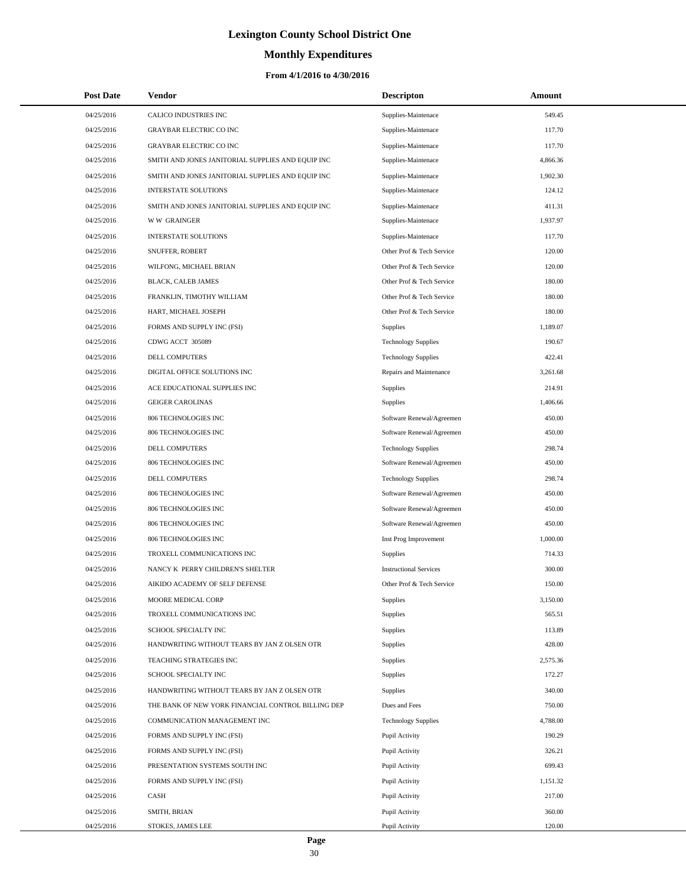# **Monthly Expenditures**

| <b>Post Date</b> | Vendor                                             | <b>Descripton</b>             | Amount   |
|------------------|----------------------------------------------------|-------------------------------|----------|
| 04/25/2016       | CALICO INDUSTRIES INC                              | Supplies-Maintenace           | 549.45   |
| 04/25/2016       | GRAYBAR ELECTRIC CO INC                            | Supplies-Maintenace           | 117.70   |
| 04/25/2016       | <b>GRAYBAR ELECTRIC CO INC</b>                     | Supplies-Maintenace           | 117.70   |
| 04/25/2016       | SMITH AND JONES JANITORIAL SUPPLIES AND EQUIP INC  | Supplies-Maintenace           | 4,866.36 |
| 04/25/2016       | SMITH AND JONES JANITORIAL SUPPLIES AND EQUIP INC  | Supplies-Maintenace           | 1,902.30 |
| 04/25/2016       | <b>INTERSTATE SOLUTIONS</b>                        | Supplies-Maintenace           | 124.12   |
| 04/25/2016       | SMITH AND JONES JANITORIAL SUPPLIES AND EQUIP INC  | Supplies-Maintenace           | 411.31   |
| 04/25/2016       | <b>WW GRAINGER</b>                                 | Supplies-Maintenace           | 1,937.97 |
| 04/25/2016       | INTERSTATE SOLUTIONS                               | Supplies-Maintenace           | 117.70   |
| 04/25/2016       | SNUFFER, ROBERT                                    | Other Prof & Tech Service     | 120.00   |
| 04/25/2016       | WILFONG, MICHAEL BRIAN                             | Other Prof & Tech Service     | 120.00   |
| 04/25/2016       | BLACK, CALEB JAMES                                 | Other Prof & Tech Service     | 180.00   |
| 04/25/2016       | FRANKLIN, TIMOTHY WILLIAM                          | Other Prof & Tech Service     | 180.00   |
| 04/25/2016       | HART, MICHAEL JOSEPH                               | Other Prof & Tech Service     | 180.00   |
| 04/25/2016       | FORMS AND SUPPLY INC (FSI)                         | Supplies                      | 1,189.07 |
| 04/25/2016       | CDWG ACCT 305089                                   | <b>Technology Supplies</b>    | 190.67   |
| 04/25/2016       | DELL COMPUTERS                                     | <b>Technology Supplies</b>    | 422.41   |
| 04/25/2016       | DIGITAL OFFICE SOLUTIONS INC                       | Repairs and Maintenance       | 3,261.68 |
| 04/25/2016       | ACE EDUCATIONAL SUPPLIES INC                       | Supplies                      | 214.91   |
| 04/25/2016       | <b>GEIGER CAROLINAS</b>                            | Supplies                      | 1,406.66 |
| 04/25/2016       | 806 TECHNOLOGIES INC                               | Software Renewal/Agreemen     | 450.00   |
| 04/25/2016       | 806 TECHNOLOGIES INC                               | Software Renewal/Agreemen     | 450.00   |
| 04/25/2016       | DELL COMPUTERS                                     | <b>Technology Supplies</b>    | 298.74   |
| 04/25/2016       | 806 TECHNOLOGIES INC                               | Software Renewal/Agreemen     | 450.00   |
| 04/25/2016       | DELL COMPUTERS                                     | <b>Technology Supplies</b>    | 298.74   |
| 04/25/2016       | 806 TECHNOLOGIES INC                               | Software Renewal/Agreemen     | 450.00   |
| 04/25/2016       | 806 TECHNOLOGIES INC                               | Software Renewal/Agreemen     | 450.00   |
| 04/25/2016       | 806 TECHNOLOGIES INC                               | Software Renewal/Agreemen     | 450.00   |
| 04/25/2016       | 806 TECHNOLOGIES INC                               | Inst Prog Improvement         | 1,000.00 |
| 04/25/2016       | TROXELL COMMUNICATIONS INC                         | Supplies                      | 714.33   |
| 04/25/2016       | NANCY K PERRY CHILDREN'S SHELTER                   | <b>Instructional Services</b> | 300.00   |
| 04/25/2016       | AIKIDO ACADEMY OF SELF DEFENSE                     | Other Prof & Tech Service     | 150.00   |
| 04/25/2016       | MOORE MEDICAL CORP                                 | Supplies                      | 3,150.00 |
| 04/25/2016       | TROXELL COMMUNICATIONS INC                         | Supplies                      | 565.51   |
| 04/25/2016       | SCHOOL SPECIALTY INC                               | Supplies                      | 113.89   |
| 04/25/2016       | HANDWRITING WITHOUT TEARS BY JAN Z OLSEN OTR       | Supplies                      | 428.00   |
| 04/25/2016       | TEACHING STRATEGIES INC                            | Supplies                      | 2,575.36 |
| 04/25/2016       | SCHOOL SPECIALTY INC                               | Supplies                      | 172.27   |
| 04/25/2016       | HANDWRITING WITHOUT TEARS BY JAN Z OLSEN OTR       | Supplies                      | 340.00   |
| 04/25/2016       | THE BANK OF NEW YORK FINANCIAL CONTROL BILLING DEP | Dues and Fees                 | 750.00   |
| 04/25/2016       | COMMUNICATION MANAGEMENT INC                       | <b>Technology Supplies</b>    | 4,788.00 |
| 04/25/2016       | FORMS AND SUPPLY INC (FSI)                         | Pupil Activity                | 190.29   |
| 04/25/2016       | FORMS AND SUPPLY INC (FSI)                         | Pupil Activity                | 326.21   |
| 04/25/2016       | PRESENTATION SYSTEMS SOUTH INC                     | Pupil Activity                | 699.43   |
| 04/25/2016       | FORMS AND SUPPLY INC (FSI)                         | Pupil Activity                | 1,151.32 |
| 04/25/2016       | CASH                                               | Pupil Activity                | 217.00   |
| 04/25/2016       | SMITH, BRIAN                                       | Pupil Activity                | 360.00   |
| 04/25/2016       | STOKES, JAMES LEE                                  | Pupil Activity                | 120.00   |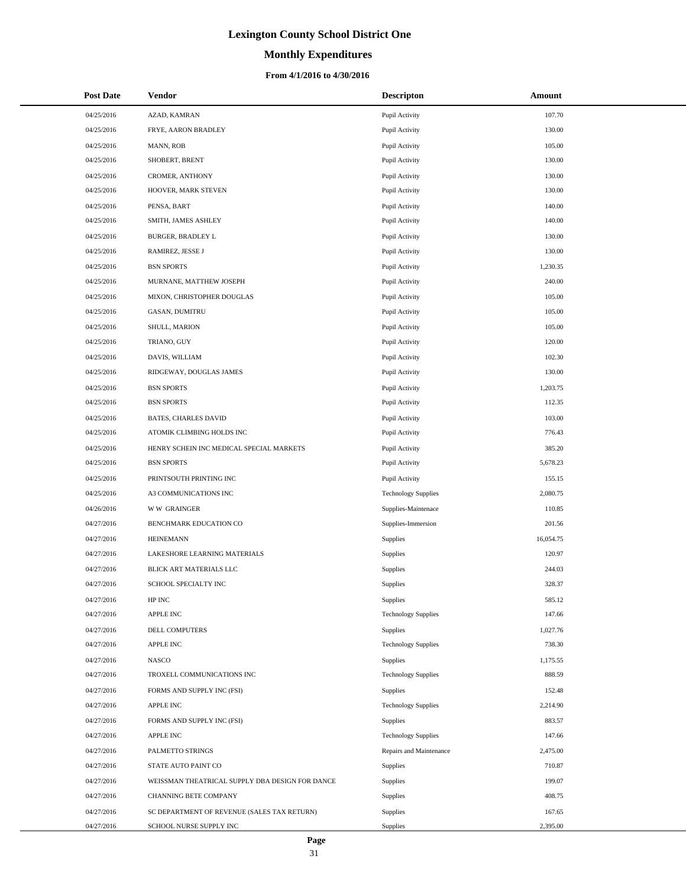# **Monthly Expenditures**

| <b>Post Date</b> | <b>Vendor</b>                                   | <b>Descripton</b>          | Amount    |
|------------------|-------------------------------------------------|----------------------------|-----------|
| 04/25/2016       | AZAD, KAMRAN                                    | Pupil Activity             | 107.70    |
| 04/25/2016       | FRYE, AARON BRADLEY                             | Pupil Activity             | 130.00    |
| 04/25/2016       | MANN, ROB                                       | Pupil Activity             | 105.00    |
| 04/25/2016       | SHOBERT, BRENT                                  | Pupil Activity             | 130.00    |
| 04/25/2016       | CROMER, ANTHONY                                 | Pupil Activity             | 130.00    |
| 04/25/2016       | HOOVER, MARK STEVEN                             | Pupil Activity             | 130.00    |
| 04/25/2016       | PENSA, BART                                     | Pupil Activity             | 140.00    |
| 04/25/2016       | SMITH, JAMES ASHLEY                             | Pupil Activity             | 140.00    |
| 04/25/2016       | BURGER, BRADLEY L                               | Pupil Activity             | 130.00    |
| 04/25/2016       | RAMIREZ, JESSE J                                | Pupil Activity             | 130.00    |
| 04/25/2016       | <b>BSN SPORTS</b>                               | Pupil Activity             | 1,230.35  |
| 04/25/2016       | MURNANE, MATTHEW JOSEPH                         | Pupil Activity             | 240.00    |
| 04/25/2016       | MIXON, CHRISTOPHER DOUGLAS                      | Pupil Activity             | 105.00    |
| 04/25/2016       | GASAN, DUMITRU                                  | Pupil Activity             | 105.00    |
| 04/25/2016       | SHULL, MARION                                   | Pupil Activity             | 105.00    |
| 04/25/2016       | TRIANO, GUY                                     | Pupil Activity             | 120.00    |
| 04/25/2016       | DAVIS, WILLIAM                                  | Pupil Activity             | 102.30    |
| 04/25/2016       | RIDGEWAY, DOUGLAS JAMES                         | Pupil Activity             | 130.00    |
| 04/25/2016       | <b>BSN SPORTS</b>                               | Pupil Activity             | 1,203.75  |
| 04/25/2016       | <b>BSN SPORTS</b>                               | Pupil Activity             | 112.35    |
| 04/25/2016       | <b>BATES, CHARLES DAVID</b>                     | Pupil Activity             | 103.00    |
| 04/25/2016       | ATOMIK CLIMBING HOLDS INC                       | Pupil Activity             | 776.43    |
| 04/25/2016       | HENRY SCHEIN INC MEDICAL SPECIAL MARKETS        | Pupil Activity             | 385.20    |
| 04/25/2016       | <b>BSN SPORTS</b>                               | Pupil Activity             | 5,678.23  |
| 04/25/2016       | PRINTSOUTH PRINTING INC                         | Pupil Activity             | 155.15    |
| 04/25/2016       | A3 COMMUNICATIONS INC                           | <b>Technology Supplies</b> | 2,080.75  |
| 04/26/2016       | <b>WW GRAINGER</b>                              | Supplies-Maintenace        | 110.85    |
| 04/27/2016       | BENCHMARK EDUCATION CO                          | Supplies-Immersion         | 201.56    |
| 04/27/2016       | <b>HEINEMANN</b>                                | Supplies                   | 16,054.75 |
| 04/27/2016       | LAKESHORE LEARNING MATERIALS                    | Supplies                   | 120.97    |
| 04/27/2016       | BLICK ART MATERIALS LLC                         | Supplies                   | 244.03    |
| 04/27/2016       | SCHOOL SPECIALTY INC                            | Supplies                   | 328.37    |
| 04/27/2016       | HP INC                                          | Supplies                   | 585.12    |
| 04/27/2016       | APPLE INC                                       | <b>Technology Supplies</b> | 147.66    |
| 04/27/2016       | DELL COMPUTERS                                  | Supplies                   | 1,027.76  |
| 04/27/2016       | APPLE INC                                       | <b>Technology Supplies</b> | 738.30    |
| 04/27/2016       | <b>NASCO</b>                                    | Supplies                   | 1,175.55  |
| 04/27/2016       | TROXELL COMMUNICATIONS INC                      | <b>Technology Supplies</b> | 888.59    |
| 04/27/2016       | FORMS AND SUPPLY INC (FSI)                      | Supplies                   | 152.48    |
| 04/27/2016       | APPLE INC                                       | <b>Technology Supplies</b> | 2,214.90  |
| 04/27/2016       | FORMS AND SUPPLY INC (FSI)                      | Supplies                   | 883.57    |
| 04/27/2016       | APPLE INC                                       | <b>Technology Supplies</b> | 147.66    |
| 04/27/2016       | PALMETTO STRINGS                                | Repairs and Maintenance    | 2,475.00  |
| 04/27/2016       | STATE AUTO PAINT CO                             | Supplies                   | 710.87    |
| 04/27/2016       | WEISSMAN THEATRICAL SUPPLY DBA DESIGN FOR DANCE | Supplies                   | 199.07    |
| 04/27/2016       | CHANNING BETE COMPANY                           | Supplies                   | 408.75    |
| 04/27/2016       | SC DEPARTMENT OF REVENUE (SALES TAX RETURN)     | Supplies                   | 167.65    |
| 04/27/2016       | SCHOOL NURSE SUPPLY INC                         | Supplies                   | 2,395.00  |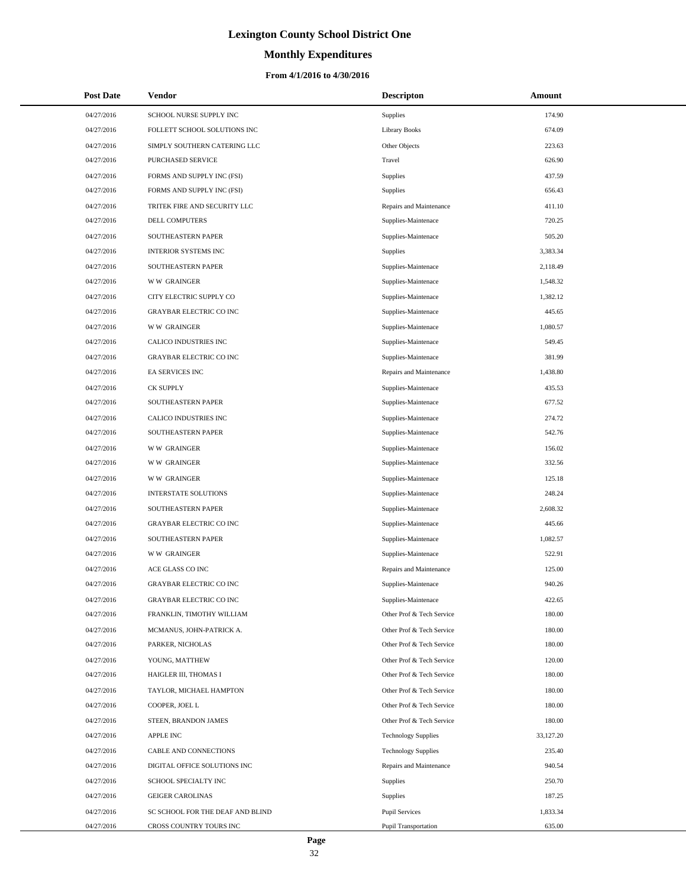# **Monthly Expenditures**

| <b>Post Date</b> | <b>Vendor</b>                    | <b>Descripton</b>          | Amount    |
|------------------|----------------------------------|----------------------------|-----------|
| 04/27/2016       | SCHOOL NURSE SUPPLY INC          | Supplies                   | 174.90    |
| 04/27/2016       | FOLLETT SCHOOL SOLUTIONS INC     | <b>Library Books</b>       | 674.09    |
| 04/27/2016       | SIMPLY SOUTHERN CATERING LLC     | Other Objects              | 223.63    |
| 04/27/2016       | PURCHASED SERVICE                | Travel                     | 626.90    |
| 04/27/2016       | FORMS AND SUPPLY INC (FSI)       | Supplies                   | 437.59    |
| 04/27/2016       | FORMS AND SUPPLY INC (FSI)       | <b>Supplies</b>            | 656.43    |
| 04/27/2016       | TRITEK FIRE AND SECURITY LLC     | Repairs and Maintenance    | 411.10    |
| 04/27/2016       | DELL COMPUTERS                   | Supplies-Maintenace        | 720.25    |
| 04/27/2016       | SOUTHEASTERN PAPER               | Supplies-Maintenace        | 505.20    |
| 04/27/2016       | INTERIOR SYSTEMS INC             | Supplies                   | 3,383.34  |
| 04/27/2016       | SOUTHEASTERN PAPER               | Supplies-Maintenace        | 2,118.49  |
| 04/27/2016       | <b>WW GRAINGER</b>               | Supplies-Maintenace        | 1,548.32  |
| 04/27/2016       | CITY ELECTRIC SUPPLY CO          | Supplies-Maintenace        | 1,382.12  |
| 04/27/2016       | <b>GRAYBAR ELECTRIC CO INC</b>   | Supplies-Maintenace        | 445.65    |
| 04/27/2016       | <b>WW GRAINGER</b>               | Supplies-Maintenace        | 1,080.57  |
| 04/27/2016       | CALICO INDUSTRIES INC            | Supplies-Maintenace        | 549.45    |
| 04/27/2016       | <b>GRAYBAR ELECTRIC CO INC</b>   | Supplies-Maintenace        | 381.99    |
| 04/27/2016       | EA SERVICES INC                  | Repairs and Maintenance    | 1,438.80  |
| 04/27/2016       | <b>CK SUPPLY</b>                 | Supplies-Maintenace        | 435.53    |
| 04/27/2016       | SOUTHEASTERN PAPER               | Supplies-Maintenace        | 677.52    |
| 04/27/2016       | CALICO INDUSTRIES INC            | Supplies-Maintenace        | 274.72    |
| 04/27/2016       | SOUTHEASTERN PAPER               | Supplies-Maintenace        | 542.76    |
| 04/27/2016       | <b>WW GRAINGER</b>               | Supplies-Maintenace        | 156.02    |
| 04/27/2016       | <b>WW GRAINGER</b>               | Supplies-Maintenace        | 332.56    |
| 04/27/2016       | <b>WW GRAINGER</b>               | Supplies-Maintenace        | 125.18    |
| 04/27/2016       | <b>INTERSTATE SOLUTIONS</b>      | Supplies-Maintenace        | 248.24    |
| 04/27/2016       | SOUTHEASTERN PAPER               | Supplies-Maintenace        | 2,608.32  |
| 04/27/2016       | <b>GRAYBAR ELECTRIC CO INC</b>   | Supplies-Maintenace        | 445.66    |
| 04/27/2016       | SOUTHEASTERN PAPER               | Supplies-Maintenace        | 1,082.57  |
| 04/27/2016       | <b>WW GRAINGER</b>               | Supplies-Maintenace        | 522.91    |
| 04/27/2016       | ACE GLASS CO INC                 | Repairs and Maintenance    | 125.00    |
| 04/27/2016       | <b>GRAYBAR ELECTRIC CO INC</b>   | Supplies-Maintenace        | 940.26    |
| 04/27/2016       | <b>GRAYBAR ELECTRIC CO INC</b>   | Supplies-Maintenace        | 422.65    |
| 04/27/2016       | FRANKLIN, TIMOTHY WILLIAM        | Other Prof & Tech Service  | 180.00    |
| 04/27/2016       | MCMANUS, JOHN-PATRICK A.         | Other Prof & Tech Service  | 180.00    |
| 04/27/2016       | PARKER, NICHOLAS                 | Other Prof & Tech Service  | 180.00    |
| 04/27/2016       | YOUNG, MATTHEW                   | Other Prof & Tech Service  | 120.00    |
| 04/27/2016       | HAIGLER III, THOMAS I            | Other Prof & Tech Service  | 180.00    |
| 04/27/2016       | TAYLOR, MICHAEL HAMPTON          | Other Prof & Tech Service  | 180.00    |
| 04/27/2016       | COOPER, JOEL L                   | Other Prof & Tech Service  | 180.00    |
| 04/27/2016       | STEEN, BRANDON JAMES             | Other Prof & Tech Service  | 180.00    |
| 04/27/2016       | <b>APPLE INC</b>                 | <b>Technology Supplies</b> | 33,127.20 |
| 04/27/2016       | CABLE AND CONNECTIONS            | <b>Technology Supplies</b> | 235.40    |
| 04/27/2016       | DIGITAL OFFICE SOLUTIONS INC     | Repairs and Maintenance    | 940.54    |
| 04/27/2016       | SCHOOL SPECIALTY INC             | <b>Supplies</b>            | 250.70    |
| 04/27/2016       | <b>GEIGER CAROLINAS</b>          | <b>Supplies</b>            | 187.25    |
| 04/27/2016       | SC SCHOOL FOR THE DEAF AND BLIND | <b>Pupil Services</b>      | 1,833.34  |
| 04/27/2016       | CROSS COUNTRY TOURS INC          | Pupil Transportation       | 635.00    |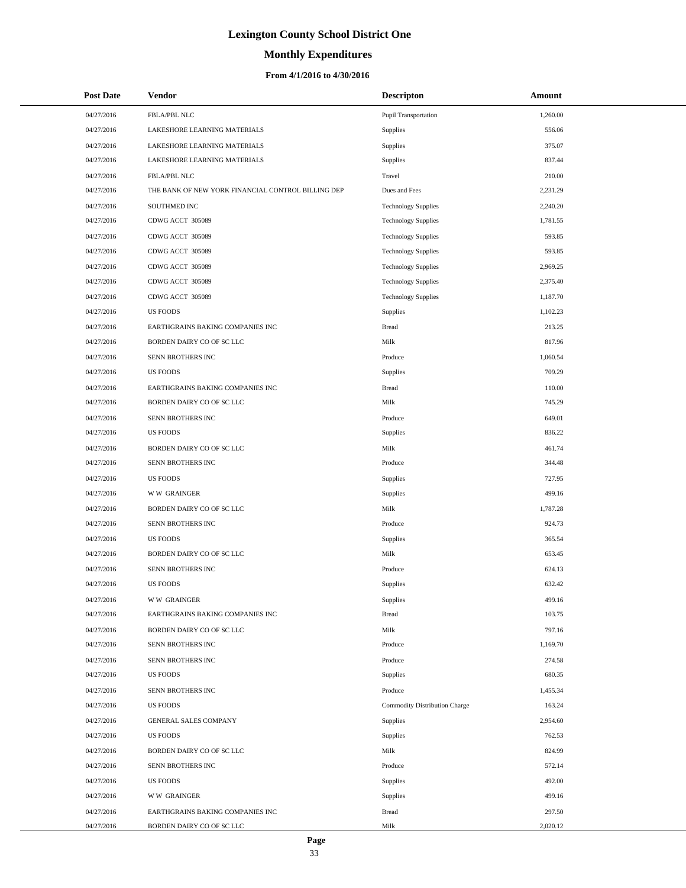# **Monthly Expenditures**

### **From 4/1/2016 to 4/30/2016**

| <b>Post Date</b> | Vendor                                             | <b>Descripton</b>                    | Amount   |
|------------------|----------------------------------------------------|--------------------------------------|----------|
| 04/27/2016       | FBLA/PBL NLC                                       | Pupil Transportation                 | 1,260.00 |
| 04/27/2016       | LAKESHORE LEARNING MATERIALS                       | Supplies                             | 556.06   |
| 04/27/2016       | LAKESHORE LEARNING MATERIALS                       | Supplies                             | 375.07   |
| 04/27/2016       | LAKESHORE LEARNING MATERIALS                       | Supplies                             | 837.44   |
| 04/27/2016       | FBLA/PBL NLC                                       | Travel                               | 210.00   |
| 04/27/2016       | THE BANK OF NEW YORK FINANCIAL CONTROL BILLING DEP | Dues and Fees                        | 2,231.29 |
| 04/27/2016       | SOUTHMED INC                                       | <b>Technology Supplies</b>           | 2,240.20 |
| 04/27/2016       | CDWG ACCT 305089                                   | <b>Technology Supplies</b>           | 1,781.55 |
| 04/27/2016       | CDWG ACCT 305089                                   | <b>Technology Supplies</b>           | 593.85   |
| 04/27/2016       | CDWG ACCT 305089                                   | <b>Technology Supplies</b>           | 593.85   |
| 04/27/2016       | CDWG ACCT 305089                                   | <b>Technology Supplies</b>           | 2,969.25 |
| 04/27/2016       | CDWG ACCT 305089                                   | <b>Technology Supplies</b>           | 2,375.40 |
| 04/27/2016       | CDWG ACCT 305089                                   | <b>Technology Supplies</b>           | 1,187.70 |
| 04/27/2016       | <b>US FOODS</b>                                    | Supplies                             | 1,102.23 |
| 04/27/2016       | EARTHGRAINS BAKING COMPANIES INC                   | <b>Bread</b>                         | 213.25   |
| 04/27/2016       | BORDEN DAIRY CO OF SC LLC                          | Milk                                 | 817.96   |
| 04/27/2016       | SENN BROTHERS INC                                  | Produce                              | 1,060.54 |
| 04/27/2016       | <b>US FOODS</b>                                    | Supplies                             | 709.29   |
| 04/27/2016       | EARTHGRAINS BAKING COMPANIES INC                   | <b>Bread</b>                         | 110.00   |
| 04/27/2016       | BORDEN DAIRY CO OF SC LLC                          | Milk                                 | 745.29   |
| 04/27/2016       | SENN BROTHERS INC                                  | Produce                              | 649.01   |
| 04/27/2016       | <b>US FOODS</b>                                    | Supplies                             | 836.22   |
| 04/27/2016       | BORDEN DAIRY CO OF SC LLC                          | Milk                                 | 461.74   |
| 04/27/2016       | SENN BROTHERS INC                                  | Produce                              | 344.48   |
| 04/27/2016       | <b>US FOODS</b>                                    | Supplies                             | 727.95   |
| 04/27/2016       | <b>WW GRAINGER</b>                                 | Supplies                             | 499.16   |
| 04/27/2016       | BORDEN DAIRY CO OF SC LLC                          | Milk                                 | 1,787.28 |
| 04/27/2016       | SENN BROTHERS INC                                  | Produce                              | 924.73   |
| 04/27/2016       | <b>US FOODS</b>                                    | Supplies                             | 365.54   |
| 04/27/2016       | BORDEN DAIRY CO OF SC LLC                          | Milk                                 | 653.45   |
| 04/27/2016       | SENN BROTHERS INC                                  | Produce                              | 624.13   |
| 04/27/2016       | <b>US FOODS</b>                                    | Supplies                             | 632.42   |
| 04/27/2016       | <b>WW GRAINGER</b>                                 | Supplies                             | 499.16   |
| 04/27/2016       | EARTHGRAINS BAKING COMPANIES INC                   | <b>Bread</b>                         | 103.75   |
| 04/27/2016       | BORDEN DAIRY CO OF SC LLC                          | Milk                                 | 797.16   |
| 04/27/2016       | SENN BROTHERS INC                                  | Produce                              | 1,169.70 |
| 04/27/2016       | SENN BROTHERS INC                                  | Produce                              | 274.58   |
| 04/27/2016       | <b>US FOODS</b>                                    | Supplies                             | 680.35   |
| 04/27/2016       | SENN BROTHERS INC                                  | Produce                              | 1,455.34 |
| 04/27/2016       | <b>US FOODS</b>                                    | <b>Commodity Distribution Charge</b> | 163.24   |
| 04/27/2016       | <b>GENERAL SALES COMPANY</b>                       | Supplies                             | 2,954.60 |
| 04/27/2016       | <b>US FOODS</b>                                    | Supplies                             | 762.53   |
| 04/27/2016       | BORDEN DAIRY CO OF SC LLC                          | Milk                                 | 824.99   |
| 04/27/2016       | SENN BROTHERS INC                                  | Produce                              | 572.14   |
| 04/27/2016       | <b>US FOODS</b>                                    | Supplies                             | 492.00   |
| 04/27/2016       | <b>WW GRAINGER</b>                                 | Supplies                             | 499.16   |
| 04/27/2016       | EARTHGRAINS BAKING COMPANIES INC                   | <b>Bread</b>                         | 297.50   |
| 04/27/2016       | BORDEN DAIRY CO OF SC LLC                          | Milk                                 | 2,020.12 |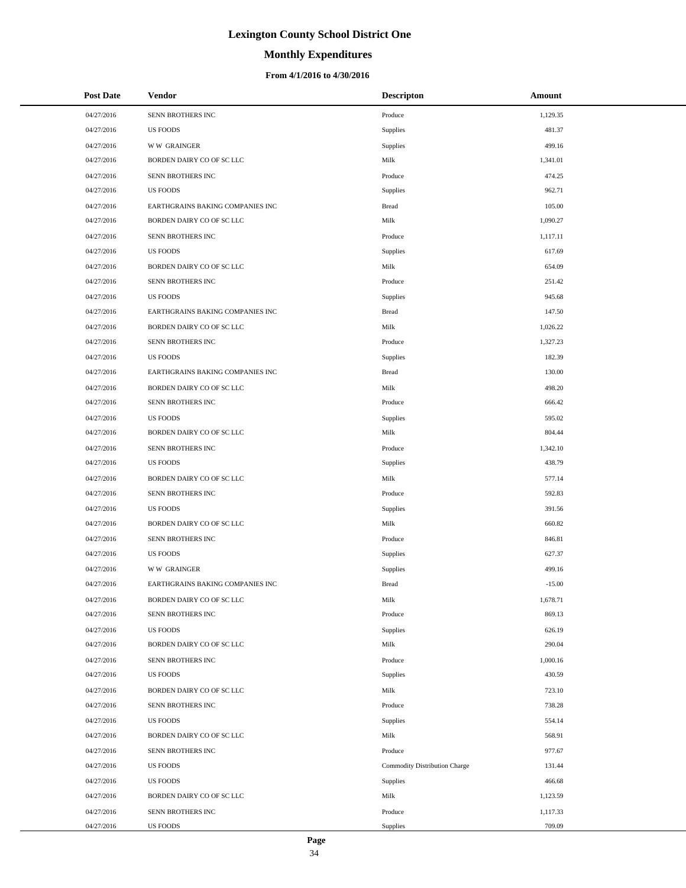# **Monthly Expenditures**

| <b>Post Date</b> | Vendor                           | <b>Descripton</b>             | Amount   |
|------------------|----------------------------------|-------------------------------|----------|
| 04/27/2016       | SENN BROTHERS INC                | Produce                       | 1,129.35 |
| 04/27/2016       | <b>US FOODS</b>                  | Supplies                      | 481.37   |
| 04/27/2016       | <b>WW GRAINGER</b>               | Supplies                      | 499.16   |
| 04/27/2016       | BORDEN DAIRY CO OF SC LLC        | Milk                          | 1,341.01 |
| 04/27/2016       | SENN BROTHERS INC                | Produce                       | 474.25   |
| 04/27/2016       | <b>US FOODS</b>                  | Supplies                      | 962.71   |
| 04/27/2016       | EARTHGRAINS BAKING COMPANIES INC | <b>Bread</b>                  | 105.00   |
| 04/27/2016       | BORDEN DAIRY CO OF SC LLC        | Milk                          | 1,090.27 |
| 04/27/2016       | SENN BROTHERS INC                | Produce                       | 1,117.11 |
| 04/27/2016       | <b>US FOODS</b>                  | Supplies                      | 617.69   |
| 04/27/2016       | BORDEN DAIRY CO OF SC LLC        | Milk                          | 654.09   |
| 04/27/2016       | SENN BROTHERS INC                | Produce                       | 251.42   |
| 04/27/2016       | <b>US FOODS</b>                  | Supplies                      | 945.68   |
| 04/27/2016       | EARTHGRAINS BAKING COMPANIES INC | <b>Bread</b>                  | 147.50   |
| 04/27/2016       | BORDEN DAIRY CO OF SC LLC        | Milk                          | 1,026.22 |
| 04/27/2016       | SENN BROTHERS INC                | Produce                       | 1,327.23 |
| 04/27/2016       | <b>US FOODS</b>                  | Supplies                      | 182.39   |
| 04/27/2016       | EARTHGRAINS BAKING COMPANIES INC | <b>Bread</b>                  | 130.00   |
| 04/27/2016       | BORDEN DAIRY CO OF SC LLC        | Milk                          | 498.20   |
| 04/27/2016       | SENN BROTHERS INC                | Produce                       | 666.42   |
| 04/27/2016       | <b>US FOODS</b>                  | Supplies                      | 595.02   |
| 04/27/2016       | BORDEN DAIRY CO OF SC LLC        | Milk                          | 804.44   |
| 04/27/2016       | SENN BROTHERS INC                | Produce                       | 1,342.10 |
| 04/27/2016       | <b>US FOODS</b>                  | Supplies                      | 438.79   |
| 04/27/2016       | BORDEN DAIRY CO OF SC LLC        | Milk                          | 577.14   |
| 04/27/2016       | SENN BROTHERS INC                | Produce                       | 592.83   |
| 04/27/2016       | <b>US FOODS</b>                  | Supplies                      | 391.56   |
| 04/27/2016       | BORDEN DAIRY CO OF SC LLC        | Milk                          | 660.82   |
| 04/27/2016       | SENN BROTHERS INC                | Produce                       | 846.81   |
| 04/27/2016       | <b>US FOODS</b>                  | Supplies                      | 627.37   |
| 04/27/2016       | <b>WW GRAINGER</b>               | Supplies                      | 499.16   |
| 04/27/2016       | EARTHGRAINS BAKING COMPANIES INC | <b>Bread</b>                  | $-15.00$ |
| 04/27/2016       | BORDEN DAIRY CO OF SC LLC        | Milk                          | 1,678.71 |
| 04/27/2016       | SENN BROTHERS INC                | Produce                       | 869.13   |
| 04/27/2016       | <b>US FOODS</b>                  | Supplies                      | 626.19   |
| 04/27/2016       | BORDEN DAIRY CO OF SC LLC        | Milk                          | 290.04   |
| 04/27/2016       | SENN BROTHERS INC                | Produce                       | 1,000.16 |
| 04/27/2016       | <b>US FOODS</b>                  | Supplies                      | 430.59   |
| 04/27/2016       | BORDEN DAIRY CO OF SC LLC        | Milk                          | 723.10   |
| 04/27/2016       | SENN BROTHERS INC                | Produce                       | 738.28   |
| 04/27/2016       | <b>US FOODS</b>                  | Supplies                      | 554.14   |
| 04/27/2016       | BORDEN DAIRY CO OF SC LLC        | Milk                          | 568.91   |
| 04/27/2016       | SENN BROTHERS INC                | Produce                       | 977.67   |
| 04/27/2016       | <b>US FOODS</b>                  | Commodity Distribution Charge | 131.44   |
| 04/27/2016       | <b>US FOODS</b>                  | Supplies                      | 466.68   |
| 04/27/2016       | BORDEN DAIRY CO OF SC LLC        | Milk                          | 1,123.59 |
| 04/27/2016       | SENN BROTHERS INC                | Produce                       | 1,117.33 |
| 04/27/2016       | <b>US FOODS</b>                  | Supplies                      | 709.09   |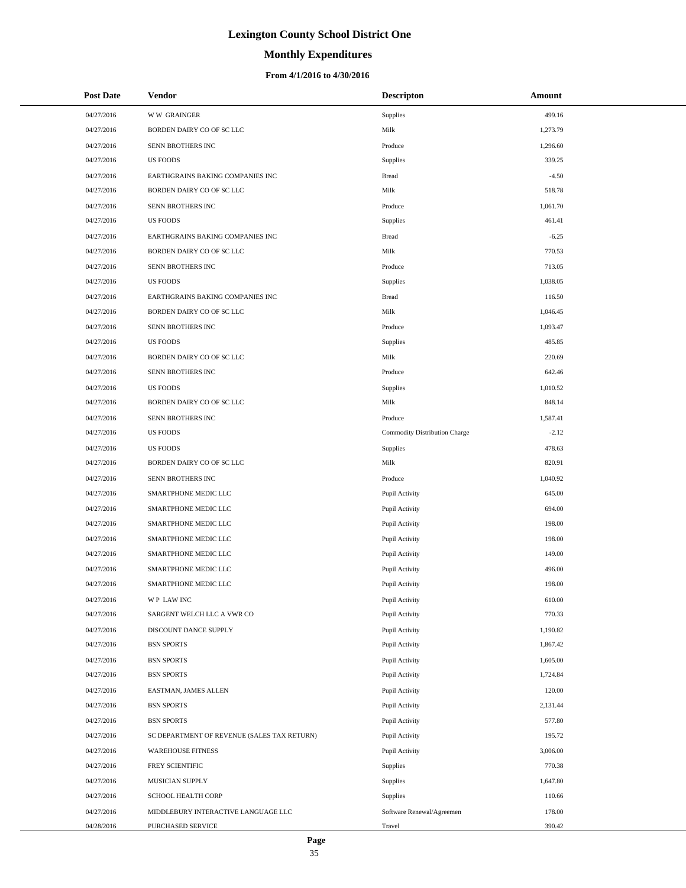# **Monthly Expenditures**

### **From 4/1/2016 to 4/30/2016**

| <b>Post Date</b> | <b>Vendor</b>                               | <b>Descripton</b>             | Amount   |
|------------------|---------------------------------------------|-------------------------------|----------|
| 04/27/2016       | <b>WW GRAINGER</b>                          | Supplies                      | 499.16   |
| 04/27/2016       | BORDEN DAIRY CO OF SC LLC                   | Milk                          | 1,273.79 |
| 04/27/2016       | SENN BROTHERS INC                           | Produce                       | 1,296.60 |
| 04/27/2016       | <b>US FOODS</b>                             | Supplies                      | 339.25   |
| 04/27/2016       | EARTHGRAINS BAKING COMPANIES INC            | <b>Bread</b>                  | $-4.50$  |
| 04/27/2016       | BORDEN DAIRY CO OF SC LLC                   | Milk                          | 518.78   |
| 04/27/2016       | SENN BROTHERS INC                           | Produce                       | 1,061.70 |
| 04/27/2016       | <b>US FOODS</b>                             | Supplies                      | 461.41   |
| 04/27/2016       | EARTHGRAINS BAKING COMPANIES INC            | <b>Bread</b>                  | $-6.25$  |
| 04/27/2016       | BORDEN DAIRY CO OF SC LLC                   | Milk                          | 770.53   |
| 04/27/2016       | SENN BROTHERS INC                           | Produce                       | 713.05   |
| 04/27/2016       | <b>US FOODS</b>                             | Supplies                      | 1,038.05 |
| 04/27/2016       | EARTHGRAINS BAKING COMPANIES INC            | <b>Bread</b>                  | 116.50   |
| 04/27/2016       | BORDEN DAIRY CO OF SC LLC                   | Milk                          | 1,046.45 |
| 04/27/2016       | SENN BROTHERS INC                           | Produce                       | 1,093.47 |
| 04/27/2016       | <b>US FOODS</b>                             | Supplies                      | 485.85   |
| 04/27/2016       | BORDEN DAIRY CO OF SC LLC                   | Milk                          | 220.69   |
| 04/27/2016       | SENN BROTHERS INC                           | Produce                       | 642.46   |
| 04/27/2016       | <b>US FOODS</b>                             | Supplies                      | 1,010.52 |
| 04/27/2016       | BORDEN DAIRY CO OF SC LLC                   | Milk                          | 848.14   |
| 04/27/2016       | SENN BROTHERS INC                           | Produce                       | 1,587.41 |
| 04/27/2016       | <b>US FOODS</b>                             | Commodity Distribution Charge | $-2.12$  |
| 04/27/2016       | <b>US FOODS</b>                             | Supplies                      | 478.63   |
| 04/27/2016       | BORDEN DAIRY CO OF SC LLC                   | Milk                          | 820.91   |
| 04/27/2016       | SENN BROTHERS INC                           | Produce                       | 1,040.92 |
| 04/27/2016       | SMARTPHONE MEDIC LLC                        | Pupil Activity                | 645.00   |
| 04/27/2016       | SMARTPHONE MEDIC LLC                        | Pupil Activity                | 694.00   |
| 04/27/2016       | SMARTPHONE MEDIC LLC                        | Pupil Activity                | 198.00   |
| 04/27/2016       | SMARTPHONE MEDIC LLC                        | Pupil Activity                | 198.00   |
| 04/27/2016       | SMARTPHONE MEDIC LLC                        | Pupil Activity                | 149.00   |
| 04/27/2016       | SMARTPHONE MEDIC LLC                        | Pupil Activity                | 496.00   |
| 04/27/2016       | SMARTPHONE MEDIC LLC                        | Pupil Activity                | 198.00   |
| 04/27/2016       | WP LAW INC                                  | Pupil Activity                | 610.00   |
| 04/27/2016       | SARGENT WELCH LLC A VWR CO                  | Pupil Activity                | 770.33   |
| 04/27/2016       | DISCOUNT DANCE SUPPLY                       | Pupil Activity                | 1,190.82 |
| 04/27/2016       | <b>BSN SPORTS</b>                           | Pupil Activity                | 1,867.42 |
| 04/27/2016       | <b>BSN SPORTS</b>                           | Pupil Activity                | 1,605.00 |
| 04/27/2016       | <b>BSN SPORTS</b>                           | Pupil Activity                | 1,724.84 |
| 04/27/2016       | EASTMAN, JAMES ALLEN                        | Pupil Activity                | 120.00   |
| 04/27/2016       | <b>BSN SPORTS</b>                           | Pupil Activity                | 2,131.44 |
| 04/27/2016       | <b>BSN SPORTS</b>                           | Pupil Activity                | 577.80   |
| 04/27/2016       | SC DEPARTMENT OF REVENUE (SALES TAX RETURN) | Pupil Activity                | 195.72   |
| 04/27/2016       | <b>WAREHOUSE FITNESS</b>                    | Pupil Activity                | 3,006.00 |
| 04/27/2016       | FREY SCIENTIFIC                             | Supplies                      | 770.38   |
| 04/27/2016       | MUSICIAN SUPPLY                             | Supplies                      | 1,647.80 |
| 04/27/2016       | SCHOOL HEALTH CORP                          | Supplies                      | 110.66   |
| 04/27/2016       | MIDDLEBURY INTERACTIVE LANGUAGE LLC         | Software Renewal/Agreemen     | 178.00   |
| 04/28/2016       | PURCHASED SERVICE                           | Travel                        | 390.42   |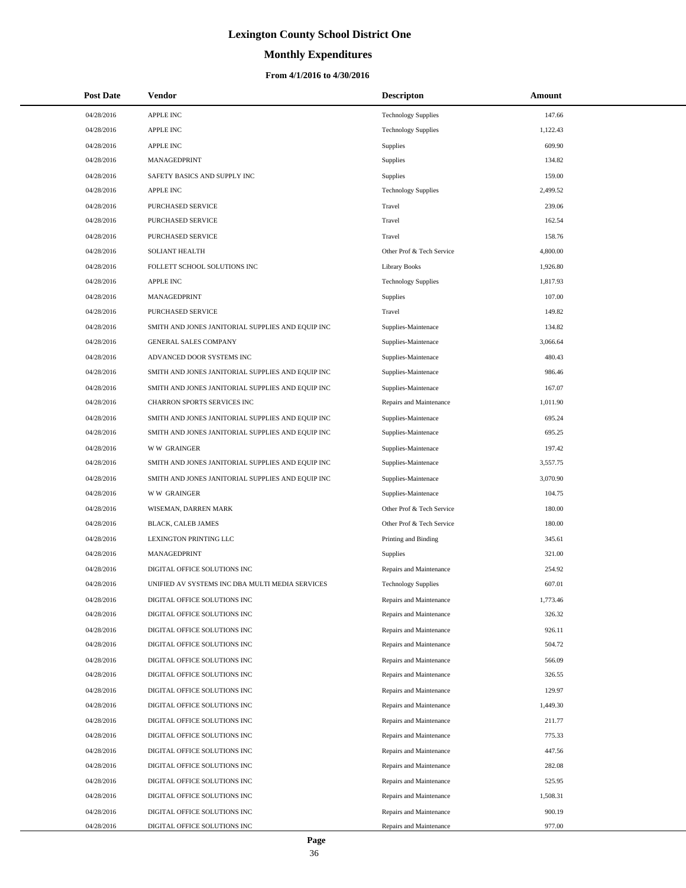# **Monthly Expenditures**

| <b>Post Date</b> | <b>Vendor</b>                                     | <b>Descripton</b>          | Amount   |
|------------------|---------------------------------------------------|----------------------------|----------|
| 04/28/2016       | <b>APPLE INC</b>                                  | <b>Technology Supplies</b> | 147.66   |
| 04/28/2016       | <b>APPLE INC</b>                                  | <b>Technology Supplies</b> | 1,122.43 |
| 04/28/2016       | <b>APPLE INC</b>                                  | Supplies                   | 609.90   |
| 04/28/2016       | MANAGEDPRINT                                      | <b>Supplies</b>            | 134.82   |
| 04/28/2016       | SAFETY BASICS AND SUPPLY INC                      | <b>Supplies</b>            | 159.00   |
| 04/28/2016       | <b>APPLE INC</b>                                  | <b>Technology Supplies</b> | 2,499.52 |
| 04/28/2016       | <b>PURCHASED SERVICE</b>                          | Travel                     | 239.06   |
| 04/28/2016       | PURCHASED SERVICE                                 | Travel                     | 162.54   |
| 04/28/2016       | PURCHASED SERVICE                                 | Travel                     | 158.76   |
| 04/28/2016       | <b>SOLIANT HEALTH</b>                             | Other Prof & Tech Service  | 4,800.00 |
| 04/28/2016       | FOLLETT SCHOOL SOLUTIONS INC                      | <b>Library Books</b>       | 1,926.80 |
| 04/28/2016       | <b>APPLE INC</b>                                  | <b>Technology Supplies</b> | 1,817.93 |
| 04/28/2016       | MANAGEDPRINT                                      | <b>Supplies</b>            | 107.00   |
| 04/28/2016       | PURCHASED SERVICE                                 | Travel                     | 149.82   |
| 04/28/2016       | SMITH AND JONES JANITORIAL SUPPLIES AND EQUIP INC | Supplies-Maintenace        | 134.82   |
| 04/28/2016       | <b>GENERAL SALES COMPANY</b>                      | Supplies-Maintenace        | 3.066.64 |
| 04/28/2016       | ADVANCED DOOR SYSTEMS INC                         | Supplies-Maintenace        | 480.43   |
| 04/28/2016       | SMITH AND JONES JANITORIAL SUPPLIES AND EQUIP INC | Supplies-Maintenace        | 986.46   |
| 04/28/2016       | SMITH AND JONES JANITORIAL SUPPLIES AND EQUIP INC | Supplies-Maintenace        | 167.07   |
| 04/28/2016       | CHARRON SPORTS SERVICES INC                       | Repairs and Maintenance    | 1,011.90 |
| 04/28/2016       | SMITH AND JONES JANITORIAL SUPPLIES AND EQUIP INC | Supplies-Maintenace        | 695.24   |
| 04/28/2016       | SMITH AND JONES JANITORIAL SUPPLIES AND EQUIP INC | Supplies-Maintenace        | 695.25   |
| 04/28/2016       | <b>WW GRAINGER</b>                                | Supplies-Maintenace        | 197.42   |
| 04/28/2016       | SMITH AND JONES JANITORIAL SUPPLIES AND EQUIP INC | Supplies-Maintenace        | 3,557.75 |
| 04/28/2016       | SMITH AND JONES JANITORIAL SUPPLIES AND EQUIP INC | Supplies-Maintenace        | 3,070.90 |
| 04/28/2016       | <b>WW GRAINGER</b>                                | Supplies-Maintenace        | 104.75   |
| 04/28/2016       | WISEMAN, DARREN MARK                              | Other Prof & Tech Service  | 180.00   |
| 04/28/2016       | BLACK, CALEB JAMES                                | Other Prof & Tech Service  | 180.00   |
| 04/28/2016       | LEXINGTON PRINTING LLC                            | Printing and Binding       | 345.61   |
| 04/28/2016       | MANAGEDPRINT                                      | Supplies                   | 321.00   |
| 04/28/2016       | DIGITAL OFFICE SOLUTIONS INC                      | Repairs and Maintenance    | 254.92   |
| 04/28/2016       | UNIFIED AV SYSTEMS INC DBA MULTI MEDIA SERVICES   | <b>Technology Supplies</b> | 607.01   |
| 04/28/2016       | DIGITAL OFFICE SOLUTIONS INC                      | Repairs and Maintenance    | 1,773.46 |
| 04/28/2016       | DIGITAL OFFICE SOLUTIONS INC                      | Repairs and Maintenance    | 326.32   |
| 04/28/2016       | DIGITAL OFFICE SOLUTIONS INC                      | Repairs and Maintenance    | 926.11   |
| 04/28/2016       | DIGITAL OFFICE SOLUTIONS INC                      | Repairs and Maintenance    | 504.72   |
| 04/28/2016       | DIGITAL OFFICE SOLUTIONS INC                      | Repairs and Maintenance    | 566.09   |
| 04/28/2016       | DIGITAL OFFICE SOLUTIONS INC                      | Repairs and Maintenance    | 326.55   |
| 04/28/2016       | DIGITAL OFFICE SOLUTIONS INC                      | Repairs and Maintenance    | 129.97   |
| 04/28/2016       | DIGITAL OFFICE SOLUTIONS INC                      | Repairs and Maintenance    | 1,449.30 |
| 04/28/2016       | DIGITAL OFFICE SOLUTIONS INC                      | Repairs and Maintenance    | 211.77   |
| 04/28/2016       | DIGITAL OFFICE SOLUTIONS INC                      | Repairs and Maintenance    | 775.33   |
| 04/28/2016       | DIGITAL OFFICE SOLUTIONS INC                      | Repairs and Maintenance    | 447.56   |
| 04/28/2016       | DIGITAL OFFICE SOLUTIONS INC                      | Repairs and Maintenance    | 282.08   |
| 04/28/2016       | DIGITAL OFFICE SOLUTIONS INC                      | Repairs and Maintenance    | 525.95   |
| 04/28/2016       | DIGITAL OFFICE SOLUTIONS INC                      | Repairs and Maintenance    | 1,508.31 |
| 04/28/2016       | DIGITAL OFFICE SOLUTIONS INC                      | Repairs and Maintenance    | 900.19   |
| 04/28/2016       | DIGITAL OFFICE SOLUTIONS INC                      | Repairs and Maintenance    | 977.00   |